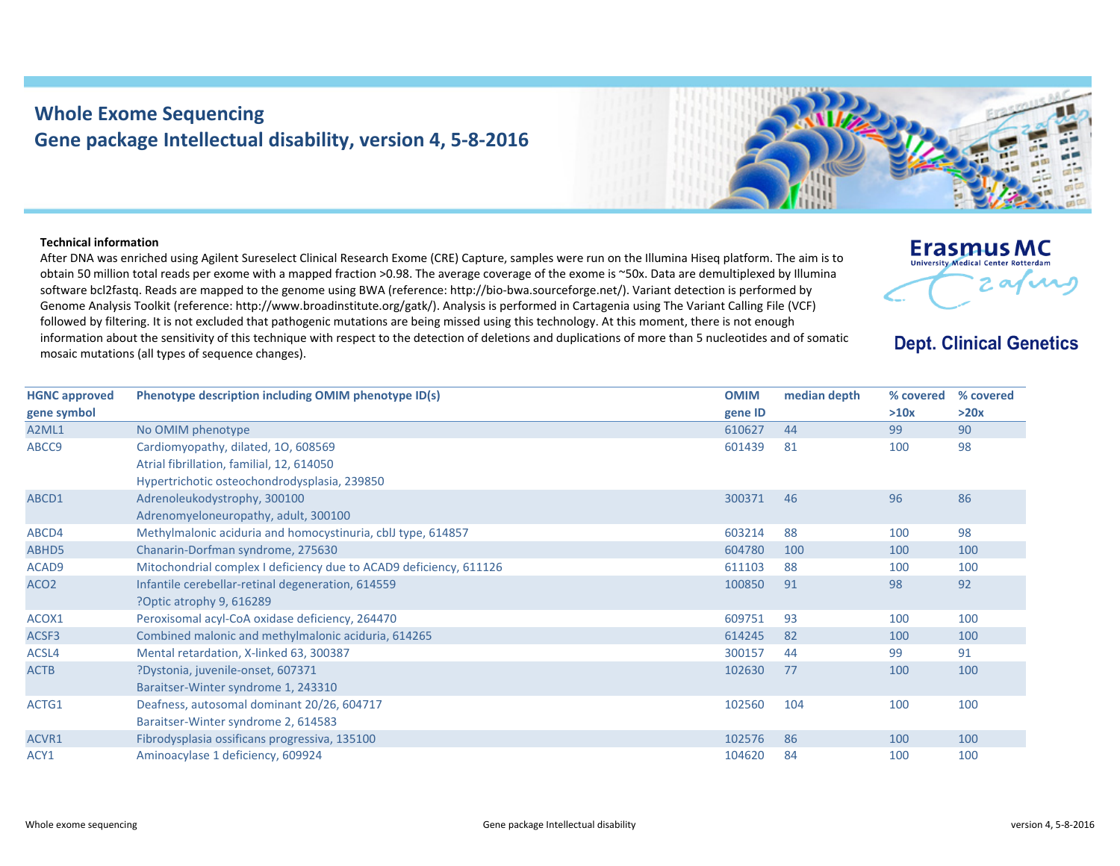## **Whole Exome Sequencing Gene package Intellectual disability, version 4, 5‐8‐2016**



After DNA was enriched using Agilent Sureselect Clinical Research Exome (CRE) Capture, samples were run on the Illumina Hiseq platform. The aim is to obtain 50 million total reads per exome with <sup>a</sup> mapped fraction >0.98. The average coverage of the exome is ~50x. Data are demultiplexed by Illumina software bcl2fastq. Reads are mapped to the genome using BWA (reference: http://bio‐bwa.sourceforge.net/). Variant detection is performed by Genome Analysis Toolkit (reference: http://www.broadinstitute.org/gatk/). Analysis is performed in Cartagenia using The Variant Calling File (VCF) followed by filtering. It is not excluded that pathogenic mutations are being missed using this technology. At this moment, there is not enough information about the sensitivity of this technique with respect to the detection of deletions and duplications of more than 5 nucleotides and of somatic mosaic mutations (all types of sequence changes).



**Dept. Clinical Genetics** 

| <b>HGNC approved</b> | Phenotype description including OMIM phenotype ID(s)               | <b>OMIM</b> | median depth | % covered | % covered |
|----------------------|--------------------------------------------------------------------|-------------|--------------|-----------|-----------|
| gene symbol          |                                                                    | gene ID     |              | >10x      | >20x      |
| A2ML1                | No OMIM phenotype                                                  | 610627      | 44           | 99        | 90        |
| ABCC9                | Cardiomyopathy, dilated, 10, 608569                                | 601439      | 81           | 100       | 98        |
|                      | Atrial fibrillation, familial, 12, 614050                          |             |              |           |           |
|                      | Hypertrichotic osteochondrodysplasia, 239850                       |             |              |           |           |
| ABCD1                | Adrenoleukodystrophy, 300100                                       | 300371      | 46           | 96        | 86        |
|                      | Adrenomyeloneuropathy, adult, 300100                               |             |              |           |           |
| ABCD4                | Methylmalonic aciduria and homocystinuria, cblJ type, 614857       | 603214      | 88           | 100       | 98        |
| ABHD5                | Chanarin-Dorfman syndrome, 275630                                  | 604780      | 100          | 100       | 100       |
| ACAD9                | Mitochondrial complex I deficiency due to ACAD9 deficiency, 611126 | 611103      | 88           | 100       | 100       |
| ACO <sub>2</sub>     | Infantile cerebellar-retinal degeneration, 614559                  | 100850      | 91           | 98        | 92        |
|                      | ?Optic atrophy 9, 616289                                           |             |              |           |           |
| ACOX1                | Peroxisomal acyl-CoA oxidase deficiency, 264470                    | 609751      | 93           | 100       | 100       |
| ACSF3                | Combined malonic and methylmalonic aciduria, 614265                | 614245      | 82           | 100       | 100       |
| ACSL4                | Mental retardation, X-linked 63, 300387                            | 300157      | 44           | 99        | 91        |
| <b>ACTB</b>          | ?Dystonia, juvenile-onset, 607371                                  | 102630      | 77           | 100       | 100       |
|                      | Baraitser-Winter syndrome 1, 243310                                |             |              |           |           |
| ACTG1                | Deafness, autosomal dominant 20/26, 604717                         | 102560      | 104          | 100       | 100       |
|                      | Baraitser-Winter syndrome 2, 614583                                |             |              |           |           |
| ACVR1                | Fibrodysplasia ossificans progressiva, 135100                      | 102576      | 86           | 100       | 100       |
| ACY1                 | Aminoacylase 1 deficiency, 609924                                  | 104620      | 84           | 100       | 100       |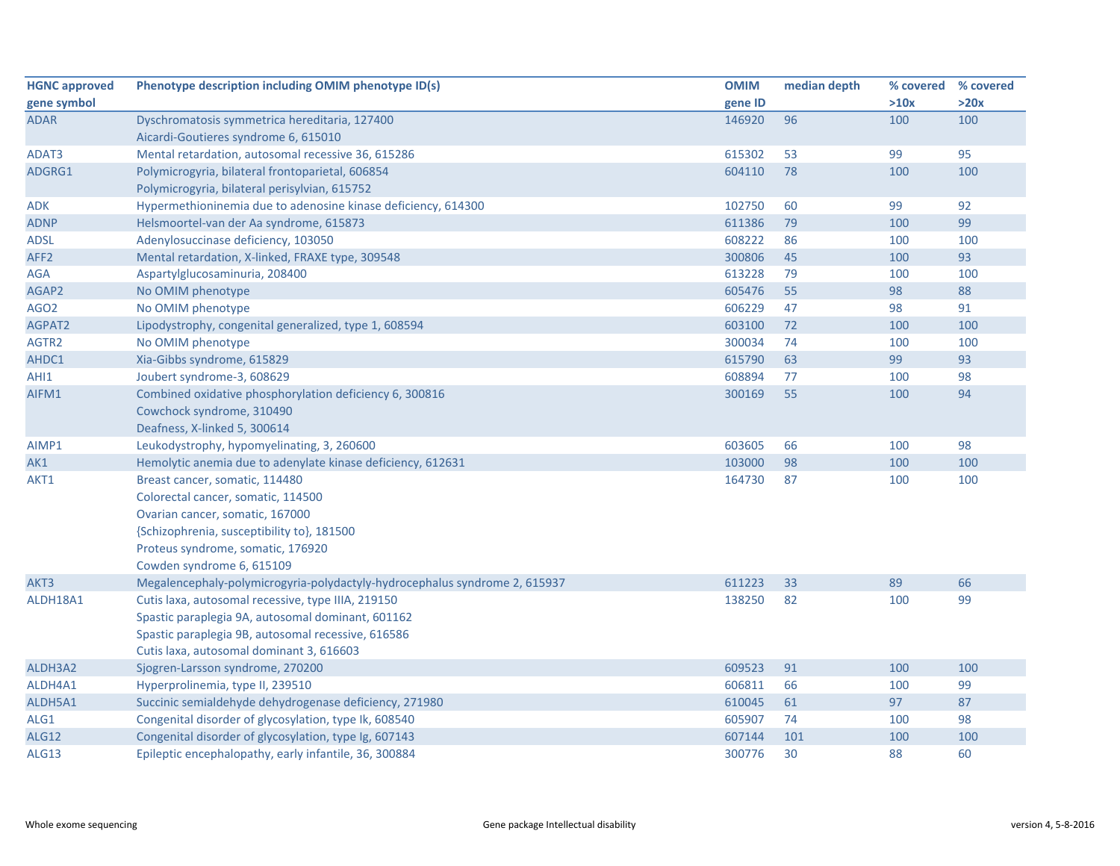| <b>HGNC approved</b> | Phenotype description including OMIM phenotype ID(s)                       | <b>OMIM</b> | median depth |      | % covered % covered |
|----------------------|----------------------------------------------------------------------------|-------------|--------------|------|---------------------|
| gene symbol          |                                                                            | gene ID     |              | >10x | >20x                |
| <b>ADAR</b>          | Dyschromatosis symmetrica hereditaria, 127400                              | 146920      | 96           | 100  | 100                 |
|                      | Aicardi-Goutieres syndrome 6, 615010                                       |             |              |      |                     |
| ADAT3                | Mental retardation, autosomal recessive 36, 615286                         | 615302      | 53           | 99   | 95                  |
| ADGRG1               | Polymicrogyria, bilateral frontoparietal, 606854                           | 604110      | 78           | 100  | 100                 |
|                      | Polymicrogyria, bilateral perisylvian, 615752                              |             |              |      |                     |
| <b>ADK</b>           | Hypermethioninemia due to adenosine kinase deficiency, 614300              | 102750      | 60           | 99   | 92                  |
| <b>ADNP</b>          | Helsmoortel-van der Aa syndrome, 615873                                    | 611386      | 79           | 100  | 99                  |
| <b>ADSL</b>          | Adenylosuccinase deficiency, 103050                                        | 608222      | 86           | 100  | 100                 |
| AFF <sub>2</sub>     | Mental retardation, X-linked, FRAXE type, 309548                           | 300806      | 45           | 100  | 93                  |
| <b>AGA</b>           | Aspartylglucosaminuria, 208400                                             | 613228      | 79           | 100  | 100                 |
| AGAP2                | No OMIM phenotype                                                          | 605476      | 55           | 98   | 88                  |
| AGO <sub>2</sub>     | No OMIM phenotype                                                          | 606229      | 47           | 98   | 91                  |
| AGPAT2               | Lipodystrophy, congenital generalized, type 1, 608594                      | 603100      | 72           | 100  | 100                 |
| AGTR2                | No OMIM phenotype                                                          | 300034      | 74           | 100  | 100                 |
| AHDC1                | Xia-Gibbs syndrome, 615829                                                 | 615790      | 63           | 99   | 93                  |
| AHI1                 | Joubert syndrome-3, 608629                                                 | 608894      | 77           | 100  | 98                  |
| AIFM1                | Combined oxidative phosphorylation deficiency 6, 300816                    | 300169      | 55           | 100  | 94                  |
|                      | Cowchock syndrome, 310490                                                  |             |              |      |                     |
|                      | Deafness, X-linked 5, 300614                                               |             |              |      |                     |
| AIMP1                | Leukodystrophy, hypomyelinating, 3, 260600                                 | 603605      | 66           | 100  | 98                  |
| AK1                  | Hemolytic anemia due to adenylate kinase deficiency, 612631                | 103000      | 98           | 100  | 100                 |
| AKT1                 | Breast cancer, somatic, 114480                                             | 164730      | 87           | 100  | 100                 |
|                      | Colorectal cancer, somatic, 114500                                         |             |              |      |                     |
|                      | Ovarian cancer, somatic, 167000                                            |             |              |      |                     |
|                      | {Schizophrenia, susceptibility to}, 181500                                 |             |              |      |                     |
|                      | Proteus syndrome, somatic, 176920                                          |             |              |      |                     |
|                      | Cowden syndrome 6, 615109                                                  |             |              |      |                     |
| AKT3                 | Megalencephaly-polymicrogyria-polydactyly-hydrocephalus syndrome 2, 615937 | 611223      | 33           | 89   | 66                  |
| ALDH18A1             | Cutis laxa, autosomal recessive, type IIIA, 219150                         | 138250      | 82           | 100  | 99                  |
|                      | Spastic paraplegia 9A, autosomal dominant, 601162                          |             |              |      |                     |
|                      | Spastic paraplegia 9B, autosomal recessive, 616586                         |             |              |      |                     |
|                      | Cutis laxa, autosomal dominant 3, 616603                                   |             |              |      |                     |
| ALDH3A2              | Sjogren-Larsson syndrome, 270200                                           | 609523      | 91           | 100  | 100                 |
| ALDH4A1              | Hyperprolinemia, type II, 239510                                           | 606811      | 66           | 100  | 99                  |
| ALDH5A1              | Succinic semialdehyde dehydrogenase deficiency, 271980                     | 610045      | 61           | 97   | 87                  |
| ALG1                 | Congenital disorder of glycosylation, type Ik, 608540                      | 605907      | 74           | 100  | 98                  |
| <b>ALG12</b>         | Congenital disorder of glycosylation, type Ig, 607143                      | 607144      | 101          | 100  | 100                 |
| ALG13                | Epileptic encephalopathy, early infantile, 36, 300884                      | 300776      | 30           | 88   | 60                  |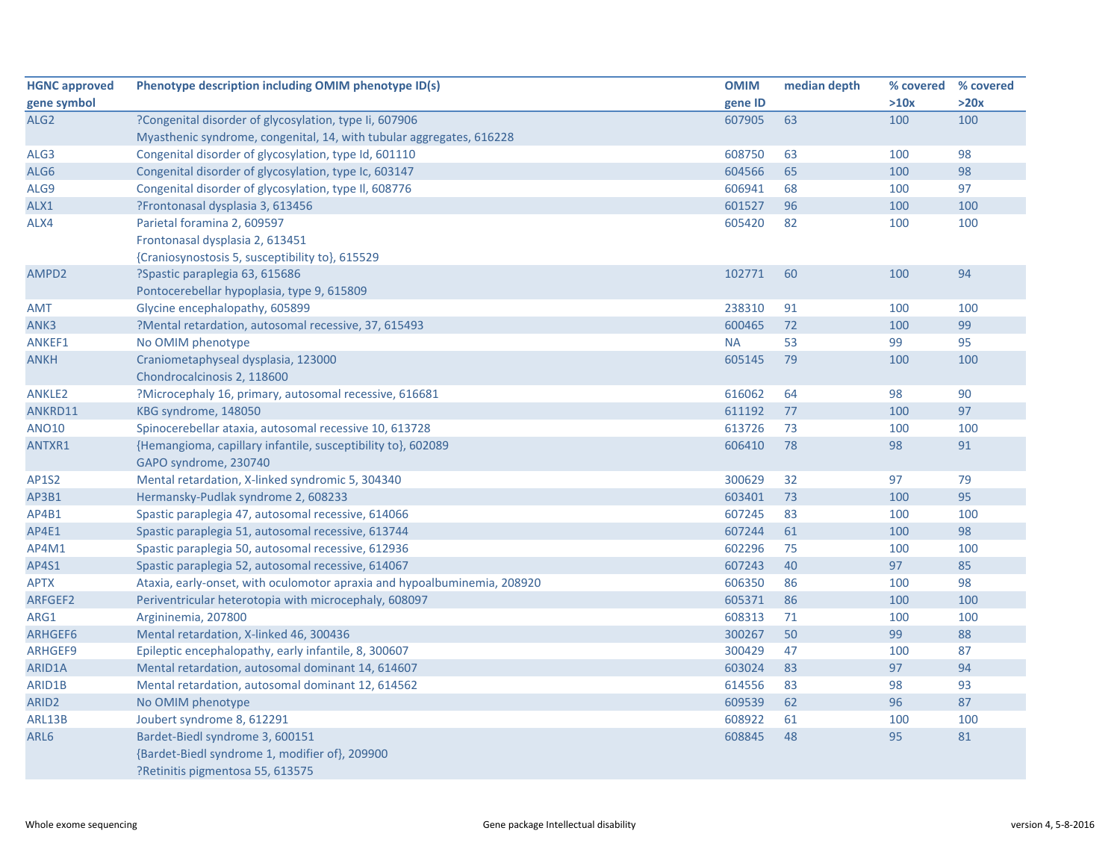| <b>HGNC approved</b> | Phenotype description including OMIM phenotype ID(s)                     | <b>OMIM</b> | median depth |      | % covered % covered |
|----------------------|--------------------------------------------------------------------------|-------------|--------------|------|---------------------|
| gene symbol          |                                                                          | gene ID     |              | >10x | >20x                |
| ALG <sub>2</sub>     | ?Congenital disorder of glycosylation, type Ii, 607906                   | 607905      | 63           | 100  | 100                 |
|                      | Myasthenic syndrome, congenital, 14, with tubular aggregates, 616228     |             |              |      |                     |
| ALG3                 | Congenital disorder of glycosylation, type Id, 601110                    | 608750      | 63           | 100  | 98                  |
| ALG6                 | Congenital disorder of glycosylation, type Ic, 603147                    | 604566      | 65           | 100  | 98                  |
| ALG9                 | Congenital disorder of glycosylation, type II, 608776                    | 606941      | 68           | 100  | 97                  |
| ALX1                 | ?Frontonasal dysplasia 3, 613456                                         | 601527      | 96           | 100  | 100                 |
| ALX4                 | Parietal foramina 2, 609597                                              | 605420      | 82           | 100  | 100                 |
|                      | Frontonasal dysplasia 2, 613451                                          |             |              |      |                     |
|                      | {Craniosynostosis 5, susceptibility to}, 615529                          |             |              |      |                     |
| AMPD2                | ?Spastic paraplegia 63, 615686                                           | 102771      | 60           | 100  | 94                  |
|                      | Pontocerebellar hypoplasia, type 9, 615809                               |             |              |      |                     |
| <b>AMT</b>           | Glycine encephalopathy, 605899                                           | 238310      | 91           | 100  | 100                 |
| ANK3                 | ?Mental retardation, autosomal recessive, 37, 615493                     | 600465      | 72           | 100  | 99                  |
| ANKEF1               | No OMIM phenotype                                                        | <b>NA</b>   | 53           | 99   | 95                  |
| <b>ANKH</b>          | Craniometaphyseal dysplasia, 123000                                      | 605145      | 79           | 100  | 100                 |
|                      | Chondrocalcinosis 2, 118600                                              |             |              |      |                     |
| ANKLE2               | ?Microcephaly 16, primary, autosomal recessive, 616681                   | 616062      | 64           | 98   | 90                  |
| ANKRD11              | KBG syndrome, 148050                                                     | 611192      | 77           | 100  | 97                  |
| <b>ANO10</b>         | Spinocerebellar ataxia, autosomal recessive 10, 613728                   | 613726      | 73           | 100  | 100                 |
| ANTXR1               | {Hemangioma, capillary infantile, susceptibility to}, 602089             | 606410      | 78           | 98   | 91                  |
|                      | GAPO syndrome, 230740                                                    |             |              |      |                     |
| <b>AP1S2</b>         | Mental retardation, X-linked syndromic 5, 304340                         | 300629      | 32           | 97   | 79                  |
| AP3B1                | Hermansky-Pudlak syndrome 2, 608233                                      | 603401      | 73           | 100  | 95                  |
| AP4B1                | Spastic paraplegia 47, autosomal recessive, 614066                       | 607245      | 83           | 100  | 100                 |
| AP4E1                | Spastic paraplegia 51, autosomal recessive, 613744                       | 607244      | 61           | 100  | 98                  |
| AP4M1                | Spastic paraplegia 50, autosomal recessive, 612936                       | 602296      | 75           | 100  | 100                 |
| <b>AP4S1</b>         | Spastic paraplegia 52, autosomal recessive, 614067                       | 607243      | 40           | 97   | 85                  |
| <b>APTX</b>          | Ataxia, early-onset, with oculomotor apraxia and hypoalbuminemia, 208920 | 606350      | 86           | 100  | 98                  |
| ARFGEF2              | Periventricular heterotopia with microcephaly, 608097                    | 605371      | 86           | 100  | 100                 |
| ARG1                 | Argininemia, 207800                                                      | 608313      | 71           | 100  | 100                 |
| ARHGEF6              | Mental retardation, X-linked 46, 300436                                  | 300267      | 50           | 99   | 88                  |
| ARHGEF9              | Epileptic encephalopathy, early infantile, 8, 300607                     | 300429      | 47           | 100  | 87                  |
| ARID1A               | Mental retardation, autosomal dominant 14, 614607                        | 603024      | 83           | 97   | 94                  |
| ARID1B               | Mental retardation, autosomal dominant 12, 614562                        | 614556      | 83           | 98   | 93                  |
| ARID <sub>2</sub>    | No OMIM phenotype                                                        | 609539      | 62           | 96   | 87                  |
| ARL13B               | Joubert syndrome 8, 612291                                               | 608922      | 61           | 100  | 100                 |
| ARL6                 | Bardet-Biedl syndrome 3, 600151                                          | 608845      | 48           | 95   | 81                  |
|                      | {Bardet-Biedl syndrome 1, modifier of}, 209900                           |             |              |      |                     |
|                      | P. Retinitis pigmentosa 55, 613575                                       |             |              |      |                     |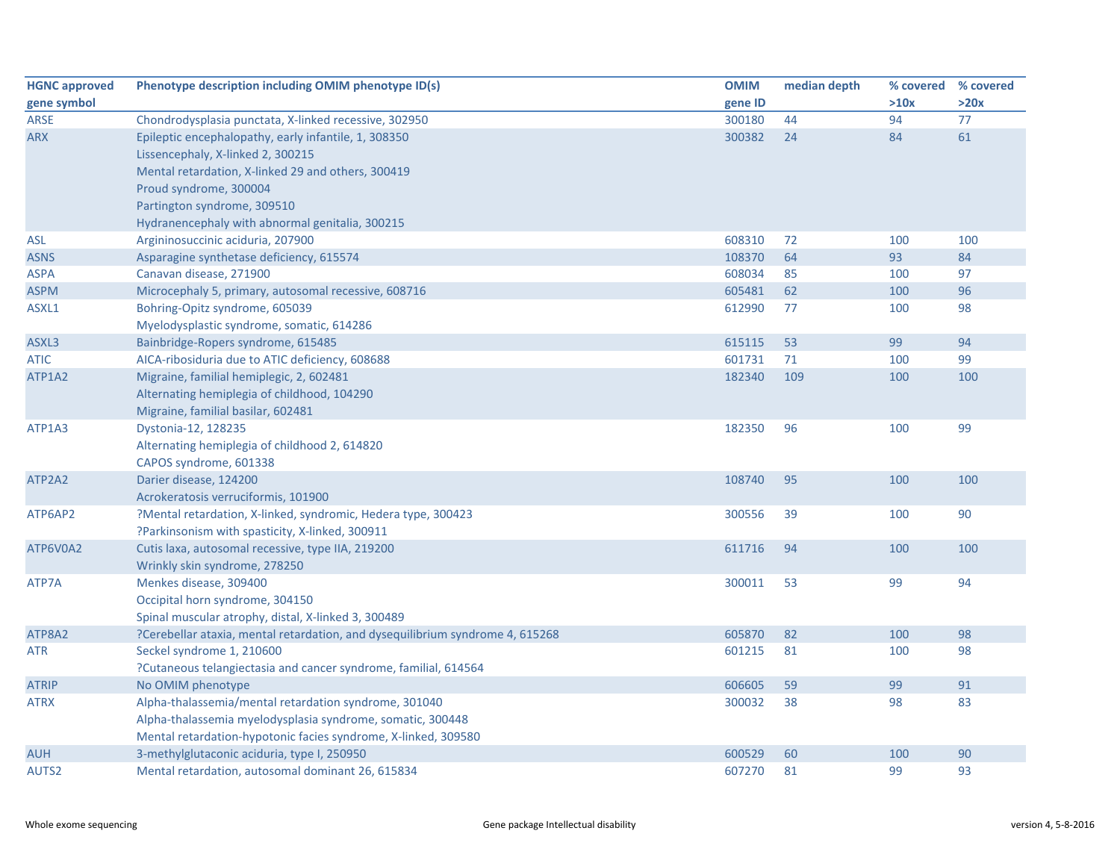| <b>HGNC approved</b>        | Phenotype description including OMIM phenotype ID(s)                          | <b>OMIM</b> | median depth | % covered | % covered |
|-----------------------------|-------------------------------------------------------------------------------|-------------|--------------|-----------|-----------|
| gene symbol                 |                                                                               | gene ID     |              | >10x      | >20x      |
| <b>ARSE</b>                 | Chondrodysplasia punctata, X-linked recessive, 302950                         | 300180      | 44           | 94        | 77        |
| <b>ARX</b>                  | Epileptic encephalopathy, early infantile, 1, 308350                          | 300382      | 24           | 84        | 61        |
|                             | Lissencephaly, X-linked 2, 300215                                             |             |              |           |           |
|                             | Mental retardation, X-linked 29 and others, 300419                            |             |              |           |           |
|                             | Proud syndrome, 300004                                                        |             |              |           |           |
|                             | Partington syndrome, 309510                                                   |             |              |           |           |
|                             | Hydranencephaly with abnormal genitalia, 300215                               |             |              |           |           |
| ASL                         | Argininosuccinic aciduria, 207900                                             | 608310      | 72           | 100       | 100       |
| <b>ASNS</b>                 | Asparagine synthetase deficiency, 615574                                      | 108370      | 64           | 93        | 84        |
| <b>ASPA</b>                 | Canavan disease, 271900                                                       | 608034      | 85           | 100       | 97        |
| <b>ASPM</b>                 | Microcephaly 5, primary, autosomal recessive, 608716                          | 605481      | 62           | 100       | 96        |
| ASXL1                       | Bohring-Opitz syndrome, 605039                                                | 612990      | 77           | 100       | 98        |
|                             | Myelodysplastic syndrome, somatic, 614286                                     |             |              |           |           |
| ASXL3                       | Bainbridge-Ropers syndrome, 615485                                            | 615115      | 53           | 99        | 94        |
| ATIC                        | AICA-ribosiduria due to ATIC deficiency, 608688                               | 601731      | 71           | 100       | 99        |
| ATP1A2                      | Migraine, familial hemiplegic, 2, 602481                                      | 182340      | 109          | 100       | 100       |
| ATP1A3<br>ATP2A2<br>ATP6AP2 | Alternating hemiplegia of childhood, 104290                                   |             |              |           |           |
|                             | Migraine, familial basilar, 602481                                            |             |              |           |           |
|                             | Dystonia-12, 128235                                                           | 182350      | 96           | 100       | 99        |
|                             | Alternating hemiplegia of childhood 2, 614820                                 |             |              |           |           |
|                             | CAPOS syndrome, 601338                                                        |             |              |           |           |
|                             | Darier disease, 124200                                                        | 108740      | 95           | 100       | 100       |
|                             | Acrokeratosis verruciformis, 101900                                           |             |              |           |           |
|                             | ?Mental retardation, X-linked, syndromic, Hedera type, 300423                 | 300556      | 39           | 100       | 90        |
|                             | ?Parkinsonism with spasticity, X-linked, 300911                               |             |              |           |           |
| ATP6V0A2                    | Cutis laxa, autosomal recessive, type IIA, 219200                             | 611716      | 94           | 100       | 100       |
|                             | Wrinkly skin syndrome, 278250                                                 |             |              |           |           |
| ATP7A                       | Menkes disease, 309400                                                        | 300011      | 53           | 99        | 94        |
|                             | Occipital horn syndrome, 304150                                               |             |              |           |           |
|                             | Spinal muscular atrophy, distal, X-linked 3, 300489                           |             |              |           |           |
| ATP8A2                      | ?Cerebellar ataxia, mental retardation, and dysequilibrium syndrome 4, 615268 | 605870      | 82           | 100       | 98        |
| <b>ATR</b>                  | Seckel syndrome 1, 210600                                                     | 601215      | 81           | 100       | 98        |
|                             | ?Cutaneous telangiectasia and cancer syndrome, familial, 614564               |             |              |           |           |
| <b>ATRIP</b>                | No OMIM phenotype                                                             | 606605      | 59           | 99        | 91        |
| <b>ATRX</b>                 | Alpha-thalassemia/mental retardation syndrome, 301040                         | 300032      | 38           | 98        | 83        |
|                             | Alpha-thalassemia myelodysplasia syndrome, somatic, 300448                    |             |              |           |           |
|                             | Mental retardation-hypotonic facies syndrome, X-linked, 309580                |             |              |           |           |
| <b>AUH</b>                  | 3-methylglutaconic aciduria, type I, 250950                                   | 600529      | 60           | 100       | 90        |
| AUTS2                       | Mental retardation, autosomal dominant 26, 615834                             | 607270      | 81           | 99        | 93        |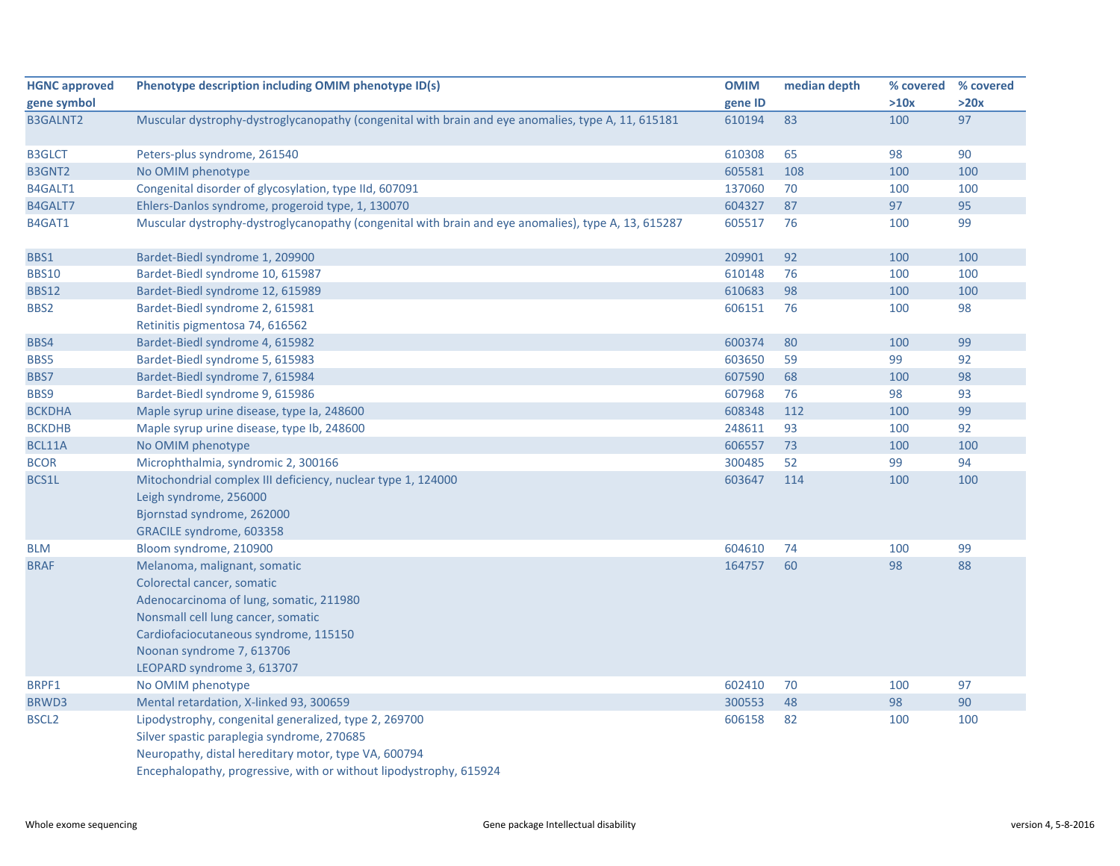| <b>HGNC approved</b> | Phenotype description including OMIM phenotype ID(s)                                                | <b>OMIM</b> | median depth | % covered % covered |      |
|----------------------|-----------------------------------------------------------------------------------------------------|-------------|--------------|---------------------|------|
| gene symbol          |                                                                                                     | gene ID     |              | >10x                | >20x |
| <b>B3GALNT2</b>      | Muscular dystrophy-dystroglycanopathy (congenital with brain and eye anomalies, type A, 11, 615181  | 610194      | 83           | 100                 | 97   |
| <b>B3GLCT</b>        | Peters-plus syndrome, 261540                                                                        | 610308      | 65           | 98                  | 90   |
| <b>B3GNT2</b>        | No OMIM phenotype                                                                                   | 605581      | 108          | 100                 | 100  |
| B4GALT1              | Congenital disorder of glycosylation, type IId, 607091                                              | 137060      | 70           | 100                 | 100  |
| B4GALT7              | Ehlers-Danlos syndrome, progeroid type, 1, 130070                                                   | 604327      | 87           | 97                  | 95   |
| B4GAT1               | Muscular dystrophy-dystroglycanopathy (congenital with brain and eye anomalies), type A, 13, 615287 | 605517      | 76           | 100                 | 99   |
| BBS1                 | Bardet-Biedl syndrome 1, 209900                                                                     | 209901      | 92           | 100                 | 100  |
| <b>BBS10</b>         | Bardet-Biedl syndrome 10, 615987                                                                    | 610148      | 76           | 100                 | 100  |
| <b>BBS12</b>         | Bardet-Biedl syndrome 12, 615989                                                                    | 610683      | 98           | 100                 | 100  |
| BBS2                 | Bardet-Biedl syndrome 2, 615981                                                                     | 606151      | 76           | 100                 | 98   |
|                      | Retinitis pigmentosa 74, 616562                                                                     |             |              |                     |      |
| BBS4                 | Bardet-Biedl syndrome 4, 615982                                                                     | 600374      | 80           | 100                 | 99   |
| BBS5                 | Bardet-Biedl syndrome 5, 615983                                                                     | 603650      | 59           | 99                  | 92   |
| BBS7                 | Bardet-Biedl syndrome 7, 615984                                                                     | 607590      | 68           | 100                 | 98   |
| BBS9                 | Bardet-Biedl syndrome 9, 615986                                                                     | 607968      | 76           | 98                  | 93   |
| <b>BCKDHA</b>        | Maple syrup urine disease, type Ia, 248600                                                          | 608348      | 112          | 100                 | 99   |
| <b>BCKDHB</b>        | Maple syrup urine disease, type lb, 248600                                                          | 248611      | 93           | 100                 | 92   |
| BCL11A               | No OMIM phenotype                                                                                   | 606557      | 73           | 100                 | 100  |
| <b>BCOR</b>          | Microphthalmia, syndromic 2, 300166                                                                 | 300485      | 52           | 99                  | 94   |
| BCS1L                | Mitochondrial complex III deficiency, nuclear type 1, 124000                                        | 603647      | 114          | 100                 | 100  |
|                      | Leigh syndrome, 256000                                                                              |             |              |                     |      |
|                      | Bjornstad syndrome, 262000                                                                          |             |              |                     |      |
|                      | GRACILE syndrome, 603358                                                                            |             |              |                     |      |
| <b>BLM</b>           | Bloom syndrome, 210900                                                                              | 604610      | 74           | 100                 | 99   |
| <b>BRAF</b>          | Melanoma, malignant, somatic                                                                        | 164757      | 60           | 98                  | 88   |
|                      | Colorectal cancer, somatic                                                                          |             |              |                     |      |
|                      | Adenocarcinoma of lung, somatic, 211980                                                             |             |              |                     |      |
|                      | Nonsmall cell lung cancer, somatic                                                                  |             |              |                     |      |
|                      | Cardiofaciocutaneous syndrome, 115150                                                               |             |              |                     |      |
|                      | Noonan syndrome 7, 613706                                                                           |             |              |                     |      |
|                      | LEOPARD syndrome 3, 613707                                                                          |             |              |                     |      |
| BRPF1                | No OMIM phenotype                                                                                   | 602410      | 70           | 100                 | 97   |
| BRWD3                | Mental retardation, X-linked 93, 300659                                                             | 300553      | 48           | 98                  | 90   |
| BSCL <sub>2</sub>    | Lipodystrophy, congenital generalized, type 2, 269700                                               | 606158      | 82           | 100                 | 100  |
|                      | Silver spastic paraplegia syndrome, 270685                                                          |             |              |                     |      |
|                      | Neuropathy, distal hereditary motor, type VA, 600794                                                |             |              |                     |      |
|                      | Encephalopathy, progressive, with or without lipodystrophy, 615924                                  |             |              |                     |      |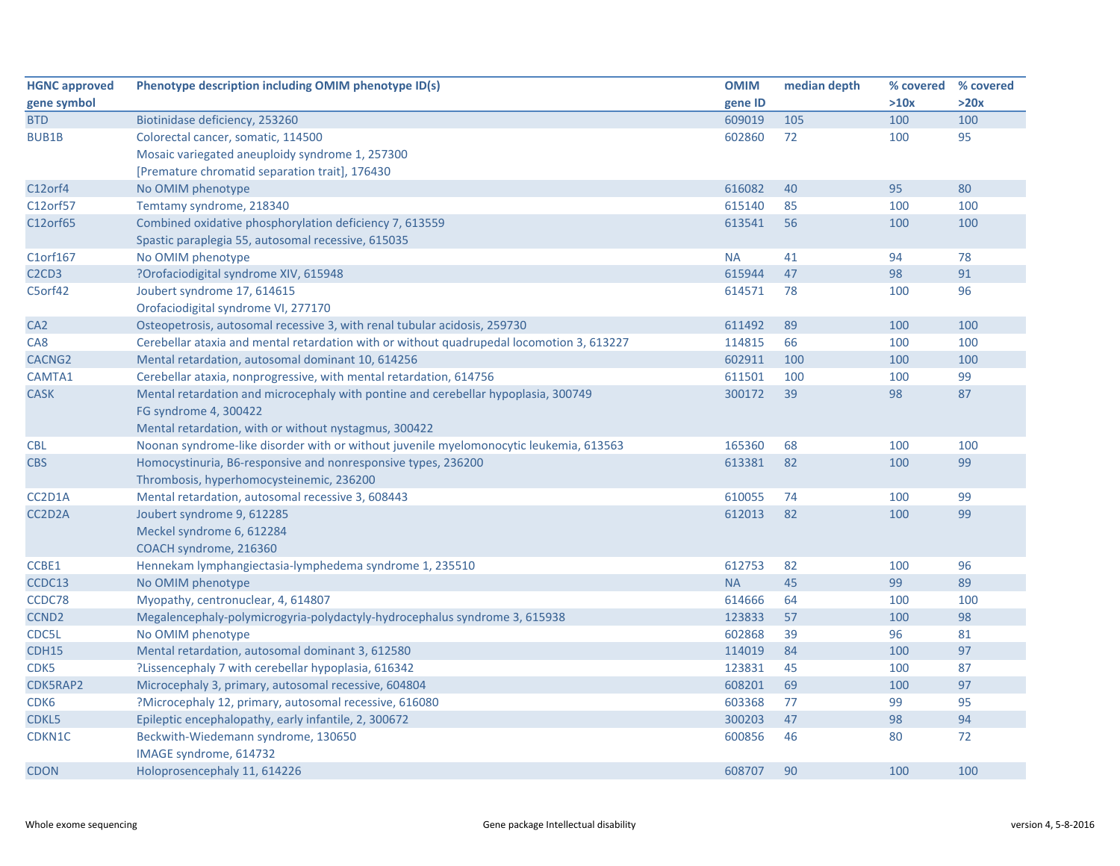| <b>HGNC approved</b>                       | Phenotype description including OMIM phenotype ID(s)                                      | <b>OMIM</b> | median depth | % covered % covered |      |
|--------------------------------------------|-------------------------------------------------------------------------------------------|-------------|--------------|---------------------|------|
| gene symbol                                |                                                                                           | gene ID     |              | >10x                | >20x |
| <b>BTD</b>                                 | Biotinidase deficiency, 253260                                                            | 609019      | 105          | 100                 | 100  |
| <b>BUB1B</b>                               | Colorectal cancer, somatic, 114500                                                        | 602860      | 72           | 100                 | 95   |
|                                            | Mosaic variegated aneuploidy syndrome 1, 257300                                           |             |              |                     |      |
|                                            | [Premature chromatid separation trait], 176430                                            |             |              |                     |      |
| C12orf4                                    | No OMIM phenotype                                                                         | 616082      | 40           | 95                  | 80   |
| C12orf57                                   | Temtamy syndrome, 218340                                                                  | 615140      | 85           | 100                 | 100  |
| C12orf65                                   | Combined oxidative phosphorylation deficiency 7, 613559                                   | 613541      | 56           | 100                 | 100  |
|                                            | Spastic paraplegia 55, autosomal recessive, 615035                                        |             |              |                     |      |
| C1orf167                                   | No OMIM phenotype                                                                         | <b>NA</b>   | 41           | 94                  | 78   |
| C <sub>2</sub> C <sub>D</sub> <sub>3</sub> | ?Orofaciodigital syndrome XIV, 615948                                                     | 615944      | 47           | 98                  | 91   |
| C5orf42                                    | Joubert syndrome 17, 614615                                                               | 614571      | 78           | 100                 | 96   |
|                                            | Orofaciodigital syndrome VI, 277170                                                       |             |              |                     |      |
| CA <sub>2</sub>                            | Osteopetrosis, autosomal recessive 3, with renal tubular acidosis, 259730                 | 611492      | 89           | 100                 | 100  |
| CA <sub>8</sub>                            | Cerebellar ataxia and mental retardation with or without quadrupedal locomotion 3, 613227 | 114815      | 66           | 100                 | 100  |
| CACNG <sub>2</sub>                         | Mental retardation, autosomal dominant 10, 614256                                         | 602911      | 100          | 100                 | 100  |
| CAMTA1                                     | Cerebellar ataxia, nonprogressive, with mental retardation, 614756                        | 611501      | 100          | 100                 | 99   |
| <b>CASK</b>                                | Mental retardation and microcephaly with pontine and cerebellar hypoplasia, 300749        | 300172      | 39           | 98                  | 87   |
|                                            | FG syndrome 4, 300422                                                                     |             |              |                     |      |
|                                            | Mental retardation, with or without nystagmus, 300422                                     |             |              |                     |      |
| <b>CBL</b>                                 | Noonan syndrome-like disorder with or without juvenile myelomonocytic leukemia, 613563    | 165360      | 68           | 100                 | 100  |
| <b>CBS</b>                                 | Homocystinuria, B6-responsive and nonresponsive types, 236200                             | 613381      | 82           | 100                 | 99   |
|                                            | Thrombosis, hyperhomocysteinemic, 236200                                                  |             |              |                     |      |
| CC2D1A                                     | Mental retardation, autosomal recessive 3, 608443                                         | 610055      | 74           | 100                 | 99   |
| CC2D2A                                     | Joubert syndrome 9, 612285                                                                | 612013      | 82           | 100                 | 99   |
|                                            | Meckel syndrome 6, 612284                                                                 |             |              |                     |      |
|                                            | COACH syndrome, 216360                                                                    |             |              |                     |      |
| CCBE1                                      | Hennekam lymphangiectasia-lymphedema syndrome 1, 235510                                   | 612753      | 82           | 100                 | 96   |
| CCDC13                                     | No OMIM phenotype                                                                         | <b>NA</b>   | 45           | 99                  | 89   |
| CCDC78                                     | Myopathy, centronuclear, 4, 614807                                                        | 614666      | 64           | 100                 | 100  |
| CCND <sub>2</sub>                          | Megalencephaly-polymicrogyria-polydactyly-hydrocephalus syndrome 3, 615938                | 123833      | 57           | 100                 | 98   |
| CDC5L                                      | No OMIM phenotype                                                                         | 602868      | 39           | 96                  | 81   |
| <b>CDH15</b>                               | Mental retardation, autosomal dominant 3, 612580                                          | 114019      | 84           | 100                 | 97   |
| CDK5                                       | ?Lissencephaly 7 with cerebellar hypoplasia, 616342                                       | 123831      | 45           | 100                 | 87   |
| CDK5RAP2                                   | Microcephaly 3, primary, autosomal recessive, 604804                                      | 608201      | 69           | 100                 | 97   |
| CDK <sub>6</sub>                           | ?Microcephaly 12, primary, autosomal recessive, 616080                                    | 603368      | 77           | 99                  | 95   |
| CDKL5                                      | Epileptic encephalopathy, early infantile, 2, 300672                                      | 300203      | 47           | 98                  | 94   |
| CDKN1C                                     | Beckwith-Wiedemann syndrome, 130650                                                       | 600856      | 46           | 80                  | 72   |
|                                            | IMAGE syndrome, 614732                                                                    |             |              |                     |      |
| <b>CDON</b>                                | Holoprosencephaly 11, 614226                                                              | 608707      | 90           | 100                 | 100  |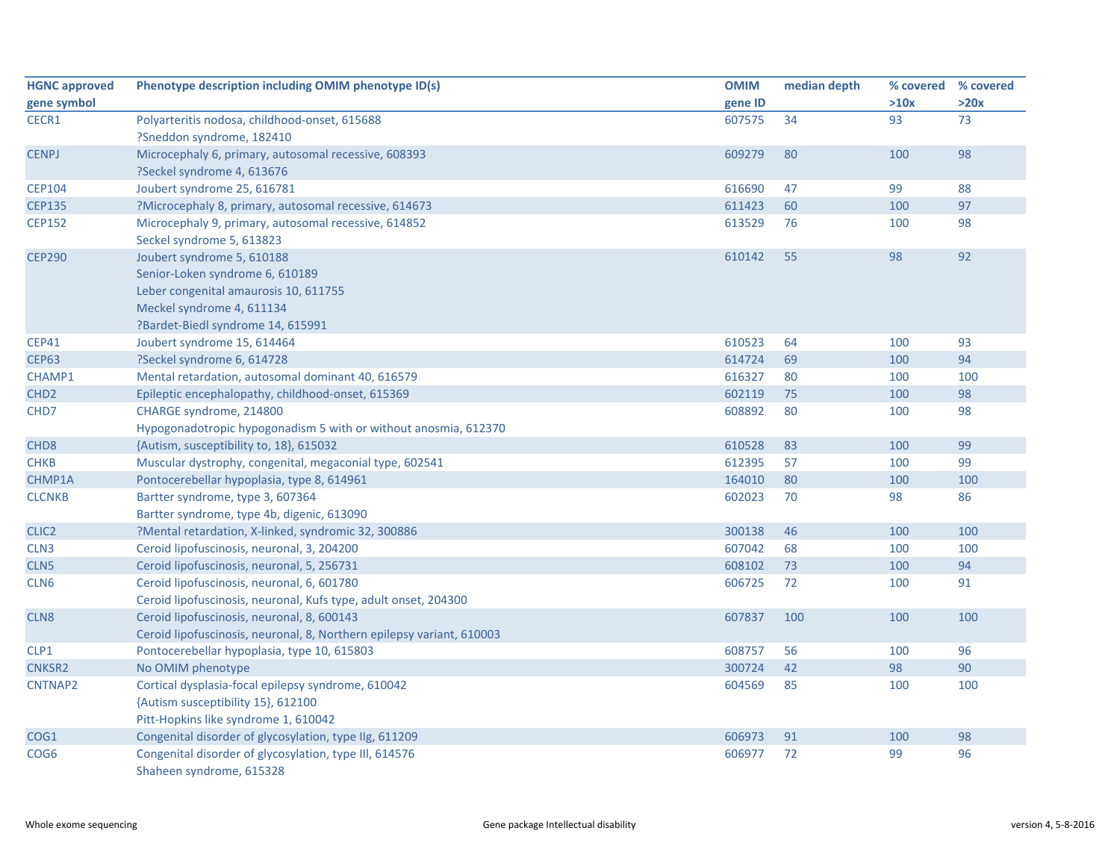| <b>HGNC approved</b> | Phenotype description including OMIM phenotype ID(s)                  | <b>OMIM</b> | median depth | % covered % covered |      |
|----------------------|-----------------------------------------------------------------------|-------------|--------------|---------------------|------|
| gene symbol          |                                                                       | gene ID     |              | >10x                | >20x |
| CECR1                | Polyarteritis nodosa, childhood-onset, 615688                         | 607575      | 34           | 93                  | 73   |
|                      | ?Sneddon syndrome, 182410                                             |             |              |                     |      |
| <b>CENPJ</b>         | Microcephaly 6, primary, autosomal recessive, 608393                  | 609279      | 80           | 100                 | 98   |
|                      | ?Seckel syndrome 4, 613676                                            |             |              |                     |      |
| <b>CEP104</b>        | Joubert syndrome 25, 616781                                           | 616690      | 47           | 99                  | 88   |
| <b>CEP135</b>        | ?Microcephaly 8, primary, autosomal recessive, 614673                 | 611423      | 60           | 100                 | 97   |
| <b>CEP152</b>        | Microcephaly 9, primary, autosomal recessive, 614852                  | 613529      | 76           | 100                 | 98   |
|                      | Seckel syndrome 5, 613823                                             |             |              |                     |      |
| <b>CEP290</b>        | Joubert syndrome 5, 610188                                            | 610142      | 55           | 98                  | 92   |
|                      | Senior-Loken syndrome 6, 610189                                       |             |              |                     |      |
|                      | Leber congenital amaurosis 10, 611755                                 |             |              |                     |      |
|                      | Meckel syndrome 4, 611134                                             |             |              |                     |      |
|                      | ?Bardet-Biedl syndrome 14, 615991                                     |             |              |                     |      |
| <b>CEP41</b>         | Joubert syndrome 15, 614464                                           | 610523      | 64           | 100                 | 93   |
| <b>CEP63</b>         | ?Seckel syndrome 6, 614728                                            | 614724      | 69           | 100                 | 94   |
| CHAMP1               | Mental retardation, autosomal dominant 40, 616579                     | 616327      | 80           | 100                 | 100  |
| CHD <sub>2</sub>     | Epileptic encephalopathy, childhood-onset, 615369                     | 602119      | 75           | 100                 | 98   |
| CHD7                 | CHARGE syndrome, 214800                                               | 608892      | 80           | 100                 | 98   |
|                      | Hypogonadotropic hypogonadism 5 with or without anosmia, 612370       |             |              |                     |      |
| CHD <sub>8</sub>     | {Autism, susceptibility to, 18}, 615032                               | 610528      | 83           | 100                 | 99   |
| <b>CHKB</b>          | Muscular dystrophy, congenital, megaconial type, 602541               | 612395      | 57           | 100                 | 99   |
| CHMP1A               | Pontocerebellar hypoplasia, type 8, 614961                            | 164010      | 80           | 100                 | 100  |
| <b>CLCNKB</b>        | Bartter syndrome, type 3, 607364                                      | 602023      | 70           | 98                  | 86   |
|                      | Bartter syndrome, type 4b, digenic, 613090                            |             |              |                     |      |
| CLIC <sub>2</sub>    | ?Mental retardation, X-linked, syndromic 32, 300886                   | 300138      | 46           | 100                 | 100  |
| CLN <sub>3</sub>     | Ceroid lipofuscinosis, neuronal, 3, 204200                            | 607042      | 68           | 100                 | 100  |
| CLN5                 | Ceroid lipofuscinosis, neuronal, 5, 256731                            | 608102      | 73           | 100                 | 94   |
| CLN <sub>6</sub>     | Ceroid lipofuscinosis, neuronal, 6, 601780                            | 606725      | 72           | 100                 | 91   |
|                      | Ceroid lipofuscinosis, neuronal, Kufs type, adult onset, 204300       |             |              |                     |      |
| CLN <sub>8</sub>     | Ceroid lipofuscinosis, neuronal, 8, 600143                            | 607837      | 100          | 100                 | 100  |
|                      | Ceroid lipofuscinosis, neuronal, 8, Northern epilepsy variant, 610003 |             |              |                     |      |
| CLP1                 | Pontocerebellar hypoplasia, type 10, 615803                           | 608757      | 56           | 100                 | 96   |
| CNKSR2               | No OMIM phenotype                                                     | 300724      | 42           | 98                  | 90   |
| CNTNAP2              | Cortical dysplasia-focal epilepsy syndrome, 610042                    | 604569      | 85           | 100                 | 100  |
|                      | {Autism susceptibility 15}, 612100                                    |             |              |                     |      |
|                      | Pitt-Hopkins like syndrome 1, 610042                                  |             |              |                     |      |
| COG1                 | Congenital disorder of glycosylation, type IIg, 611209                | 606973      | 91           | 100                 | 98   |
| COG <sub>6</sub>     | Congenital disorder of glycosylation, type III, 614576                | 606977      | 72           | 99                  | 96   |
|                      | Shaheen syndrome, 615328                                              |             |              |                     |      |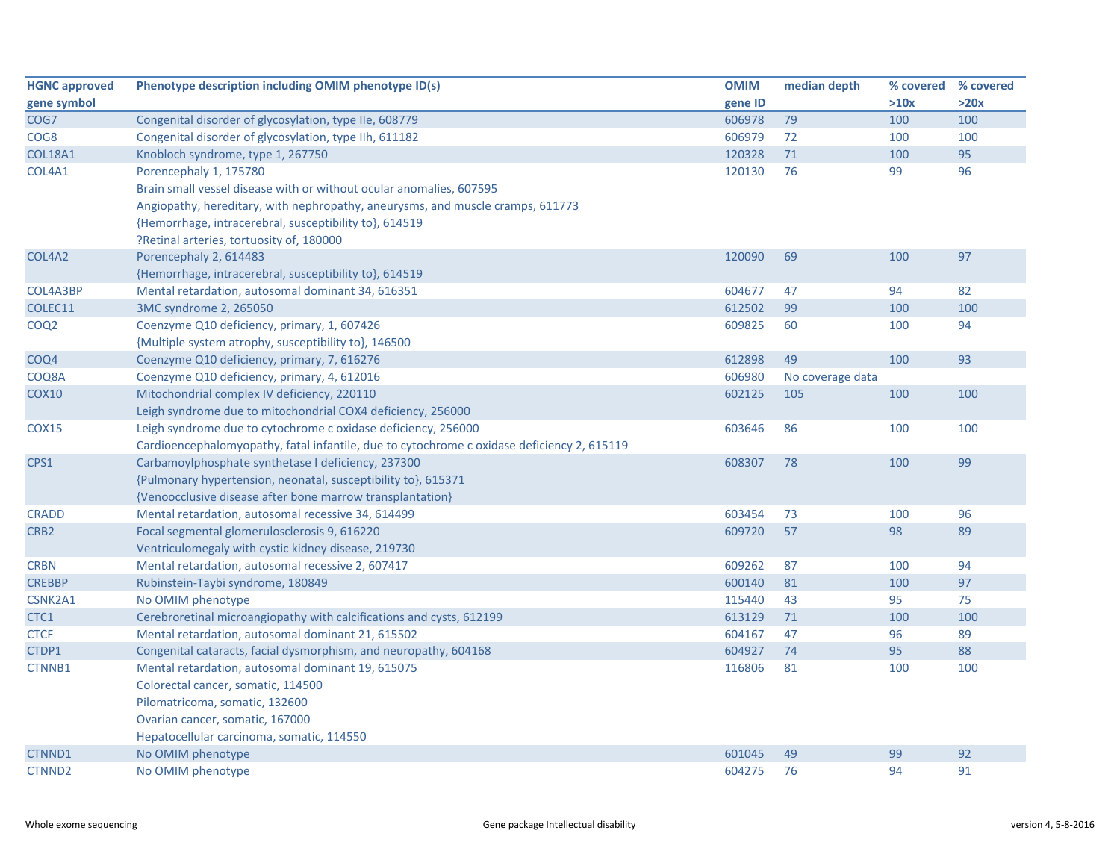| <b>HGNC approved</b> | Phenotype description including OMIM phenotype ID(s)                                       | <b>OMIM</b> | median depth     | % covered % covered |      |
|----------------------|--------------------------------------------------------------------------------------------|-------------|------------------|---------------------|------|
| gene symbol          |                                                                                            | gene ID     |                  | >10x                | >20x |
| COG7                 | Congenital disorder of glycosylation, type IIe, 608779                                     | 606978      | 79               | 100                 | 100  |
| COG8                 | Congenital disorder of glycosylation, type IIh, 611182                                     | 606979      | 72               | 100                 | 100  |
| <b>COL18A1</b>       | Knobloch syndrome, type 1, 267750                                                          | 120328      | 71               | 100                 | 95   |
| COL4A1               | Porencephaly 1, 175780                                                                     | 120130      | 76               | 99                  | 96   |
|                      | Brain small vessel disease with or without ocular anomalies, 607595                        |             |                  |                     |      |
|                      | Angiopathy, hereditary, with nephropathy, aneurysms, and muscle cramps, 611773             |             |                  |                     |      |
|                      | {Hemorrhage, intracerebral, susceptibility to}, 614519                                     |             |                  |                     |      |
|                      | ?Retinal arteries, tortuosity of, 180000                                                   |             |                  |                     |      |
| COL4A2               | Porencephaly 2, 614483                                                                     | 120090      | 69               | 100                 | 97   |
|                      | {Hemorrhage, intracerebral, susceptibility to}, 614519                                     |             |                  |                     |      |
| COL4A3BP             | Mental retardation, autosomal dominant 34, 616351                                          | 604677      | 47               | 94                  | 82   |
| COLEC11              | 3MC syndrome 2, 265050                                                                     | 612502      | 99               | 100                 | 100  |
| COQ <sub>2</sub>     | Coenzyme Q10 deficiency, primary, 1, 607426                                                | 609825      | 60               | 100                 | 94   |
|                      | {Multiple system atrophy, susceptibility to}, 146500                                       |             |                  |                     |      |
| COQ4                 | Coenzyme Q10 deficiency, primary, 7, 616276                                                | 612898      | 49               | 100                 | 93   |
| COQ8A                | Coenzyme Q10 deficiency, primary, 4, 612016                                                | 606980      | No coverage data |                     |      |
| <b>COX10</b>         | Mitochondrial complex IV deficiency, 220110                                                | 602125      | 105              | 100                 | 100  |
|                      | Leigh syndrome due to mitochondrial COX4 deficiency, 256000                                |             |                  |                     |      |
| <b>COX15</b>         | Leigh syndrome due to cytochrome c oxidase deficiency, 256000                              | 603646      | 86               | 100                 | 100  |
|                      | Cardioencephalomyopathy, fatal infantile, due to cytochrome c oxidase deficiency 2, 615119 |             |                  |                     |      |
| CPS1                 | Carbamoylphosphate synthetase I deficiency, 237300                                         | 608307      | 78               | 100                 | 99   |
|                      | {Pulmonary hypertension, neonatal, susceptibility to}, 615371                              |             |                  |                     |      |
|                      | {Venoocclusive disease after bone marrow transplantation}                                  |             |                  |                     |      |
| <b>CRADD</b>         | Mental retardation, autosomal recessive 34, 614499                                         | 603454      | 73               | 100                 | 96   |
| CRB <sub>2</sub>     | Focal segmental glomerulosclerosis 9, 616220                                               | 609720      | 57               | 98                  | 89   |
|                      | Ventriculomegaly with cystic kidney disease, 219730                                        |             |                  |                     |      |
| <b>CRBN</b>          | Mental retardation, autosomal recessive 2, 607417                                          | 609262      | 87               | 100                 | 94   |
| <b>CREBBP</b>        | Rubinstein-Taybi syndrome, 180849                                                          | 600140      | 81               | 100                 | 97   |
| CSNK2A1              | No OMIM phenotype                                                                          | 115440      | 43               | 95                  | 75   |
| CTC1                 | Cerebroretinal microangiopathy with calcifications and cysts, 612199                       | 613129      | 71               | 100                 | 100  |
| <b>CTCF</b>          | Mental retardation, autosomal dominant 21, 615502                                          | 604167      | 47               | 96                  | 89   |
| CTDP1                | Congenital cataracts, facial dysmorphism, and neuropathy, 604168                           | 604927      | 74               | 95                  | 88   |
| CTNNB1               | Mental retardation, autosomal dominant 19, 615075                                          | 116806      | 81               | 100                 | 100  |
|                      | Colorectal cancer, somatic, 114500                                                         |             |                  |                     |      |
|                      | Pilomatricoma, somatic, 132600                                                             |             |                  |                     |      |
|                      | Ovarian cancer, somatic, 167000                                                            |             |                  |                     |      |
|                      | Hepatocellular carcinoma, somatic, 114550                                                  |             |                  |                     |      |
| CTNND1               | No OMIM phenotype                                                                          | 601045      | 49               | 99                  | 92   |
| <b>CTNND2</b>        | No OMIM phenotype                                                                          | 604275      | 76               | 94                  | 91   |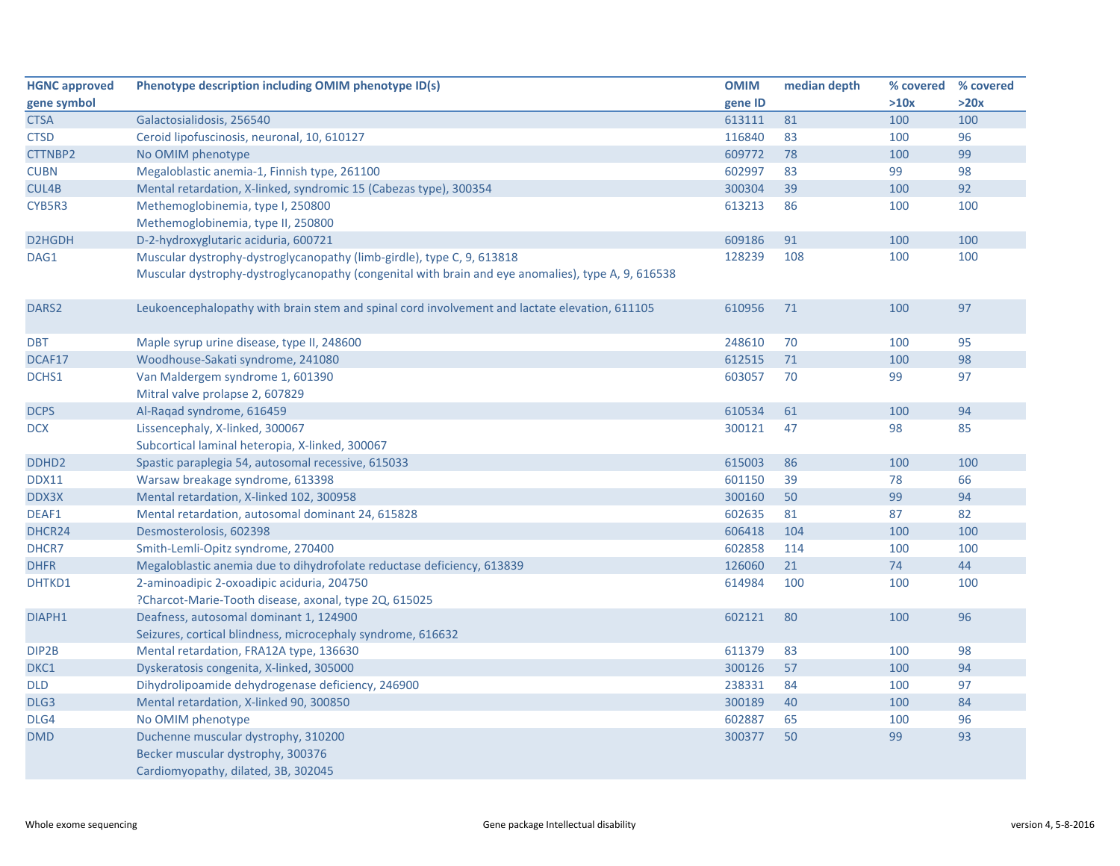| <b>HGNC approved</b> | Phenotype description including OMIM phenotype ID(s)                                               | <b>OMIM</b> | median depth | % covered | % covered |
|----------------------|----------------------------------------------------------------------------------------------------|-------------|--------------|-----------|-----------|
| gene symbol          |                                                                                                    | gene ID     |              | >10x      | >20x      |
| <b>CTSA</b>          | Galactosialidosis, 256540                                                                          | 613111      | 81           | 100       | 100       |
| <b>CTSD</b>          | Ceroid lipofuscinosis, neuronal, 10, 610127                                                        | 116840      | 83           | 100       | 96        |
| CTTNBP2              | No OMIM phenotype                                                                                  | 609772      | 78           | 100       | 99        |
| <b>CUBN</b>          | Megaloblastic anemia-1, Finnish type, 261100                                                       | 602997      | 83           | 99        | 98        |
| CUL4B                | Mental retardation, X-linked, syndromic 15 (Cabezas type), 300354                                  | 300304      | 39           | 100       | 92        |
| CYB5R3               | Methemoglobinemia, type I, 250800                                                                  | 613213      | 86           | 100       | 100       |
|                      | Methemoglobinemia, type II, 250800                                                                 |             |              |           |           |
| D2HGDH               | D-2-hydroxyglutaric aciduria, 600721                                                               | 609186      | 91           | 100       | 100       |
| DAG1                 | Muscular dystrophy-dystroglycanopathy (limb-girdle), type C, 9, 613818                             | 128239      | 108          | 100       | 100       |
|                      | Muscular dystrophy-dystroglycanopathy (congenital with brain and eye anomalies), type A, 9, 616538 |             |              |           |           |
| DARS <sub>2</sub>    | Leukoencephalopathy with brain stem and spinal cord involvement and lactate elevation, 611105      | 610956      | 71           | 100       | 97        |
| <b>DBT</b>           | Maple syrup urine disease, type II, 248600                                                         | 248610      | 70           | 100       | 95        |
| DCAF17               | Woodhouse-Sakati syndrome, 241080                                                                  | 612515      | 71           | 100       | 98        |
| DCHS1                | Van Maldergem syndrome 1, 601390                                                                   | 603057      | 70           | 99        | 97        |
|                      | Mitral valve prolapse 2, 607829                                                                    |             |              |           |           |
| <b>DCPS</b>          | Al-Raqad syndrome, 616459                                                                          | 610534      | 61           | 100       | 94        |
| <b>DCX</b>           | Lissencephaly, X-linked, 300067                                                                    | 300121      | 47           | 98        | 85        |
|                      | Subcortical laminal heteropia, X-linked, 300067                                                    |             |              |           |           |
| DDHD <sub>2</sub>    | Spastic paraplegia 54, autosomal recessive, 615033                                                 | 615003      | 86           | 100       | 100       |
| DDX11                | Warsaw breakage syndrome, 613398                                                                   | 601150      | 39           | 78        | 66        |
| DDX3X                | Mental retardation, X-linked 102, 300958                                                           | 300160      | 50           | 99        | 94        |
| DEAF1                | Mental retardation, autosomal dominant 24, 615828                                                  | 602635      | 81           | 87        | 82        |
| DHCR24               | Desmosterolosis, 602398                                                                            | 606418      | 104          | 100       | 100       |
| DHCR7                | Smith-Lemli-Opitz syndrome, 270400                                                                 | 602858      | 114          | 100       | 100       |
| <b>DHFR</b>          | Megaloblastic anemia due to dihydrofolate reductase deficiency, 613839                             | 126060      | 21           | 74        | 44        |
| DHTKD1               | 2-aminoadipic 2-oxoadipic aciduria, 204750                                                         | 614984      | 100          | 100       | 100       |
|                      | ?Charcot-Marie-Tooth disease, axonal, type 2Q, 615025                                              |             |              |           |           |
| DIAPH1               | Deafness, autosomal dominant 1, 124900                                                             | 602121      | 80           | 100       | 96        |
|                      | Seizures, cortical blindness, microcephaly syndrome, 616632                                        |             |              |           |           |
| DIP2B                | Mental retardation, FRA12A type, 136630                                                            | 611379      | 83           | 100       | 98        |
| DKC1                 | Dyskeratosis congenita, X-linked, 305000                                                           | 300126      | 57           | 100       | 94        |
| DLD                  | Dihydrolipoamide dehydrogenase deficiency, 246900                                                  | 238331      | 84           | 100       | 97        |
| DLG3                 | Mental retardation, X-linked 90, 300850                                                            | 300189      | 40           | 100       | 84        |
| DLG4                 | No OMIM phenotype                                                                                  | 602887      | 65           | 100       | 96        |
| <b>DMD</b>           | Duchenne muscular dystrophy, 310200                                                                | 300377      | 50           | 99        | 93        |
|                      | Becker muscular dystrophy, 300376                                                                  |             |              |           |           |
|                      | Cardiomyopathy, dilated, 3B, 302045                                                                |             |              |           |           |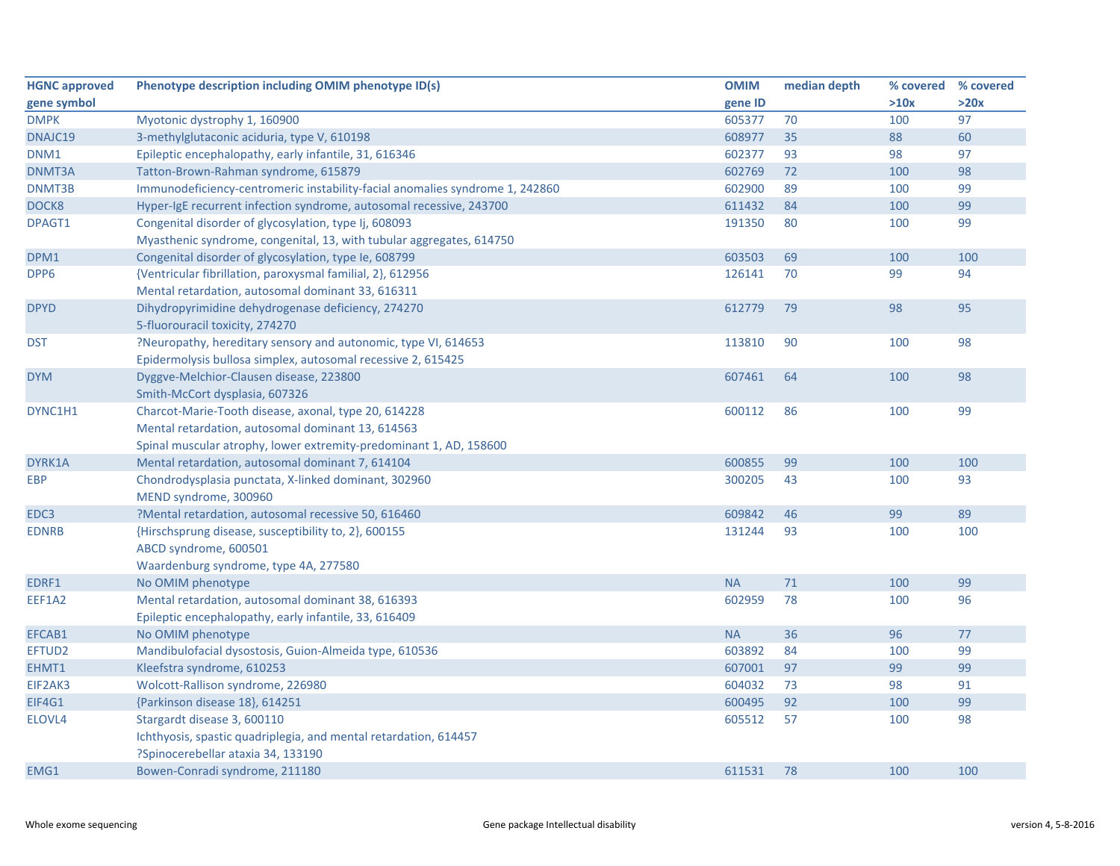| <b>HGNC approved</b> | Phenotype description including OMIM phenotype ID(s)                         | <b>OMIM</b> | median depth | % covered % covered |      |
|----------------------|------------------------------------------------------------------------------|-------------|--------------|---------------------|------|
| gene symbol          |                                                                              | gene ID     |              | >10x                | >20x |
| <b>DMPK</b>          | Myotonic dystrophy 1, 160900                                                 | 605377      | 70           | 100                 | 97   |
| DNAJC19              | 3-methylglutaconic aciduria, type V, 610198                                  | 608977      | 35           | 88                  | 60   |
| DNM1                 | Epileptic encephalopathy, early infantile, 31, 616346                        | 602377      | 93           | 98                  | 97   |
| DNMT3A               | Tatton-Brown-Rahman syndrome, 615879                                         | 602769      | 72           | 100                 | 98   |
| DNMT3B               | Immunodeficiency-centromeric instability-facial anomalies syndrome 1, 242860 | 602900      | 89           | 100                 | 99   |
| DOCK8                | Hyper-IgE recurrent infection syndrome, autosomal recessive, 243700          | 611432      | 84           | 100                 | 99   |
| DPAGT1               | Congenital disorder of glycosylation, type Ij, 608093                        | 191350      | 80           | 100                 | 99   |
|                      | Myasthenic syndrome, congenital, 13, with tubular aggregates, 614750         |             |              |                     |      |
| DPM1                 | Congenital disorder of glycosylation, type Ie, 608799                        | 603503      | 69           | 100                 | 100  |
| DPP6                 | {Ventricular fibrillation, paroxysmal familial, 2}, 612956                   | 126141      | 70           | 99                  | 94   |
|                      | Mental retardation, autosomal dominant 33, 616311                            |             |              |                     |      |
| <b>DPYD</b>          | Dihydropyrimidine dehydrogenase deficiency, 274270                           | 612779      | 79           | 98                  | 95   |
|                      | 5-fluorouracil toxicity, 274270                                              |             |              |                     |      |
| <b>DST</b>           | ?Neuropathy, hereditary sensory and autonomic, type VI, 614653               | 113810      | 90           | 100                 | 98   |
|                      | Epidermolysis bullosa simplex, autosomal recessive 2, 615425                 |             |              |                     |      |
| <b>DYM</b>           | Dyggve-Melchior-Clausen disease, 223800                                      | 607461      | 64           | 100                 | 98   |
|                      | Smith-McCort dysplasia, 607326                                               |             |              |                     |      |
| DYNC1H1              | Charcot-Marie-Tooth disease, axonal, type 20, 614228                         | 600112      | 86           | 100                 | 99   |
|                      | Mental retardation, autosomal dominant 13, 614563                            |             |              |                     |      |
|                      | Spinal muscular atrophy, lower extremity-predominant 1, AD, 158600           |             |              |                     |      |
| DYRK1A               | Mental retardation, autosomal dominant 7, 614104                             | 600855      | 99           | 100                 | 100  |
| <b>EBP</b>           | Chondrodysplasia punctata, X-linked dominant, 302960                         | 300205      | 43           | 100                 | 93   |
|                      | MEND syndrome, 300960                                                        |             |              |                     |      |
| EDC3                 | ?Mental retardation, autosomal recessive 50, 616460                          | 609842      | 46           | 99                  | 89   |
| <b>EDNRB</b>         | {Hirschsprung disease, susceptibility to, 2}, 600155                         | 131244      | 93           | 100                 | 100  |
|                      | ABCD syndrome, 600501                                                        |             |              |                     |      |
|                      | Waardenburg syndrome, type 4A, 277580                                        |             |              |                     |      |
| EDRF1                | No OMIM phenotype                                                            | <b>NA</b>   | 71           | 100                 | 99   |
| EEF1A2               | Mental retardation, autosomal dominant 38, 616393                            | 602959      | 78           | 100                 | 96   |
|                      | Epileptic encephalopathy, early infantile, 33, 616409                        |             |              |                     |      |
| EFCAB1               | No OMIM phenotype                                                            | <b>NA</b>   | 36           | 96                  | 77   |
| EFTUD2               | Mandibulofacial dysostosis, Guion-Almeida type, 610536                       | 603892      | 84           | 100                 | 99   |
| EHMT1                | Kleefstra syndrome, 610253                                                   | 607001      | 97           | 99                  | 99   |
| EIF2AK3              | Wolcott-Rallison syndrome, 226980                                            | 604032      | 73           | 98                  | 91   |
| <b>EIF4G1</b>        | {Parkinson disease 18}, 614251                                               | 600495      | 92           | 100                 | 99   |
| ELOVL4               | Stargardt disease 3, 600110                                                  | 605512      | 57           | 100                 | 98   |
|                      | Ichthyosis, spastic quadriplegia, and mental retardation, 614457             |             |              |                     |      |
|                      | ?Spinocerebellar ataxia 34, 133190                                           |             |              |                     |      |
| EMG1                 | Bowen-Conradi syndrome, 211180                                               | 611531      | 78           | 100                 | 100  |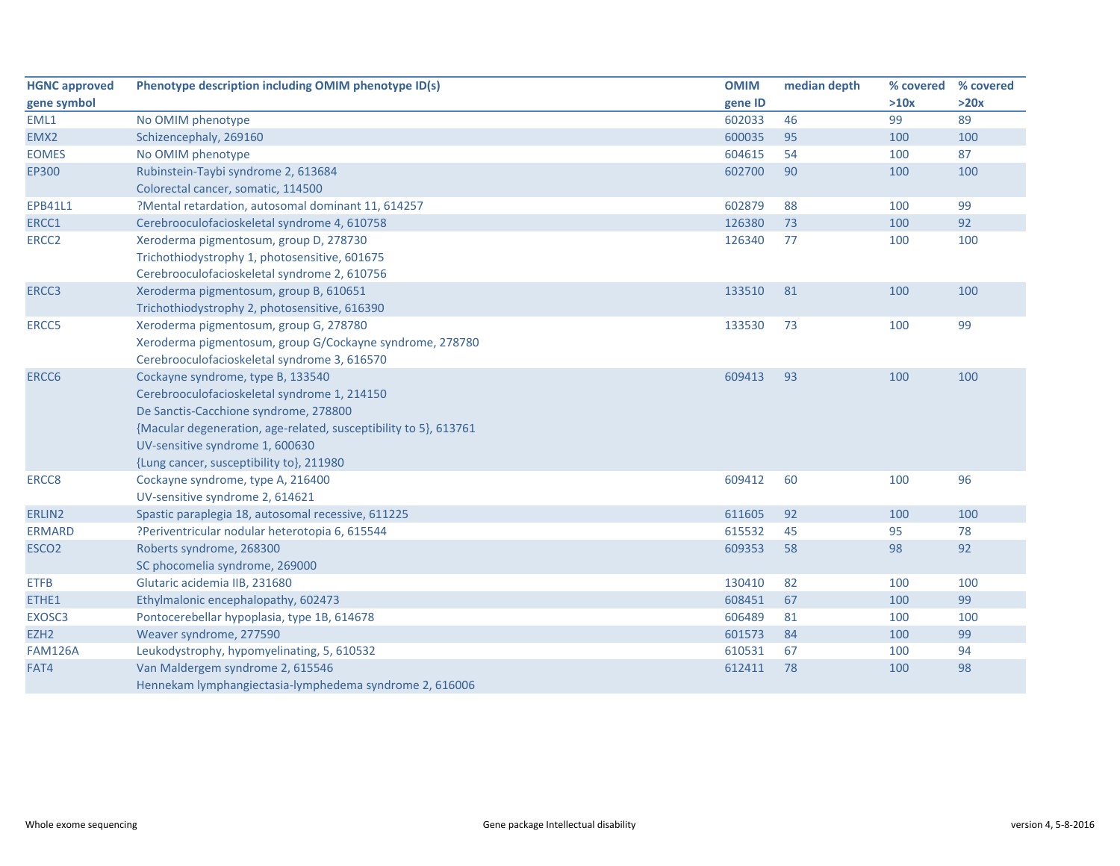| <b>HGNC approved</b> | Phenotype description including OMIM phenotype ID(s)             | <b>OMIM</b> | median depth | % covered | % covered |
|----------------------|------------------------------------------------------------------|-------------|--------------|-----------|-----------|
| gene symbol          |                                                                  | gene ID     |              | >10x      | >20x      |
| EML1                 | No OMIM phenotype                                                | 602033      | 46           | 99        | 89        |
| EMX2                 | Schizencephaly, 269160                                           | 600035      | 95           | 100       | 100       |
| <b>EOMES</b>         | No OMIM phenotype                                                | 604615      | 54           | 100       | 87        |
| EP300                | Rubinstein-Taybi syndrome 2, 613684                              | 602700      | 90           | 100       | 100       |
|                      | Colorectal cancer, somatic, 114500                               |             |              |           |           |
| <b>EPB41L1</b>       | ?Mental retardation, autosomal dominant 11, 614257               | 602879      | 88           | 100       | 99        |
| ERCC1                | Cerebrooculofacioskeletal syndrome 4, 610758                     | 126380      | 73           | 100       | 92        |
| ERCC <sub>2</sub>    | Xeroderma pigmentosum, group D, 278730                           | 126340      | 77           | 100       | 100       |
|                      | Trichothiodystrophy 1, photosensitive, 601675                    |             |              |           |           |
|                      | Cerebrooculofacioskeletal syndrome 2, 610756                     |             |              |           |           |
| ERCC3                | Xeroderma pigmentosum, group B, 610651                           | 133510      | 81           | 100       | 100       |
|                      | Trichothiodystrophy 2, photosensitive, 616390                    |             |              |           |           |
| ERCC5                | Xeroderma pigmentosum, group G, 278780                           | 133530      | 73           | 100       | 99        |
|                      | Xeroderma pigmentosum, group G/Cockayne syndrome, 278780         |             |              |           |           |
|                      | Cerebrooculofacioskeletal syndrome 3, 616570                     |             |              |           |           |
| ERCC6                | Cockayne syndrome, type B, 133540                                | 609413      | 93           | 100       | 100       |
|                      | Cerebrooculofacioskeletal syndrome 1, 214150                     |             |              |           |           |
|                      | De Sanctis-Cacchione syndrome, 278800                            |             |              |           |           |
|                      | {Macular degeneration, age-related, susceptibility to 5}, 613761 |             |              |           |           |
|                      | UV-sensitive syndrome 1, 600630                                  |             |              |           |           |
|                      | {Lung cancer, susceptibility to}, 211980                         |             |              |           |           |
| ERCC8                | Cockayne syndrome, type A, 216400                                | 609412      | 60           | 100       | 96        |
|                      | UV-sensitive syndrome 2, 614621                                  |             |              |           |           |
| ERLIN2               | Spastic paraplegia 18, autosomal recessive, 611225               | 611605      | 92           | 100       | 100       |
| <b>ERMARD</b>        | ?Periventricular nodular heterotopia 6, 615544                   | 615532      | 45           | 95        | 78        |
| ESCO <sub>2</sub>    | Roberts syndrome, 268300                                         | 609353      | 58           | 98        | 92        |
|                      | SC phocomelia syndrome, 269000                                   |             |              |           |           |
| <b>ETFB</b>          | Glutaric acidemia IIB, 231680                                    | 130410      | 82           | 100       | 100       |
| ETHE1                | Ethylmalonic encephalopathy, 602473                              | 608451      | 67           | 100       | 99        |
| EXOSC3               | Pontocerebellar hypoplasia, type 1B, 614678                      | 606489      | 81           | 100       | 100       |
| EZH <sub>2</sub>     | Weaver syndrome, 277590                                          | 601573      | 84           | 100       | 99        |
| <b>FAM126A</b>       | Leukodystrophy, hypomyelinating, 5, 610532                       | 610531      | 67           | 100       | 94        |
| FAT4                 | Van Maldergem syndrome 2, 615546                                 | 612411      | 78           | 100       | 98        |
|                      | Hennekam lymphangiectasia-lymphedema syndrome 2, 616006          |             |              |           |           |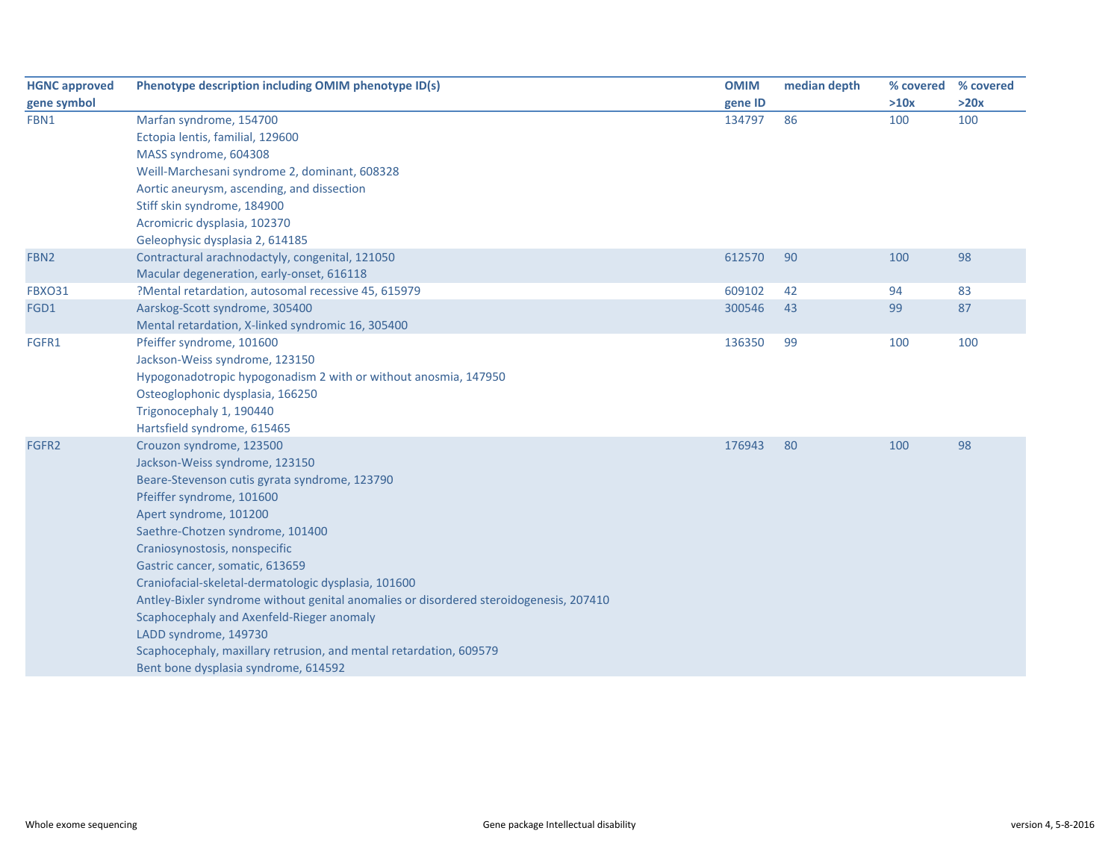| <b>HGNC approved</b> | Phenotype description including OMIM phenotype ID(s)                                   | <b>OMIM</b> | median depth | % covered % covered |      |
|----------------------|----------------------------------------------------------------------------------------|-------------|--------------|---------------------|------|
| gene symbol          |                                                                                        | gene ID     |              | >10x                | >20x |
| FBN1                 | Marfan syndrome, 154700                                                                | 134797      | 86           | 100                 | 100  |
|                      | Ectopia lentis, familial, 129600                                                       |             |              |                     |      |
|                      | MASS syndrome, 604308                                                                  |             |              |                     |      |
|                      | Weill-Marchesani syndrome 2, dominant, 608328                                          |             |              |                     |      |
|                      | Aortic aneurysm, ascending, and dissection                                             |             |              |                     |      |
|                      | Stiff skin syndrome, 184900                                                            |             |              |                     |      |
|                      | Acromicric dysplasia, 102370                                                           |             |              |                     |      |
|                      | Geleophysic dysplasia 2, 614185                                                        |             |              |                     |      |
| FBN <sub>2</sub>     | Contractural arachnodactyly, congenital, 121050                                        | 612570      | 90           | 100                 | 98   |
|                      | Macular degeneration, early-onset, 616118                                              |             |              |                     |      |
| <b>FBXO31</b>        | ?Mental retardation, autosomal recessive 45, 615979                                    | 609102      | 42           | 94                  | 83   |
| FGD1                 | Aarskog-Scott syndrome, 305400                                                         | 300546      | 43           | 99                  | 87   |
|                      | Mental retardation, X-linked syndromic 16, 305400                                      |             |              |                     |      |
| FGFR1                | Pfeiffer syndrome, 101600                                                              | 136350      | 99           | 100                 | 100  |
|                      | Jackson-Weiss syndrome, 123150                                                         |             |              |                     |      |
|                      | Hypogonadotropic hypogonadism 2 with or without anosmia, 147950                        |             |              |                     |      |
|                      | Osteoglophonic dysplasia, 166250                                                       |             |              |                     |      |
|                      | Trigonocephaly 1, 190440                                                               |             |              |                     |      |
|                      | Hartsfield syndrome, 615465                                                            |             |              |                     |      |
| FGFR2                | Crouzon syndrome, 123500                                                               | 176943      | 80           | 100                 | 98   |
|                      | Jackson-Weiss syndrome, 123150                                                         |             |              |                     |      |
|                      | Beare-Stevenson cutis gyrata syndrome, 123790                                          |             |              |                     |      |
|                      | Pfeiffer syndrome, 101600                                                              |             |              |                     |      |
|                      | Apert syndrome, 101200                                                                 |             |              |                     |      |
|                      | Saethre-Chotzen syndrome, 101400                                                       |             |              |                     |      |
|                      | Craniosynostosis, nonspecific                                                          |             |              |                     |      |
|                      | Gastric cancer, somatic, 613659                                                        |             |              |                     |      |
|                      | Craniofacial-skeletal-dermatologic dysplasia, 101600                                   |             |              |                     |      |
|                      | Antley-Bixler syndrome without genital anomalies or disordered steroidogenesis, 207410 |             |              |                     |      |
|                      | Scaphocephaly and Axenfeld-Rieger anomaly                                              |             |              |                     |      |
|                      | LADD syndrome, 149730                                                                  |             |              |                     |      |
|                      | Scaphocephaly, maxillary retrusion, and mental retardation, 609579                     |             |              |                     |      |
|                      | Bent bone dysplasia syndrome, 614592                                                   |             |              |                     |      |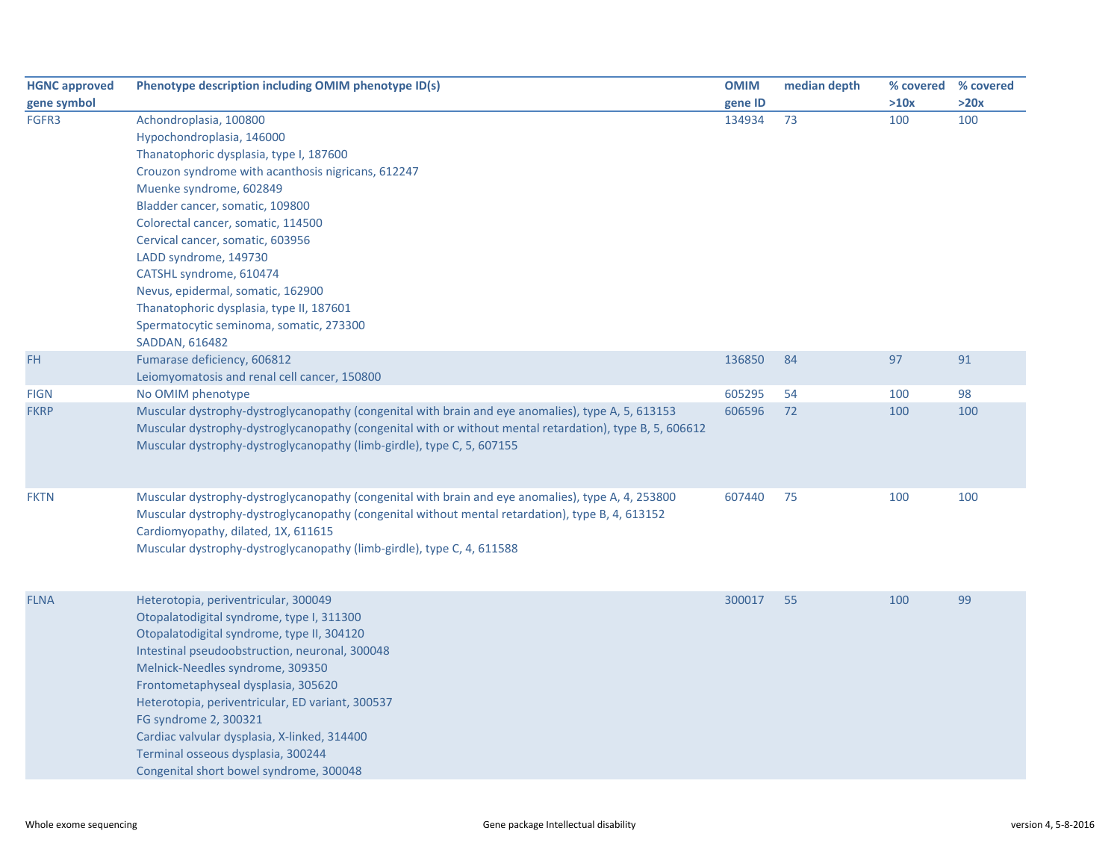| <b>HGNC approved</b> | Phenotype description including OMIM phenotype ID(s)                                                     | <b>OMIM</b> | median depth | % covered | % covered |
|----------------------|----------------------------------------------------------------------------------------------------------|-------------|--------------|-----------|-----------|
| gene symbol          |                                                                                                          | gene ID     |              | >10x      | >20x      |
| FGFR3                | Achondroplasia, 100800                                                                                   | 134934      | 73           | 100       | 100       |
|                      | Hypochondroplasia, 146000                                                                                |             |              |           |           |
|                      | Thanatophoric dysplasia, type I, 187600                                                                  |             |              |           |           |
|                      | Crouzon syndrome with acanthosis nigricans, 612247                                                       |             |              |           |           |
|                      | Muenke syndrome, 602849                                                                                  |             |              |           |           |
|                      | Bladder cancer, somatic, 109800                                                                          |             |              |           |           |
|                      | Colorectal cancer, somatic, 114500                                                                       |             |              |           |           |
|                      | Cervical cancer, somatic, 603956                                                                         |             |              |           |           |
|                      | LADD syndrome, 149730                                                                                    |             |              |           |           |
|                      | CATSHL syndrome, 610474                                                                                  |             |              |           |           |
|                      | Nevus, epidermal, somatic, 162900                                                                        |             |              |           |           |
|                      | Thanatophoric dysplasia, type II, 187601                                                                 |             |              |           |           |
|                      | Spermatocytic seminoma, somatic, 273300                                                                  |             |              |           |           |
|                      | SADDAN, 616482                                                                                           |             |              |           |           |
| <b>FH</b>            | Fumarase deficiency, 606812                                                                              | 136850      | 84           | 97        | 91        |
|                      | Leiomyomatosis and renal cell cancer, 150800                                                             |             |              |           |           |
| <b>FIGN</b>          | No OMIM phenotype                                                                                        | 605295      | 54           | 100       | 98        |
| <b>FKRP</b>          | Muscular dystrophy-dystroglycanopathy (congenital with brain and eye anomalies), type A, 5, 613153       | 606596      | 72           | 100       | 100       |
|                      | Muscular dystrophy-dystroglycanopathy (congenital with or without mental retardation), type B, 5, 606612 |             |              |           |           |
|                      | Muscular dystrophy-dystroglycanopathy (limb-girdle), type C, 5, 607155                                   |             |              |           |           |
|                      |                                                                                                          |             |              |           |           |
|                      |                                                                                                          |             |              |           |           |
| <b>FKTN</b>          | Muscular dystrophy-dystroglycanopathy (congenital with brain and eye anomalies), type A, 4, 253800       | 607440      | 75           | 100       | 100       |
|                      | Muscular dystrophy-dystroglycanopathy (congenital without mental retardation), type B, 4, 613152         |             |              |           |           |
|                      | Cardiomyopathy, dilated, 1X, 611615                                                                      |             |              |           |           |
|                      | Muscular dystrophy-dystroglycanopathy (limb-girdle), type C, 4, 611588                                   |             |              |           |           |
|                      |                                                                                                          |             |              |           |           |
|                      |                                                                                                          |             |              |           |           |
| <b>FLNA</b>          | Heterotopia, periventricular, 300049                                                                     | 300017      | 55           | 100       | 99        |
|                      | Otopalatodigital syndrome, type I, 311300                                                                |             |              |           |           |
|                      | Otopalatodigital syndrome, type II, 304120                                                               |             |              |           |           |
|                      | Intestinal pseudoobstruction, neuronal, 300048                                                           |             |              |           |           |
|                      | Melnick-Needles syndrome, 309350                                                                         |             |              |           |           |
|                      | Frontometaphyseal dysplasia, 305620                                                                      |             |              |           |           |
|                      | Heterotopia, periventricular, ED variant, 300537                                                         |             |              |           |           |
|                      | FG syndrome 2, 300321                                                                                    |             |              |           |           |
|                      | Cardiac valvular dysplasia, X-linked, 314400                                                             |             |              |           |           |
|                      | Terminal osseous dysplasia, 300244                                                                       |             |              |           |           |
|                      | Congenital short bowel syndrome, 300048                                                                  |             |              |           |           |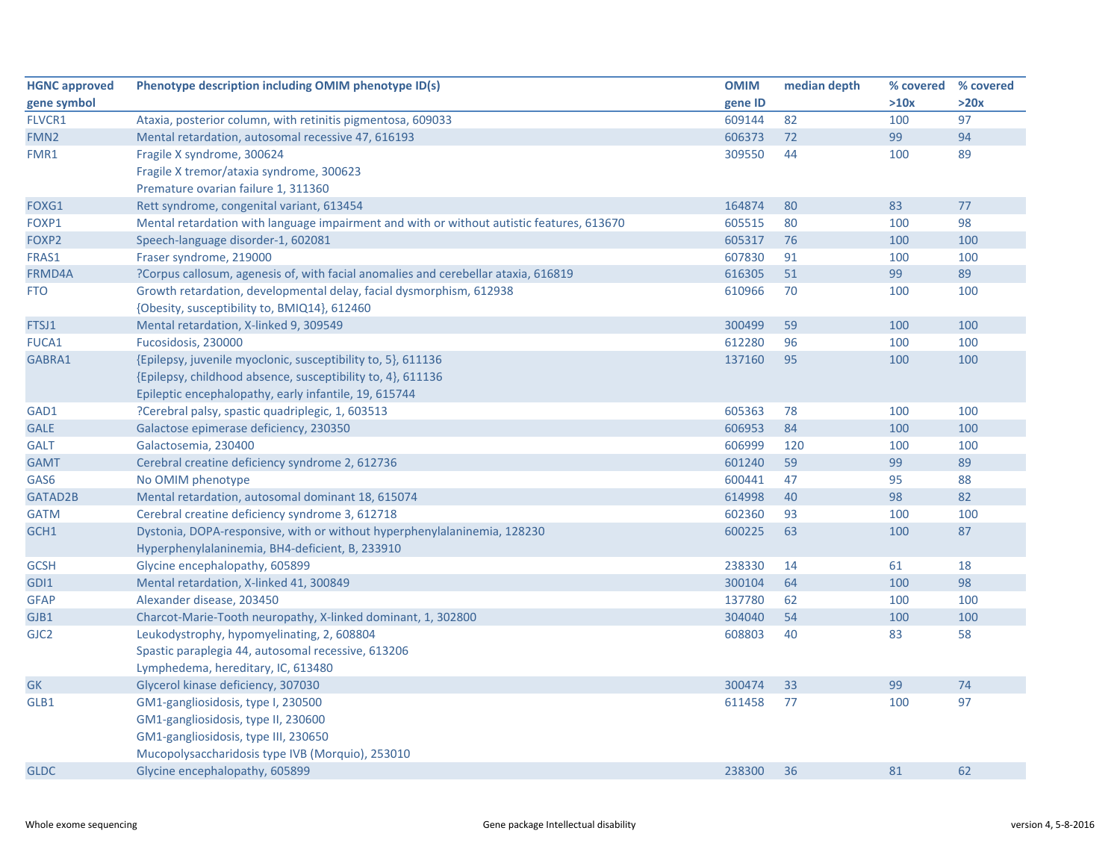| <b>HGNC approved</b> | Phenotype description including OMIM phenotype ID(s)                                      | <b>OMIM</b> | median depth | % covered | % covered |
|----------------------|-------------------------------------------------------------------------------------------|-------------|--------------|-----------|-----------|
| gene symbol          |                                                                                           | gene ID     |              | >10x      | >20x      |
| FLVCR1               | Ataxia, posterior column, with retinitis pigmentosa, 609033                               | 609144      | 82           | 100       | 97        |
| FMN <sub>2</sub>     | Mental retardation, autosomal recessive 47, 616193                                        | 606373      | 72           | 99        | 94        |
| FMR1                 | Fragile X syndrome, 300624                                                                | 309550      | 44           | 100       | 89        |
|                      | Fragile X tremor/ataxia syndrome, 300623                                                  |             |              |           |           |
|                      | Premature ovarian failure 1, 311360                                                       |             |              |           |           |
| FOXG1                | Rett syndrome, congenital variant, 613454                                                 | 164874      | 80           | 83        | 77        |
| FOXP1                | Mental retardation with language impairment and with or without autistic features, 613670 | 605515      | 80           | 100       | 98        |
| FOXP2                | Speech-language disorder-1, 602081                                                        | 605317      | 76           | 100       | 100       |
| FRAS1                | Fraser syndrome, 219000                                                                   | 607830      | 91           | 100       | 100       |
| FRMD4A               | ?Corpus callosum, agenesis of, with facial anomalies and cerebellar ataxia, 616819        | 616305      | 51           | 99        | 89        |
| <b>FTO</b>           | Growth retardation, developmental delay, facial dysmorphism, 612938                       | 610966      | 70           | 100       | 100       |
|                      | {Obesity, susceptibility to, BMIQ14}, 612460                                              |             |              |           |           |
| FTSJ1                | Mental retardation, X-linked 9, 309549                                                    | 300499      | 59           | 100       | 100       |
| <b>FUCA1</b>         | Fucosidosis, 230000                                                                       | 612280      | 96           | 100       | 100       |
| GABRA1               | {Epilepsy, juvenile myoclonic, susceptibility to, 5}, 611136                              | 137160      | 95           | 100       | 100       |
|                      | {Epilepsy, childhood absence, susceptibility to, 4}, 611136                               |             |              |           |           |
|                      | Epileptic encephalopathy, early infantile, 19, 615744                                     |             |              |           |           |
| GAD1                 | ?Cerebral palsy, spastic quadriplegic, 1, 603513                                          | 605363      | 78           | 100       | 100       |
| <b>GALE</b>          | Galactose epimerase deficiency, 230350                                                    | 606953      | 84           | 100       | 100       |
| <b>GALT</b>          | Galactosemia, 230400                                                                      | 606999      | 120          | 100       | 100       |
| <b>GAMT</b>          | Cerebral creatine deficiency syndrome 2, 612736                                           | 601240      | 59           | 99        | 89        |
| GAS6                 | No OMIM phenotype                                                                         | 600441      | 47           | 95        | 88        |
| GATAD2B              | Mental retardation, autosomal dominant 18, 615074                                         | 614998      | 40           | 98        | 82        |
| <b>GATM</b>          | Cerebral creatine deficiency syndrome 3, 612718                                           | 602360      | 93           | 100       | 100       |
| GCH1                 | Dystonia, DOPA-responsive, with or without hyperphenylalaninemia, 128230                  | 600225      | 63           | 100       | 87        |
|                      | Hyperphenylalaninemia, BH4-deficient, B, 233910                                           |             |              |           |           |
| <b>GCSH</b>          | Glycine encephalopathy, 605899                                                            | 238330      | 14           | 61        | 18        |
| GDI1                 | Mental retardation, X-linked 41, 300849                                                   | 300104      | 64           | 100       | 98        |
| <b>GFAP</b>          | Alexander disease, 203450                                                                 | 137780      | 62           | 100       | 100       |
| GJB1                 | Charcot-Marie-Tooth neuropathy, X-linked dominant, 1, 302800                              | 304040      | 54           | 100       | 100       |
| GJC <sub>2</sub>     | Leukodystrophy, hypomyelinating, 2, 608804                                                | 608803      | 40           | 83        | 58        |
|                      | Spastic paraplegia 44, autosomal recessive, 613206                                        |             |              |           |           |
|                      | Lymphedema, hereditary, IC, 613480                                                        |             |              |           |           |
| <b>GK</b>            | Glycerol kinase deficiency, 307030                                                        | 300474      | 33           | 99        | 74        |
| GLB1                 | GM1-gangliosidosis, type I, 230500                                                        | 611458      | 77           | 100       | 97        |
|                      | GM1-gangliosidosis, type II, 230600                                                       |             |              |           |           |
|                      | GM1-gangliosidosis, type III, 230650                                                      |             |              |           |           |
|                      | Mucopolysaccharidosis type IVB (Morquio), 253010                                          |             |              |           |           |
| <b>GLDC</b>          | Glycine encephalopathy, 605899                                                            | 238300      | 36           | 81        | 62        |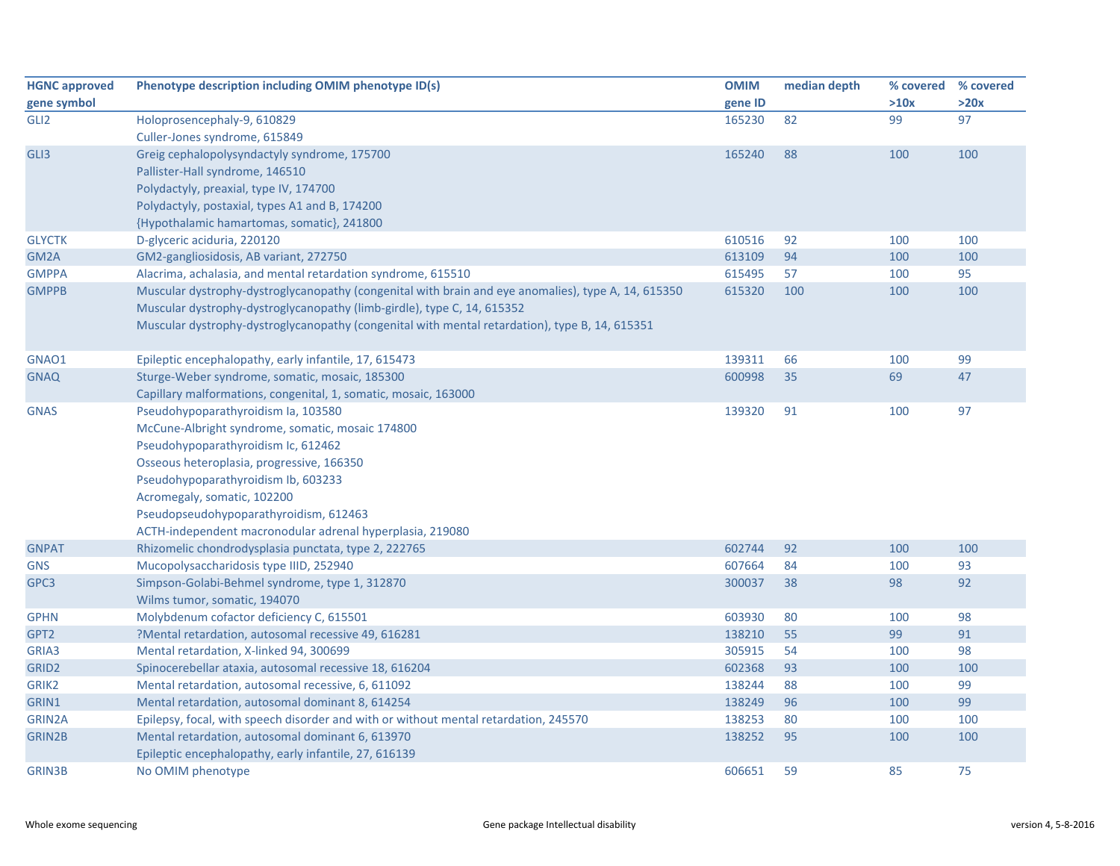| <b>HGNC approved</b> | Phenotype description including OMIM phenotype ID(s)                                                | <b>OMIM</b> | median depth |      | % covered % covered |
|----------------------|-----------------------------------------------------------------------------------------------------|-------------|--------------|------|---------------------|
| gene symbol          |                                                                                                     | gene ID     |              | >10x | >20x                |
| GLI <sub>2</sub>     | Holoprosencephaly-9, 610829                                                                         | 165230      | 82           | 99   | 97                  |
|                      | Culler-Jones syndrome, 615849                                                                       |             |              |      |                     |
| GLI3                 | Greig cephalopolysyndactyly syndrome, 175700                                                        | 165240      | 88           | 100  | 100                 |
|                      | Pallister-Hall syndrome, 146510                                                                     |             |              |      |                     |
|                      | Polydactyly, preaxial, type IV, 174700                                                              |             |              |      |                     |
|                      | Polydactyly, postaxial, types A1 and B, 174200                                                      |             |              |      |                     |
|                      | {Hypothalamic hamartomas, somatic}, 241800                                                          |             |              |      |                     |
| <b>GLYCTK</b>        | D-glyceric aciduria, 220120                                                                         | 610516      | 92           | 100  | 100                 |
| GM <sub>2</sub> A    | GM2-gangliosidosis, AB variant, 272750                                                              | 613109      | 94           | 100  | 100                 |
| <b>GMPPA</b>         | Alacrima, achalasia, and mental retardation syndrome, 615510                                        | 615495      | 57           | 100  | 95                  |
| <b>GMPPB</b>         | Muscular dystrophy-dystroglycanopathy (congenital with brain and eye anomalies), type A, 14, 615350 | 615320      | 100          | 100  | 100                 |
|                      | Muscular dystrophy-dystroglycanopathy (limb-girdle), type C, 14, 615352                             |             |              |      |                     |
|                      | Muscular dystrophy-dystroglycanopathy (congenital with mental retardation), type B, 14, 615351      |             |              |      |                     |
|                      |                                                                                                     |             |              |      |                     |
| GNAO1                | Epileptic encephalopathy, early infantile, 17, 615473                                               | 139311      | 66           | 100  | 99                  |
| <b>GNAQ</b>          | Sturge-Weber syndrome, somatic, mosaic, 185300                                                      | 600998      | 35           | 69   | 47                  |
|                      | Capillary malformations, congenital, 1, somatic, mosaic, 163000                                     |             |              |      |                     |
| <b>GNAS</b>          | Pseudohypoparathyroidism Ia, 103580                                                                 | 139320      | 91           | 100  | 97                  |
|                      | McCune-Albright syndrome, somatic, mosaic 174800                                                    |             |              |      |                     |
|                      | Pseudohypoparathyroidism Ic, 612462                                                                 |             |              |      |                     |
|                      | Osseous heteroplasia, progressive, 166350                                                           |             |              |      |                     |
|                      | Pseudohypoparathyroidism Ib, 603233                                                                 |             |              |      |                     |
|                      | Acromegaly, somatic, 102200                                                                         |             |              |      |                     |
|                      | Pseudopseudohypoparathyroidism, 612463                                                              |             |              |      |                     |
|                      | ACTH-independent macronodular adrenal hyperplasia, 219080                                           |             |              |      |                     |
| <b>GNPAT</b>         | Rhizomelic chondrodysplasia punctata, type 2, 222765                                                | 602744      | 92           | 100  | 100                 |
| <b>GNS</b>           | Mucopolysaccharidosis type IIID, 252940                                                             | 607664      | 84           | 100  | 93                  |
| GPC3                 | Simpson-Golabi-Behmel syndrome, type 1, 312870                                                      | 300037      | 38           | 98   | 92                  |
|                      | Wilms tumor, somatic, 194070                                                                        |             |              |      |                     |
| <b>GPHN</b>          | Molybdenum cofactor deficiency C, 615501                                                            | 603930      | 80           | 100  | 98                  |
| GPT2                 | ?Mental retardation, autosomal recessive 49, 616281                                                 | 138210      | 55           | 99   | 91                  |
| GRIA3                | Mental retardation, X-linked 94, 300699                                                             | 305915      | 54           | 100  | 98                  |
| GRID <sub>2</sub>    | Spinocerebellar ataxia, autosomal recessive 18, 616204                                              | 602368      | 93           | 100  | 100                 |
| GRIK <sub>2</sub>    | Mental retardation, autosomal recessive, 6, 611092                                                  | 138244      | 88           | 100  | 99                  |
| GRIN1                | Mental retardation, autosomal dominant 8, 614254                                                    | 138249      | 96           | 100  | 99                  |
| GRIN2A               | Epilepsy, focal, with speech disorder and with or without mental retardation, 245570                | 138253      | 80           | 100  | 100                 |
| <b>GRIN2B</b>        | Mental retardation, autosomal dominant 6, 613970                                                    | 138252      | 95           | 100  | 100                 |
|                      | Epileptic encephalopathy, early infantile, 27, 616139                                               |             |              |      |                     |
| <b>GRIN3B</b>        | No OMIM phenotype                                                                                   | 606651      | 59           | 85   | 75                  |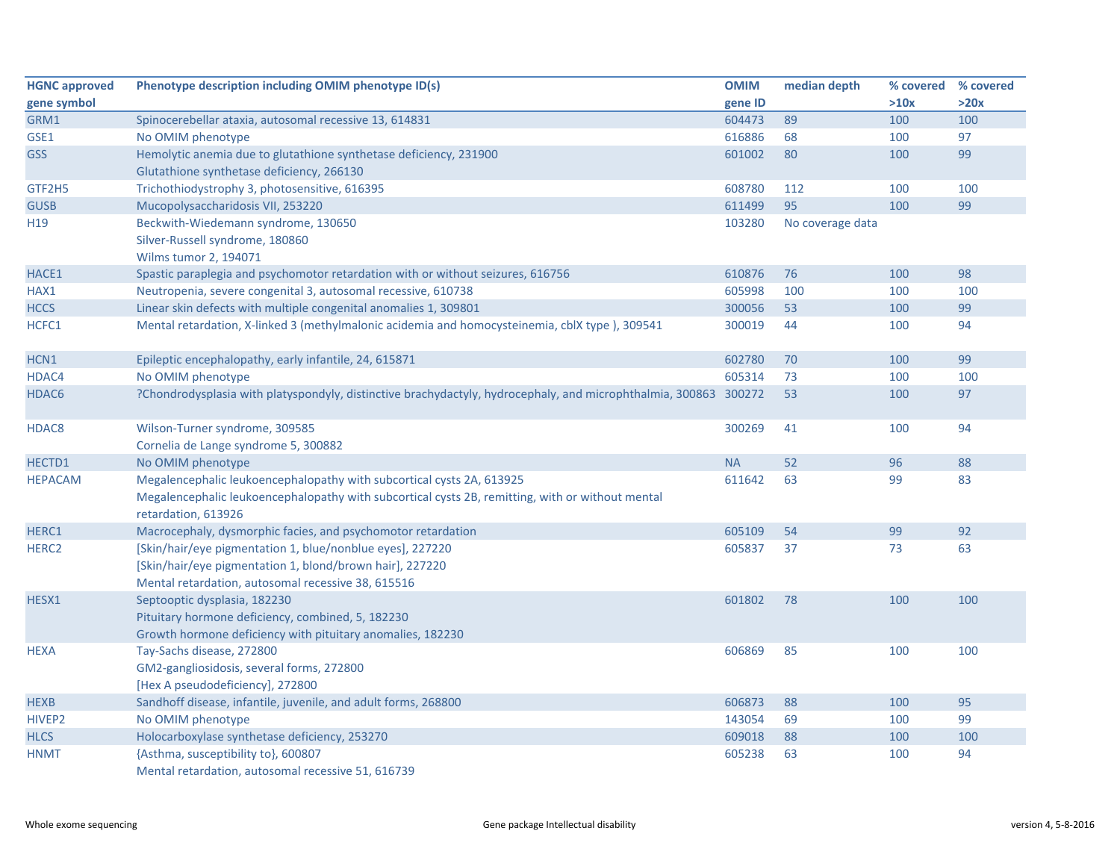| <b>HGNC approved</b> | Phenotype description including OMIM phenotype ID(s)                                                                                                                                             | <b>OMIM</b> | median depth     | % covered % covered |      |
|----------------------|--------------------------------------------------------------------------------------------------------------------------------------------------------------------------------------------------|-------------|------------------|---------------------|------|
| gene symbol          |                                                                                                                                                                                                  | gene ID     |                  | >10x                | >20x |
| GRM1                 | Spinocerebellar ataxia, autosomal recessive 13, 614831                                                                                                                                           | 604473      | 89               | 100                 | 100  |
| GSE1                 | No OMIM phenotype                                                                                                                                                                                | 616886      | 68               | 100                 | 97   |
| <b>GSS</b>           | Hemolytic anemia due to glutathione synthetase deficiency, 231900<br>Glutathione synthetase deficiency, 266130                                                                                   | 601002      | 80               | 100                 | 99   |
| GTF2H5               | Trichothiodystrophy 3, photosensitive, 616395                                                                                                                                                    | 608780      | 112              | 100                 | 100  |
| <b>GUSB</b>          | Mucopolysaccharidosis VII, 253220                                                                                                                                                                | 611499      | 95               | 100                 | 99   |
| H <sub>19</sub>      | Beckwith-Wiedemann syndrome, 130650                                                                                                                                                              | 103280      | No coverage data |                     |      |
|                      | Silver-Russell syndrome, 180860<br>Wilms tumor 2, 194071                                                                                                                                         |             |                  |                     |      |
| HACE1                | Spastic paraplegia and psychomotor retardation with or without seizures, 616756                                                                                                                  | 610876      | 76               | 100                 | 98   |
| HAX1                 | Neutropenia, severe congenital 3, autosomal recessive, 610738                                                                                                                                    | 605998      | 100              | 100                 | 100  |
| <b>HCCS</b>          | Linear skin defects with multiple congenital anomalies 1, 309801                                                                                                                                 | 300056      | 53               | 100                 | 99   |
| HCFC1                | Mental retardation, X-linked 3 (methylmalonic acidemia and homocysteinemia, cblX type), 309541                                                                                                   | 300019      | 44               | 100                 | 94   |
| HCN1                 | Epileptic encephalopathy, early infantile, 24, 615871                                                                                                                                            | 602780      | 70               | 100                 | 99   |
| HDAC4                | No OMIM phenotype                                                                                                                                                                                | 605314      | 73               | 100                 | 100  |
| HDAC6                | ?Chondrodysplasia with platyspondyly, distinctive brachydactyly, hydrocephaly, and microphthalmia, 300863 300272                                                                                 |             | 53               | 100                 | 97   |
| HDAC8                | Wilson-Turner syndrome, 309585<br>Cornelia de Lange syndrome 5, 300882                                                                                                                           | 300269      | 41               | 100                 | 94   |
| HECTD1               | No OMIM phenotype                                                                                                                                                                                | <b>NA</b>   | 52               | 96                  | 88   |
| <b>HEPACAM</b>       | Megalencephalic leukoencephalopathy with subcortical cysts 2A, 613925<br>Megalencephalic leukoencephalopathy with subcortical cysts 2B, remitting, with or without mental<br>retardation, 613926 | 611642      | 63               | 99                  | 83   |
| HERC1                | Macrocephaly, dysmorphic facies, and psychomotor retardation                                                                                                                                     | 605109      | 54               | 99                  | 92   |
| HERC <sub>2</sub>    | [Skin/hair/eye pigmentation 1, blue/nonblue eyes], 227220<br>[Skin/hair/eye pigmentation 1, blond/brown hair], 227220<br>Mental retardation, autosomal recessive 38, 615516                      | 605837      | 37               | 73                  | 63   |
| HESX1                | Septooptic dysplasia, 182230<br>Pituitary hormone deficiency, combined, 5, 182230<br>Growth hormone deficiency with pituitary anomalies, 182230                                                  | 601802      | 78               | 100                 | 100  |
| <b>HEXA</b>          | Tay-Sachs disease, 272800<br>GM2-gangliosidosis, several forms, 272800<br>[Hex A pseudodeficiency], 272800                                                                                       | 606869      | 85               | 100                 | 100  |
| <b>HEXB</b>          | Sandhoff disease, infantile, juvenile, and adult forms, 268800                                                                                                                                   | 606873      | 88               | 100                 | 95   |
| HIVEP <sub>2</sub>   | No OMIM phenotype                                                                                                                                                                                | 143054      | 69               | 100                 | 99   |
| <b>HLCS</b>          | Holocarboxylase synthetase deficiency, 253270                                                                                                                                                    | 609018      | 88               | 100                 | 100  |
| <b>HNMT</b>          | {Asthma, susceptibility to}, 600807<br>Mental retardation, autosomal recessive 51, 616739                                                                                                        | 605238      | 63               | 100                 | 94   |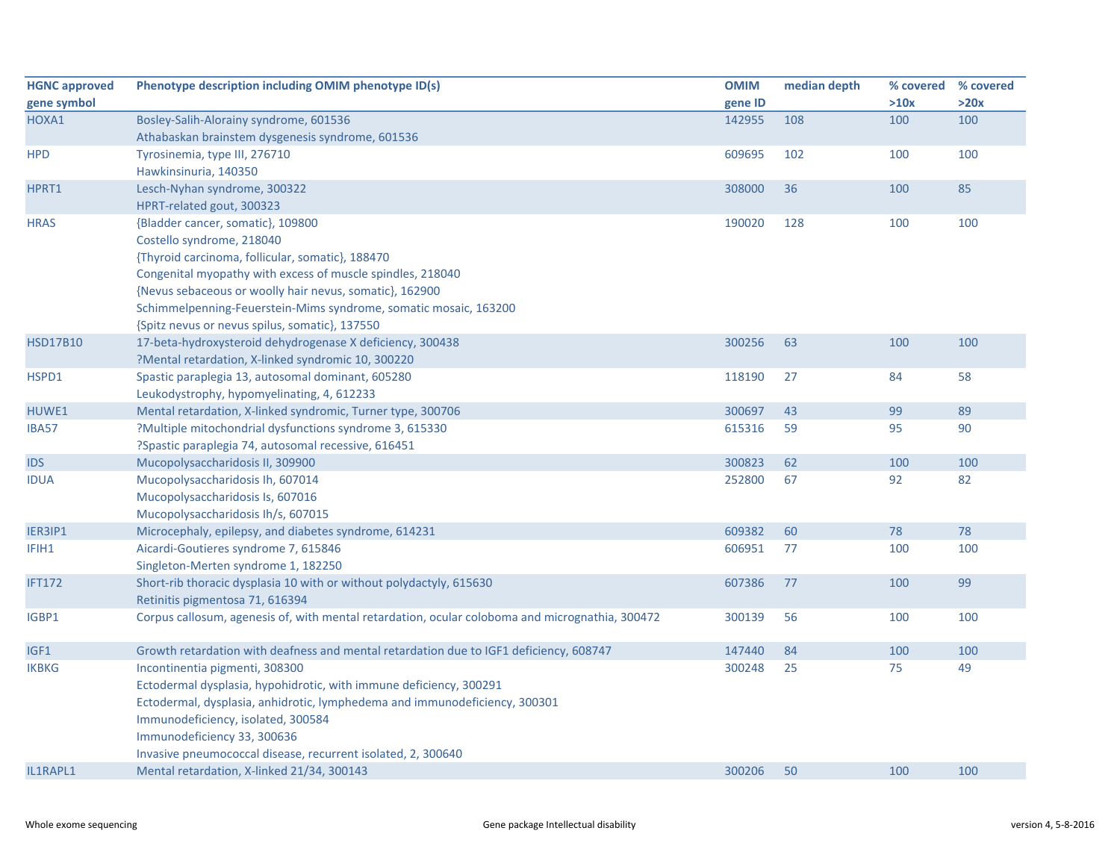| <b>HGNC approved</b> | Phenotype description including OMIM phenotype ID(s)                                                                   | <b>OMIM</b> | median depth | % covered | % covered |
|----------------------|------------------------------------------------------------------------------------------------------------------------|-------------|--------------|-----------|-----------|
| gene symbol          |                                                                                                                        | gene ID     |              | >10x      | >20x      |
| HOXA1                | Bosley-Salih-Alorainy syndrome, 601536                                                                                 | 142955      | 108          | 100       | 100       |
|                      | Athabaskan brainstem dysgenesis syndrome, 601536                                                                       |             |              |           |           |
| <b>HPD</b>           | Tyrosinemia, type III, 276710                                                                                          | 609695      | 102          | 100       | 100       |
|                      | Hawkinsinuria, 140350                                                                                                  |             |              |           |           |
| HPRT1                | Lesch-Nyhan syndrome, 300322                                                                                           | 308000      | 36           | 100       | 85        |
|                      | HPRT-related gout, 300323                                                                                              |             |              |           |           |
| <b>HRAS</b>          | {Bladder cancer, somatic}, 109800                                                                                      | 190020      | 128          | 100       | 100       |
|                      | Costello syndrome, 218040                                                                                              |             |              |           |           |
|                      | {Thyroid carcinoma, follicular, somatic}, 188470                                                                       |             |              |           |           |
|                      | Congenital myopathy with excess of muscle spindles, 218040                                                             |             |              |           |           |
|                      | {Nevus sebaceous or woolly hair nevus, somatic}, 162900                                                                |             |              |           |           |
|                      | Schimmelpenning-Feuerstein-Mims syndrome, somatic mosaic, 163200                                                       |             |              |           |           |
|                      | {Spitz nevus or nevus spilus, somatic}, 137550                                                                         |             |              |           |           |
| <b>HSD17B10</b>      | 17-beta-hydroxysteroid dehydrogenase X deficiency, 300438                                                              | 300256      | 63           | 100       | 100       |
|                      | ?Mental retardation, X-linked syndromic 10, 300220                                                                     |             |              |           |           |
| HSPD1                | Spastic paraplegia 13, autosomal dominant, 605280                                                                      | 118190      | 27           | 84        | 58        |
|                      | Leukodystrophy, hypomyelinating, 4, 612233                                                                             |             |              |           |           |
| HUWE1                | Mental retardation, X-linked syndromic, Turner type, 300706<br>?Multiple mitochondrial dysfunctions syndrome 3, 615330 | 300697      | 43           | 99<br>95  | 89<br>90  |
| <b>IBA57</b>         | ?Spastic paraplegia 74, autosomal recessive, 616451                                                                    | 615316      | 59           |           |           |
| <b>IDS</b>           | Mucopolysaccharidosis II, 309900                                                                                       | 300823      | 62           | 100       | 100       |
| <b>IDUA</b>          | Mucopolysaccharidosis Ih, 607014                                                                                       | 252800      | 67           | 92        | 82        |
|                      | Mucopolysaccharidosis Is, 607016                                                                                       |             |              |           |           |
|                      | Mucopolysaccharidosis Ih/s, 607015                                                                                     |             |              |           |           |
| IER3IP1              | Microcephaly, epilepsy, and diabetes syndrome, 614231                                                                  | 609382      | 60           | 78        | 78        |
| IFIH1                | Aicardi-Goutieres syndrome 7, 615846                                                                                   | 606951      | 77           | 100       | 100       |
|                      | Singleton-Merten syndrome 1, 182250                                                                                    |             |              |           |           |
| <b>IFT172</b>        | Short-rib thoracic dysplasia 10 with or without polydactyly, 615630                                                    | 607386      | 77           | 100       | 99        |
|                      | Retinitis pigmentosa 71, 616394                                                                                        |             |              |           |           |
| IGBP1                | Corpus callosum, agenesis of, with mental retardation, ocular coloboma and micrognathia, 300472                        | 300139      | 56           | 100       | 100       |
|                      |                                                                                                                        |             |              |           |           |
| IGF1                 | Growth retardation with deafness and mental retardation due to IGF1 deficiency, 608747                                 | 147440      | 84           | 100       | 100       |
| <b>IKBKG</b>         | Incontinentia pigmenti, 308300                                                                                         | 300248      | 25           | 75        | 49        |
|                      | Ectodermal dysplasia, hypohidrotic, with immune deficiency, 300291                                                     |             |              |           |           |
|                      | Ectodermal, dysplasia, anhidrotic, lymphedema and immunodeficiency, 300301                                             |             |              |           |           |
|                      | Immunodeficiency, isolated, 300584                                                                                     |             |              |           |           |
|                      | Immunodeficiency 33, 300636                                                                                            |             |              |           |           |
|                      | Invasive pneumococcal disease, recurrent isolated, 2, 300640                                                           |             |              |           |           |
| IL1RAPL1             | Mental retardation, X-linked 21/34, 300143                                                                             | 300206      | 50           | 100       | 100       |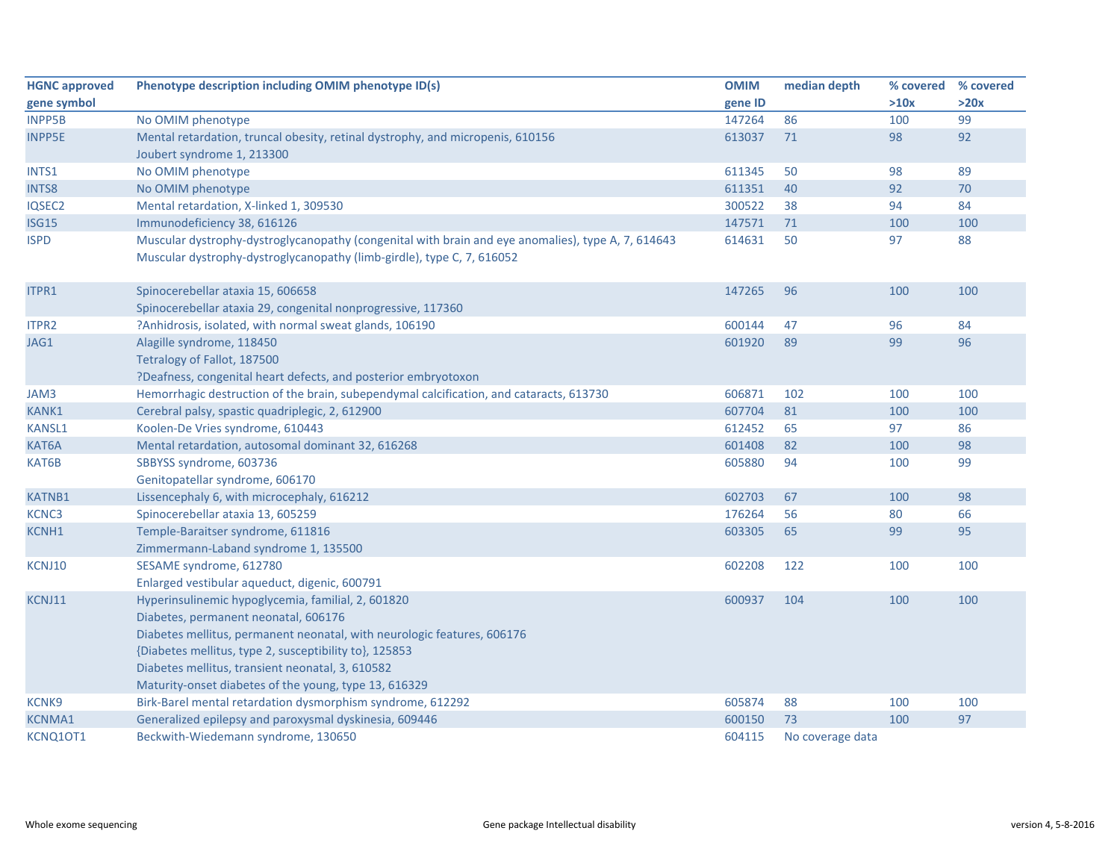| <b>HGNC approved</b> | Phenotype description including OMIM phenotype ID(s)                                               | <b>OMIM</b> | median depth     | % covered | % covered |
|----------------------|----------------------------------------------------------------------------------------------------|-------------|------------------|-----------|-----------|
| gene symbol          |                                                                                                    | gene ID     |                  | >10x      | >20x      |
| <b>INPP5B</b>        | No OMIM phenotype                                                                                  | 147264      | 86               | 100       | 99        |
| <b>INPP5E</b>        | Mental retardation, truncal obesity, retinal dystrophy, and micropenis, 610156                     | 613037      | 71               | 98        | 92        |
|                      | Joubert syndrome 1, 213300                                                                         |             |                  |           |           |
| INTS1                | No OMIM phenotype                                                                                  | 611345      | 50               | 98        | 89        |
| INTS8                | No OMIM phenotype                                                                                  | 611351      | 40               | 92        | 70        |
| IQSEC2               | Mental retardation, X-linked 1, 309530                                                             | 300522      | 38               | 94        | 84        |
| <b>ISG15</b>         | Immunodeficiency 38, 616126                                                                        | 147571      | 71               | 100       | 100       |
| <b>ISPD</b>          | Muscular dystrophy-dystroglycanopathy (congenital with brain and eye anomalies), type A, 7, 614643 | 614631      | 50               | 97        | 88        |
|                      | Muscular dystrophy-dystroglycanopathy (limb-girdle), type C, 7, 616052                             |             |                  |           |           |
| ITPR1                | Spinocerebellar ataxia 15, 606658                                                                  | 147265      | 96               | 100       | 100       |
|                      | Spinocerebellar ataxia 29, congenital nonprogressive, 117360                                       |             |                  |           |           |
| <b>ITPR2</b>         | ?Anhidrosis, isolated, with normal sweat glands, 106190                                            | 600144      | 47               | 96        | 84        |
| JAG1                 | Alagille syndrome, 118450                                                                          | 601920      | 89               | 99        | 96        |
|                      | Tetralogy of Fallot, 187500                                                                        |             |                  |           |           |
|                      | ?Deafness, congenital heart defects, and posterior embryotoxon                                     |             |                  |           |           |
| JAM3                 | Hemorrhagic destruction of the brain, subependymal calcification, and cataracts, 613730            | 606871      | 102              | 100       | 100       |
| KANK1                | Cerebral palsy, spastic quadriplegic, 2, 612900                                                    | 607704      | 81               | 100       | 100       |
| <b>KANSL1</b>        | Koolen-De Vries syndrome, 610443                                                                   | 612452      | 65               | 97        | 86        |
| KAT6A                | Mental retardation, autosomal dominant 32, 616268                                                  | 601408      | 82               | 100       | 98        |
| KAT6B                | SBBYSS syndrome, 603736                                                                            | 605880      | 94               | 100       | 99        |
|                      | Genitopatellar syndrome, 606170                                                                    |             |                  |           |           |
| <b>KATNB1</b>        | Lissencephaly 6, with microcephaly, 616212                                                         | 602703      | 67               | 100       | 98        |
| KCNC3                | Spinocerebellar ataxia 13, 605259                                                                  | 176264      | 56               | 80        | 66        |
| KCNH1                | Temple-Baraitser syndrome, 611816                                                                  | 603305      | 65               | 99        | 95        |
|                      | Zimmermann-Laband syndrome 1, 135500                                                               |             |                  |           |           |
| KCNJ10               | SESAME syndrome, 612780                                                                            | 602208      | 122              | 100       | 100       |
|                      | Enlarged vestibular aqueduct, digenic, 600791                                                      |             |                  |           |           |
| KCNJ11               | Hyperinsulinemic hypoglycemia, familial, 2, 601820                                                 | 600937      | 104              | 100       | 100       |
|                      | Diabetes, permanent neonatal, 606176                                                               |             |                  |           |           |
|                      | Diabetes mellitus, permanent neonatal, with neurologic features, 606176                            |             |                  |           |           |
|                      | {Diabetes mellitus, type 2, susceptibility to}, 125853                                             |             |                  |           |           |
|                      | Diabetes mellitus, transient neonatal, 3, 610582                                                   |             |                  |           |           |
|                      | Maturity-onset diabetes of the young, type 13, 616329                                              |             |                  |           |           |
| <b>KCNK9</b>         | Birk-Barel mental retardation dysmorphism syndrome, 612292                                         | 605874      | 88               | 100       | 100       |
| <b>KCNMA1</b>        | Generalized epilepsy and paroxysmal dyskinesia, 609446                                             | 600150      | 73               | 100       | 97        |
| KCNQ10T1             | Beckwith-Wiedemann syndrome, 130650                                                                | 604115      | No coverage data |           |           |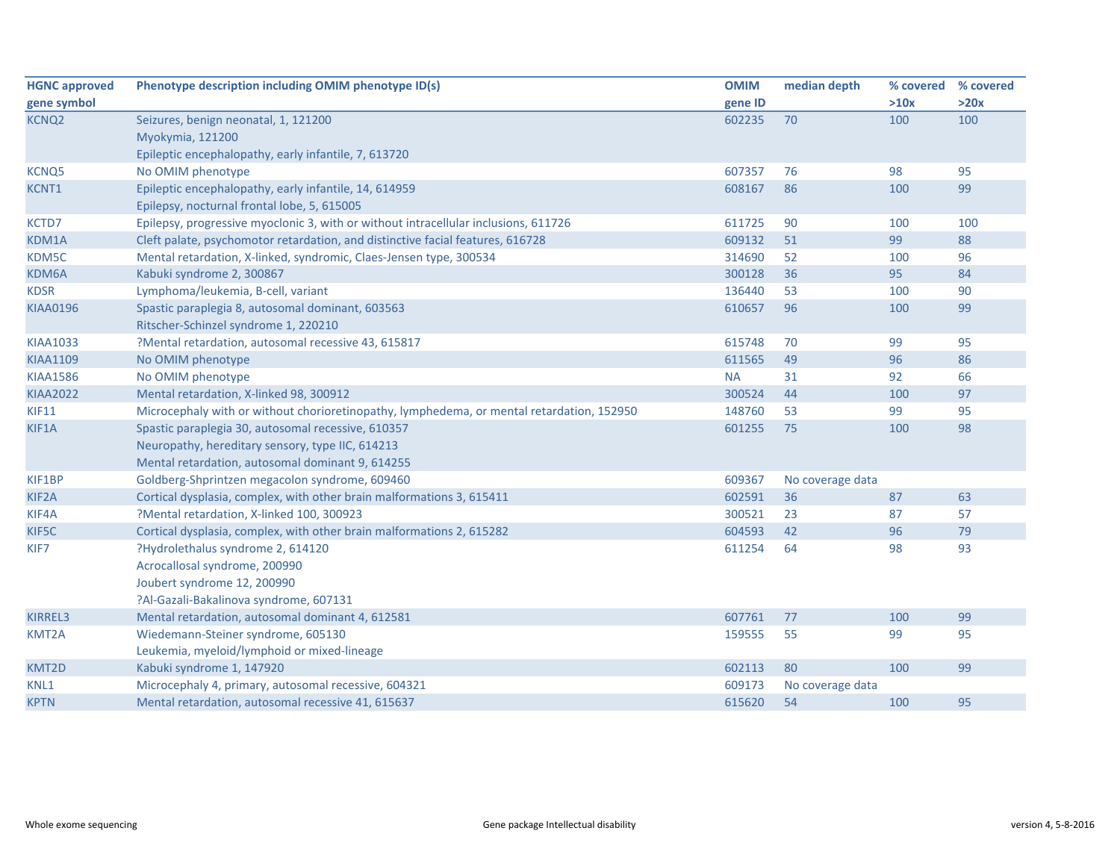| <b>HGNC approved</b> | Phenotype description including OMIM phenotype ID(s)                                      | <b>OMIM</b> | median depth     | % covered % covered |      |
|----------------------|-------------------------------------------------------------------------------------------|-------------|------------------|---------------------|------|
| gene symbol          |                                                                                           | gene ID     |                  | >10x                | >20x |
| <b>KCNQ2</b>         | Seizures, benign neonatal, 1, 121200                                                      | 602235      | 70               | 100                 | 100  |
|                      | Myokymia, 121200                                                                          |             |                  |                     |      |
|                      | Epileptic encephalopathy, early infantile, 7, 613720                                      |             |                  |                     |      |
| <b>KCNQ5</b>         | No OMIM phenotype                                                                         | 607357      | 76               | 98                  | 95   |
| KCNT1                | Epileptic encephalopathy, early infantile, 14, 614959                                     | 608167      | 86               | 100                 | 99   |
|                      | Epilepsy, nocturnal frontal lobe, 5, 615005                                               |             |                  |                     |      |
| KCTD7                | Epilepsy, progressive myoclonic 3, with or without intracellular inclusions, 611726       | 611725      | 90               | 100                 | 100  |
| KDM1A                | Cleft palate, psychomotor retardation, and distinctive facial features, 616728            | 609132      | 51               | 99                  | 88   |
| KDM5C                | Mental retardation, X-linked, syndromic, Claes-Jensen type, 300534                        | 314690      | 52               | 100                 | 96   |
| KDM6A                | Kabuki syndrome 2, 300867                                                                 | 300128      | 36               | 95                  | 84   |
| <b>KDSR</b>          | Lymphoma/leukemia, B-cell, variant                                                        | 136440      | 53               | 100                 | 90   |
| <b>KIAA0196</b>      | Spastic paraplegia 8, autosomal dominant, 603563                                          | 610657      | 96               | 100                 | 99   |
|                      | Ritscher-Schinzel syndrome 1, 220210                                                      |             |                  |                     |      |
| <b>KIAA1033</b>      | ?Mental retardation, autosomal recessive 43, 615817                                       | 615748      | 70               | 99                  | 95   |
| <b>KIAA1109</b>      | No OMIM phenotype                                                                         | 611565      | 49               | 96                  | 86   |
| <b>KIAA1586</b>      | No OMIM phenotype                                                                         | <b>NA</b>   | 31               | 92                  | 66   |
| <b>KIAA2022</b>      | Mental retardation, X-linked 98, 300912                                                   | 300524      | 44               | 100                 | 97   |
| KIF11                | Microcephaly with or without chorioretinopathy, lymphedema, or mental retardation, 152950 | 148760      | 53               | 99                  | 95   |
| KIF1A                | Spastic paraplegia 30, autosomal recessive, 610357                                        | 601255      | 75               | 100                 | 98   |
|                      | Neuropathy, hereditary sensory, type IIC, 614213                                          |             |                  |                     |      |
|                      | Mental retardation, autosomal dominant 9, 614255                                          |             |                  |                     |      |
| KIF1BP               | Goldberg-Shprintzen megacolon syndrome, 609460                                            | 609367      | No coverage data |                     |      |
| KIF <sub>2</sub> A   | Cortical dysplasia, complex, with other brain malformations 3, 615411                     | 602591      | 36               | 87                  | 63   |
| KIF4A                | ?Mental retardation, X-linked 100, 300923                                                 | 300521      | 23               | 87                  | 57   |
| KIF5C                | Cortical dysplasia, complex, with other brain malformations 2, 615282                     | 604593      | 42               | 96                  | 79   |
| KIF7                 | ?Hydrolethalus syndrome 2, 614120                                                         | 611254      | 64               | 98                  | 93   |
|                      | Acrocallosal syndrome, 200990                                                             |             |                  |                     |      |
|                      | Joubert syndrome 12, 200990                                                               |             |                  |                     |      |
|                      | ?Al-Gazali-Bakalinova syndrome, 607131                                                    |             |                  |                     |      |
| KIRREL3              | Mental retardation, autosomal dominant 4, 612581                                          | 607761      | 77               | 100                 | 99   |
| <b>KMT2A</b>         | Wiedemann-Steiner syndrome, 605130                                                        | 159555      | 55               | 99                  | 95   |
|                      | Leukemia, myeloid/lymphoid or mixed-lineage                                               |             |                  |                     |      |
| KMT2D                | Kabuki syndrome 1, 147920                                                                 | 602113      | 80               | 100                 | 99   |
| KNL1                 | Microcephaly 4, primary, autosomal recessive, 604321                                      | 609173      | No coverage data |                     |      |
| <b>KPTN</b>          | Mental retardation, autosomal recessive 41, 615637                                        | 615620      | 54               | 100                 | 95   |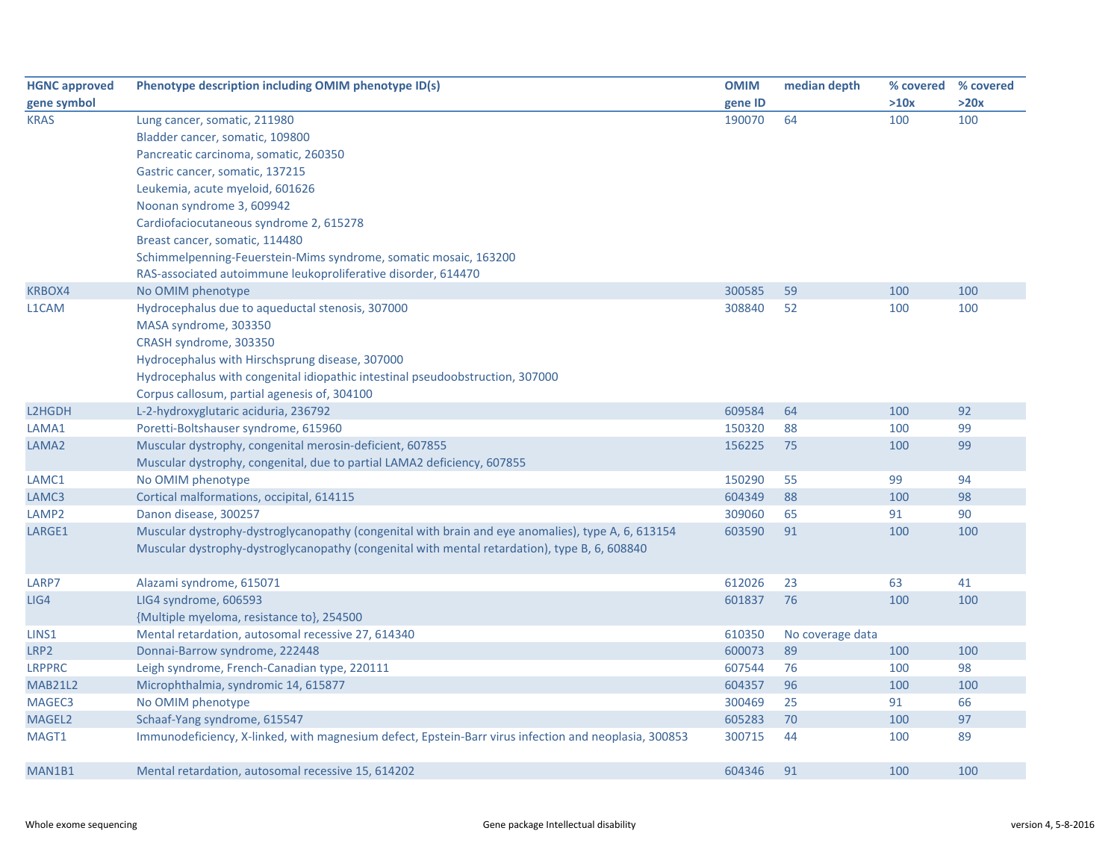| <b>HGNC approved</b> | Phenotype description including OMIM phenotype ID(s)                                                  | <b>OMIM</b> | median depth     | % covered | % covered |
|----------------------|-------------------------------------------------------------------------------------------------------|-------------|------------------|-----------|-----------|
| gene symbol          |                                                                                                       | gene ID     |                  | >10x      | >20x      |
| <b>KRAS</b>          | Lung cancer, somatic, 211980                                                                          | 190070      | 64               | 100       | 100       |
|                      | Bladder cancer, somatic, 109800                                                                       |             |                  |           |           |
|                      | Pancreatic carcinoma, somatic, 260350                                                                 |             |                  |           |           |
|                      | Gastric cancer, somatic, 137215                                                                       |             |                  |           |           |
|                      | Leukemia, acute myeloid, 601626                                                                       |             |                  |           |           |
|                      | Noonan syndrome 3, 609942                                                                             |             |                  |           |           |
|                      | Cardiofaciocutaneous syndrome 2, 615278                                                               |             |                  |           |           |
|                      | Breast cancer, somatic, 114480                                                                        |             |                  |           |           |
|                      | Schimmelpenning-Feuerstein-Mims syndrome, somatic mosaic, 163200                                      |             |                  |           |           |
|                      | RAS-associated autoimmune leukoproliferative disorder, 614470                                         |             |                  |           |           |
| <b>KRBOX4</b>        | No OMIM phenotype                                                                                     | 300585      | 59               | 100       | 100       |
| L1CAM                | Hydrocephalus due to aqueductal stenosis, 307000                                                      | 308840      | 52               | 100       | 100       |
|                      | MASA syndrome, 303350                                                                                 |             |                  |           |           |
|                      | CRASH syndrome, 303350                                                                                |             |                  |           |           |
|                      | Hydrocephalus with Hirschsprung disease, 307000                                                       |             |                  |           |           |
|                      | Hydrocephalus with congenital idiopathic intestinal pseudoobstruction, 307000                         |             |                  |           |           |
|                      | Corpus callosum, partial agenesis of, 304100                                                          |             |                  |           |           |
| L2HGDH               | L-2-hydroxyglutaric aciduria, 236792                                                                  | 609584      | 64               | 100       | 92        |
| LAMA1                | Poretti-Boltshauser syndrome, 615960                                                                  | 150320      | 88               | 100       | 99        |
| LAMA <sub>2</sub>    | Muscular dystrophy, congenital merosin-deficient, 607855                                              | 156225      | 75               | 100       | 99        |
|                      | Muscular dystrophy, congenital, due to partial LAMA2 deficiency, 607855                               |             |                  |           |           |
| LAMC1                | No OMIM phenotype                                                                                     | 150290      | 55               | 99        | 94        |
| LAMC3                | Cortical malformations, occipital, 614115                                                             | 604349      | 88               | 100       | 98        |
| LAMP <sub>2</sub>    | Danon disease, 300257                                                                                 | 309060      | 65               | 91        | 90        |
| LARGE1               | Muscular dystrophy-dystroglycanopathy (congenital with brain and eye anomalies), type A, 6, 613154    | 603590      | 91               | 100       | 100       |
|                      | Muscular dystrophy-dystroglycanopathy (congenital with mental retardation), type B, 6, 608840         |             |                  |           |           |
|                      |                                                                                                       |             |                  |           |           |
| LARP7                | Alazami syndrome, 615071                                                                              | 612026      | 23               | 63        | 41        |
| LIG4                 | LIG4 syndrome, 606593                                                                                 | 601837      | 76               | 100       | 100       |
|                      | {Multiple myeloma, resistance to}, 254500                                                             |             |                  |           |           |
| LINS1                | Mental retardation, autosomal recessive 27, 614340                                                    | 610350      | No coverage data |           |           |
| LRP2                 | Donnai-Barrow syndrome, 222448                                                                        | 600073      | 89               | 100       | 100       |
| <b>LRPPRC</b>        | Leigh syndrome, French-Canadian type, 220111                                                          | 607544      | 76               | 100       | 98        |
| <b>MAB21L2</b>       | Microphthalmia, syndromic 14, 615877                                                                  | 604357      | 96               | 100       | 100       |
| MAGEC3               | No OMIM phenotype                                                                                     | 300469      | 25               | 91        | 66        |
| MAGEL2               | Schaaf-Yang syndrome, 615547                                                                          | 605283      | 70               | 100       | 97        |
| MAGT1                | Immunodeficiency, X-linked, with magnesium defect, Epstein-Barr virus infection and neoplasia, 300853 | 300715      | 44               | 100       | 89        |
| MAN1B1               | Mental retardation, autosomal recessive 15, 614202                                                    | 604346      | 91               | 100       | 100       |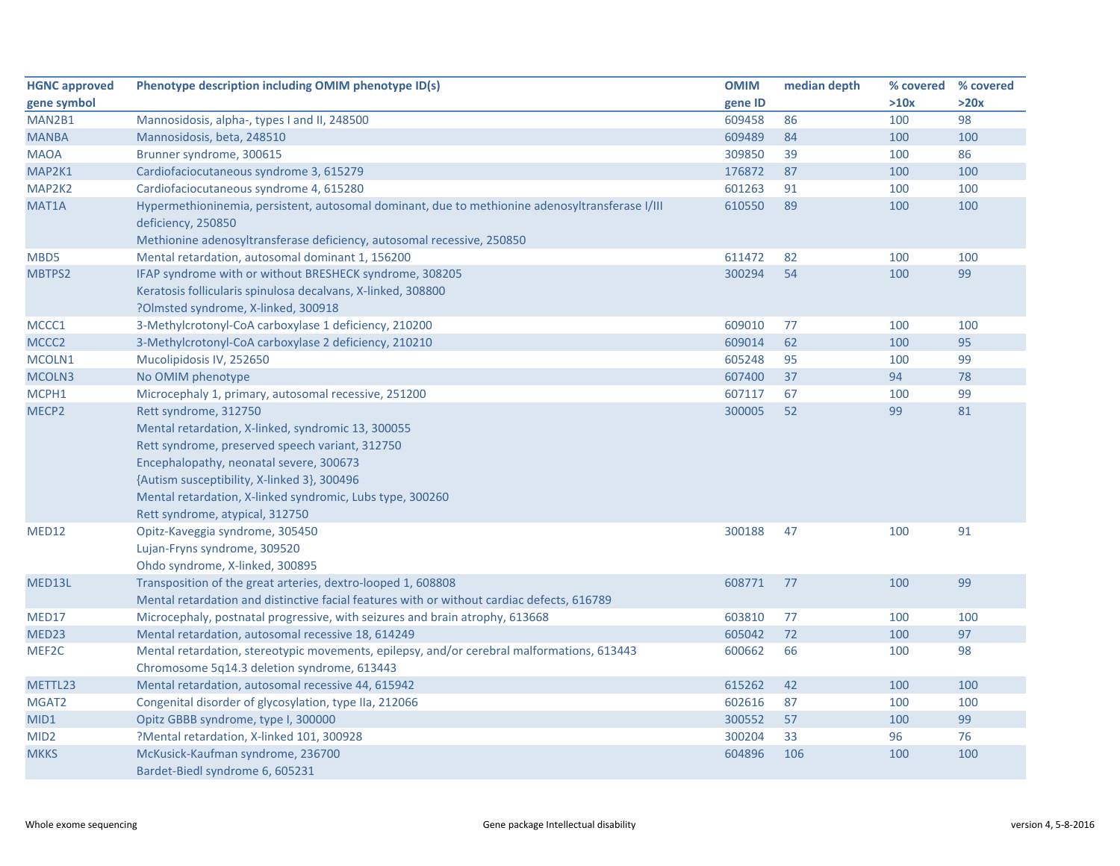| <b>HGNC approved</b> | Phenotype description including OMIM phenotype ID(s)                                                                                                                                                                                                                                                                     | <b>OMIM</b> | median depth |      | % covered % covered |
|----------------------|--------------------------------------------------------------------------------------------------------------------------------------------------------------------------------------------------------------------------------------------------------------------------------------------------------------------------|-------------|--------------|------|---------------------|
| gene symbol          |                                                                                                                                                                                                                                                                                                                          | gene ID     |              | >10x | >20x                |
| MAN2B1               | Mannosidosis, alpha-, types I and II, 248500                                                                                                                                                                                                                                                                             | 609458      | 86           | 100  | 98                  |
| <b>MANBA</b>         | Mannosidosis, beta, 248510                                                                                                                                                                                                                                                                                               | 609489      | 84           | 100  | 100                 |
| <b>MAOA</b>          | Brunner syndrome, 300615                                                                                                                                                                                                                                                                                                 | 309850      | 39           | 100  | 86                  |
| MAP2K1               | Cardiofaciocutaneous syndrome 3, 615279                                                                                                                                                                                                                                                                                  | 176872      | 87           | 100  | 100                 |
| MAP2K2               | Cardiofaciocutaneous syndrome 4, 615280                                                                                                                                                                                                                                                                                  | 601263      | 91           | 100  | 100                 |
| MAT <sub>1</sub> A   | Hypermethioninemia, persistent, autosomal dominant, due to methionine adenosyltransferase I/III<br>deficiency, 250850<br>Methionine adenosyltransferase deficiency, autosomal recessive, 250850                                                                                                                          | 610550      | 89           | 100  | 100                 |
| MBD5                 | Mental retardation, autosomal dominant 1, 156200                                                                                                                                                                                                                                                                         | 611472      | 82           | 100  | 100                 |
| MBTPS2               | IFAP syndrome with or without BRESHECK syndrome, 308205                                                                                                                                                                                                                                                                  | 300294      | 54           | 100  | 99                  |
|                      | Keratosis follicularis spinulosa decalvans, X-linked, 308800<br>?Olmsted syndrome, X-linked, 300918                                                                                                                                                                                                                      |             |              |      |                     |
| MCCC1                | 3-Methylcrotonyl-CoA carboxylase 1 deficiency, 210200                                                                                                                                                                                                                                                                    | 609010      | 77           | 100  | 100                 |
| MCCC2                | 3-Methylcrotonyl-CoA carboxylase 2 deficiency, 210210                                                                                                                                                                                                                                                                    | 609014      | 62           | 100  | 95                  |
| MCOLN1               | Mucolipidosis IV, 252650                                                                                                                                                                                                                                                                                                 | 605248      | 95           | 100  | 99                  |
| MCOLN3               | No OMIM phenotype                                                                                                                                                                                                                                                                                                        | 607400      | 37           | 94   | 78                  |
| MCPH1                | Microcephaly 1, primary, autosomal recessive, 251200                                                                                                                                                                                                                                                                     | 607117      | 67           | 100  | 99                  |
| MECP2                | Rett syndrome, 312750<br>Mental retardation, X-linked, syndromic 13, 300055<br>Rett syndrome, preserved speech variant, 312750<br>Encephalopathy, neonatal severe, 300673<br>{Autism susceptibility, X-linked 3}, 300496<br>Mental retardation, X-linked syndromic, Lubs type, 300260<br>Rett syndrome, atypical, 312750 | 300005      | 52           | 99   | 81                  |
| MED12                | Opitz-Kaveggia syndrome, 305450<br>Lujan-Fryns syndrome, 309520<br>Ohdo syndrome, X-linked, 300895                                                                                                                                                                                                                       | 300188      | 47           | 100  | 91                  |
| MED13L               | Transposition of the great arteries, dextro-looped 1, 608808<br>Mental retardation and distinctive facial features with or without cardiac defects, 616789                                                                                                                                                               | 608771      | 77           | 100  | 99                  |
| MED17                | Microcephaly, postnatal progressive, with seizures and brain atrophy, 613668                                                                                                                                                                                                                                             | 603810      | 77           | 100  | 100                 |
| MED23                | Mental retardation, autosomal recessive 18, 614249                                                                                                                                                                                                                                                                       | 605042      | 72           | 100  | 97                  |
| MEF2C                | Mental retardation, stereotypic movements, epilepsy, and/or cerebral malformations, 613443<br>Chromosome 5q14.3 deletion syndrome, 613443                                                                                                                                                                                | 600662      | 66           | 100  | 98                  |
| METTL23              | Mental retardation, autosomal recessive 44, 615942                                                                                                                                                                                                                                                                       | 615262      | 42           | 100  | 100                 |
| MGAT2                | Congenital disorder of glycosylation, type IIa, 212066                                                                                                                                                                                                                                                                   | 602616      | 87           | 100  | 100                 |
| MID1                 | Opitz GBBB syndrome, type I, 300000                                                                                                                                                                                                                                                                                      | 300552      | 57           | 100  | 99                  |
| MID <sub>2</sub>     | ?Mental retardation, X-linked 101, 300928                                                                                                                                                                                                                                                                                | 300204      | 33           | 96   | 76                  |
| <b>MKKS</b>          | McKusick-Kaufman syndrome, 236700<br>Bardet-Biedl syndrome 6, 605231                                                                                                                                                                                                                                                     | 604896      | 106          | 100  | 100                 |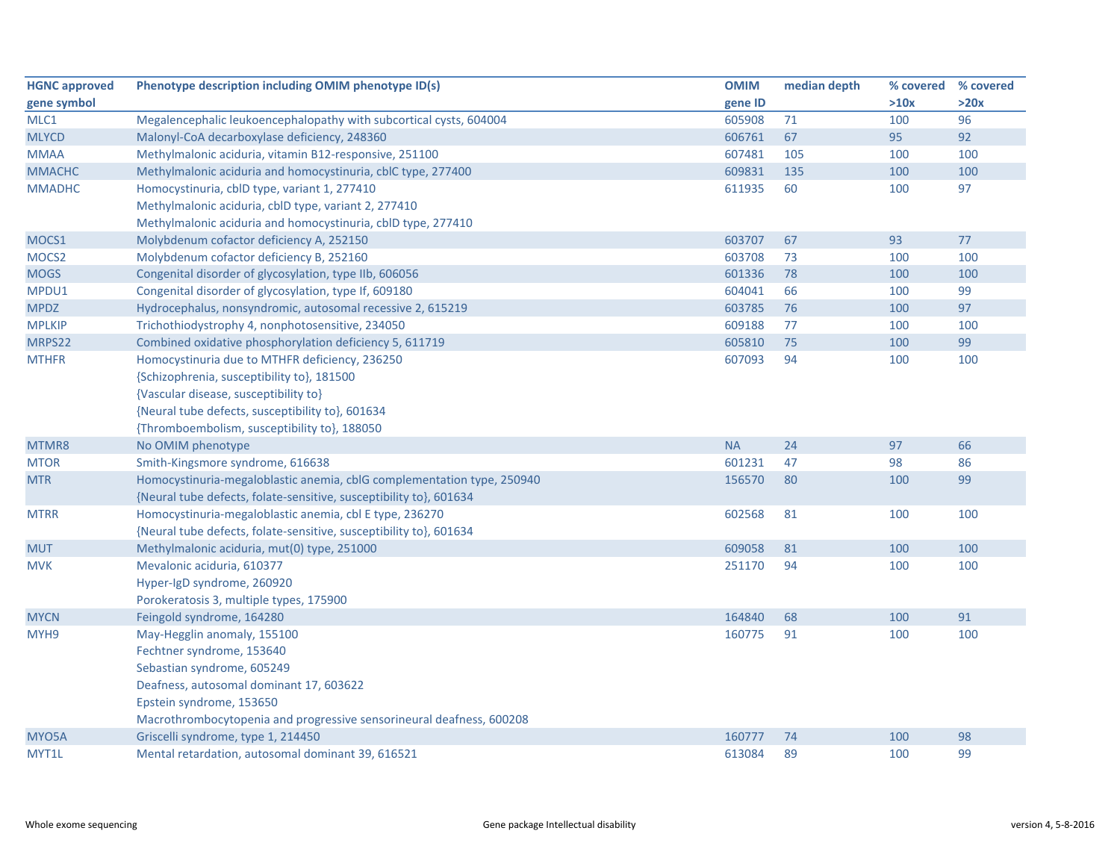| <b>HGNC approved</b> | Phenotype description including OMIM phenotype ID(s)                   | <b>OMIM</b> | median depth | % covered | % covered |
|----------------------|------------------------------------------------------------------------|-------------|--------------|-----------|-----------|
| gene symbol          |                                                                        | gene ID     |              | >10x      | >20x      |
| MLC1                 | Megalencephalic leukoencephalopathy with subcortical cysts, 604004     | 605908      | 71           | 100       | 96        |
| <b>MLYCD</b>         | Malonyl-CoA decarboxylase deficiency, 248360                           | 606761      | 67           | 95        | 92        |
| <b>MMAA</b>          | Methylmalonic aciduria, vitamin B12-responsive, 251100                 | 607481      | 105          | 100       | 100       |
| <b>MMACHC</b>        | Methylmalonic aciduria and homocystinuria, cblC type, 277400           | 609831      | 135          | 100       | 100       |
| <b>MMADHC</b>        | Homocystinuria, cblD type, variant 1, 277410                           | 611935      | 60           | 100       | 97        |
|                      | Methylmalonic aciduria, cblD type, variant 2, 277410                   |             |              |           |           |
|                      | Methylmalonic aciduria and homocystinuria, cbID type, 277410           |             |              |           |           |
| MOCS1                | Molybdenum cofactor deficiency A, 252150                               | 603707      | 67           | 93        | 77        |
| MOCS <sub>2</sub>    | Molybdenum cofactor deficiency B, 252160                               | 603708      | 73           | 100       | 100       |
| <b>MOGS</b>          | Congenital disorder of glycosylation, type IIb, 606056                 | 601336      | 78           | 100       | 100       |
| MPDU1                | Congenital disorder of glycosylation, type If, 609180                  | 604041      | 66           | 100       | 99        |
| <b>MPDZ</b>          | Hydrocephalus, nonsyndromic, autosomal recessive 2, 615219             | 603785      | 76           | 100       | 97        |
| <b>MPLKIP</b>        | Trichothiodystrophy 4, nonphotosensitive, 234050                       | 609188      | 77           | 100       | 100       |
| MRPS22               | Combined oxidative phosphorylation deficiency 5, 611719                | 605810      | 75           | 100       | 99        |
| <b>MTHFR</b>         | Homocystinuria due to MTHFR deficiency, 236250                         | 607093      | 94           | 100       | 100       |
|                      | {Schizophrenia, susceptibility to}, 181500                             |             |              |           |           |
|                      | {Vascular disease, susceptibility to}                                  |             |              |           |           |
|                      | {Neural tube defects, susceptibility to}, 601634                       |             |              |           |           |
|                      | {Thromboembolism, susceptibility to}, 188050                           |             |              |           |           |
| MTMR8                | No OMIM phenotype                                                      | <b>NA</b>   | 24           | 97        | 66        |
| <b>MTOR</b>          | Smith-Kingsmore syndrome, 616638                                       | 601231      | 47           | 98        | 86        |
| <b>MTR</b>           | Homocystinuria-megaloblastic anemia, cblG complementation type, 250940 | 156570      | 80           | 100       | 99        |
|                      | {Neural tube defects, folate-sensitive, susceptibility to}, 601634     |             |              |           |           |
| <b>MTRR</b>          | Homocystinuria-megaloblastic anemia, cbl E type, 236270                | 602568      | 81           | 100       | 100       |
|                      | {Neural tube defects, folate-sensitive, susceptibility to}, 601634     |             |              |           |           |
| <b>MUT</b>           | Methylmalonic aciduria, mut(0) type, 251000                            | 609058      | 81           | 100       | 100       |
| <b>MVK</b>           | Mevalonic aciduria, 610377                                             | 251170      | 94           | 100       | 100       |
|                      | Hyper-IgD syndrome, 260920                                             |             |              |           |           |
|                      | Porokeratosis 3, multiple types, 175900                                |             |              |           |           |
| <b>MYCN</b>          | Feingold syndrome, 164280                                              | 164840      | 68           | 100       | 91        |
| MYH <sub>9</sub>     | May-Hegglin anomaly, 155100                                            | 160775      | 91           | 100       | 100       |
|                      | Fechtner syndrome, 153640                                              |             |              |           |           |
|                      | Sebastian syndrome, 605249                                             |             |              |           |           |
|                      | Deafness, autosomal dominant 17, 603622                                |             |              |           |           |
|                      | Epstein syndrome, 153650                                               |             |              |           |           |
|                      | Macrothrombocytopenia and progressive sensorineural deafness, 600208   |             |              |           |           |
| MYO5A                | Griscelli syndrome, type 1, 214450                                     | 160777      | 74           | 100       | 98        |
| MYT1L                | Mental retardation, autosomal dominant 39, 616521                      | 613084      | 89           | 100       | 99        |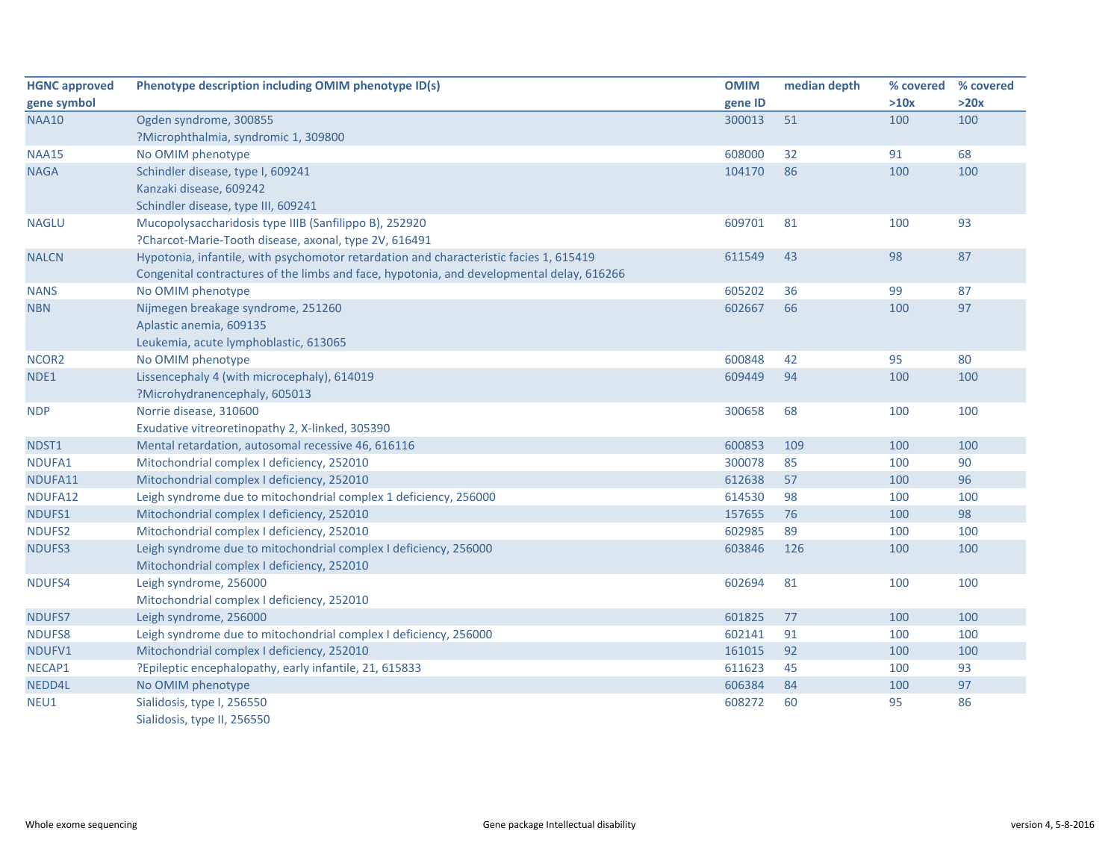| <b>HGNC approved</b> | Phenotype description including OMIM phenotype ID(s)                                      | <b>OMIM</b> | median depth | % covered | % covered |
|----------------------|-------------------------------------------------------------------------------------------|-------------|--------------|-----------|-----------|
| gene symbol          |                                                                                           | gene ID     |              | >10x      | >20x      |
| <b>NAA10</b>         | Ogden syndrome, 300855                                                                    | 300013      | 51           | 100       | 100       |
|                      | ?Microphthalmia, syndromic 1, 309800                                                      |             |              |           |           |
| <b>NAA15</b>         | No OMIM phenotype                                                                         | 608000      | 32           | 91        | 68        |
| <b>NAGA</b>          | Schindler disease, type I, 609241                                                         | 104170      | 86           | 100       | 100       |
|                      | Kanzaki disease, 609242                                                                   |             |              |           |           |
|                      | Schindler disease, type III, 609241                                                       |             |              |           |           |
| <b>NAGLU</b>         | Mucopolysaccharidosis type IIIB (Sanfilippo B), 252920                                    | 609701      | 81           | 100       | 93        |
|                      | ?Charcot-Marie-Tooth disease, axonal, type 2V, 616491                                     |             |              |           |           |
| <b>NALCN</b>         | Hypotonia, infantile, with psychomotor retardation and characteristic facies 1, 615419    | 611549      | 43           | 98        | 87        |
|                      | Congenital contractures of the limbs and face, hypotonia, and developmental delay, 616266 |             |              |           |           |
| <b>NANS</b>          | No OMIM phenotype                                                                         | 605202      | 36           | 99        | 87        |
| <b>NBN</b>           | Nijmegen breakage syndrome, 251260                                                        | 602667      | 66           | 100       | 97        |
|                      | Aplastic anemia, 609135                                                                   |             |              |           |           |
|                      | Leukemia, acute lymphoblastic, 613065                                                     |             |              |           |           |
| NCOR <sub>2</sub>    | No OMIM phenotype                                                                         | 600848      | 42           | 95        | 80        |
| NDE1                 | Lissencephaly 4 (with microcephaly), 614019                                               | 609449      | 94           | 100       | 100       |
|                      | ?Microhydranencephaly, 605013                                                             |             |              |           |           |
| <b>NDP</b>           | Norrie disease, 310600                                                                    | 300658      | 68           | 100       | 100       |
|                      | Exudative vitreoretinopathy 2, X-linked, 305390                                           |             |              |           |           |
| NDST1                | Mental retardation, autosomal recessive 46, 616116                                        | 600853      | 109          | 100       | 100       |
| NDUFA1               | Mitochondrial complex I deficiency, 252010                                                | 300078      | 85           | 100       | 90        |
| NDUFA11              | Mitochondrial complex I deficiency, 252010                                                | 612638      | 57           | 100       | 96        |
| NDUFA12              | Leigh syndrome due to mitochondrial complex 1 deficiency, 256000                          | 614530      | 98           | 100       | 100       |
| NDUFS1               | Mitochondrial complex I deficiency, 252010                                                | 157655      | 76           | 100       | 98        |
| NDUFS2               | Mitochondrial complex I deficiency, 252010                                                | 602985      | 89           | 100       | 100       |
| NDUFS3               | Leigh syndrome due to mitochondrial complex I deficiency, 256000                          | 603846      | 126          | 100       | 100       |
|                      | Mitochondrial complex I deficiency, 252010                                                |             |              |           |           |
| NDUFS4               | Leigh syndrome, 256000                                                                    | 602694      | 81           | 100       | 100       |
|                      | Mitochondrial complex I deficiency, 252010                                                |             |              |           |           |
| NDUFS7               | Leigh syndrome, 256000                                                                    | 601825      | 77           | 100       | 100       |
| <b>NDUFS8</b>        | Leigh syndrome due to mitochondrial complex I deficiency, 256000                          | 602141      | 91           | 100       | 100       |
| NDUFV1               | Mitochondrial complex I deficiency, 252010                                                | 161015      | 92           | 100       | 100       |
| NECAP1               | ?Epileptic encephalopathy, early infantile, 21, 615833                                    | 611623      | 45           | 100       | 93        |
| NEDD4L               | No OMIM phenotype                                                                         | 606384      | 84           | 100       | 97        |
| NEU1                 | Sialidosis, type I, 256550                                                                | 608272      | 60           | 95        | 86        |
|                      | Sialidosis, type II, 256550                                                               |             |              |           |           |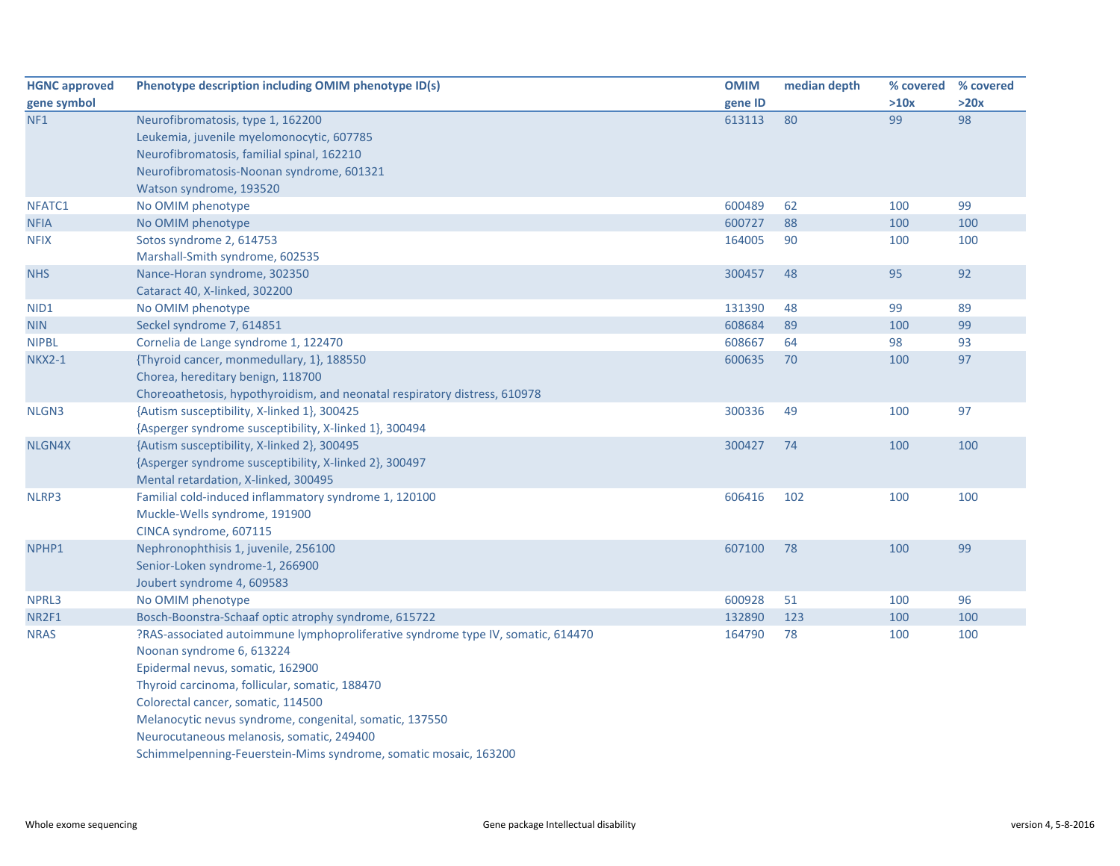| <b>HGNC approved</b> | Phenotype description including OMIM phenotype ID(s)                             | <b>OMIM</b> | median depth | % covered | % covered |
|----------------------|----------------------------------------------------------------------------------|-------------|--------------|-----------|-----------|
| gene symbol          |                                                                                  | gene ID     |              | >10x      | >20x      |
| NF <sub>1</sub>      | Neurofibromatosis, type 1, 162200                                                | 613113      | 80           | 99        | 98        |
|                      | Leukemia, juvenile myelomonocytic, 607785                                        |             |              |           |           |
|                      | Neurofibromatosis, familial spinal, 162210                                       |             |              |           |           |
|                      | Neurofibromatosis-Noonan syndrome, 601321                                        |             |              |           |           |
|                      | Watson syndrome, 193520                                                          |             |              |           |           |
| NFATC1               | No OMIM phenotype                                                                | 600489      | 62           | 100       | 99        |
| <b>NFIA</b>          | No OMIM phenotype                                                                | 600727      | 88           | 100       | 100       |
| <b>NFIX</b>          | Sotos syndrome 2, 614753                                                         | 164005      | 90           | 100       | 100       |
|                      | Marshall-Smith syndrome, 602535                                                  |             |              |           |           |
| <b>NHS</b>           | Nance-Horan syndrome, 302350                                                     | 300457      | 48           | 95        | 92        |
|                      | Cataract 40, X-linked, 302200                                                    |             |              |           |           |
| NID <sub>1</sub>     | No OMIM phenotype                                                                | 131390      | 48           | 99        | 89        |
| <b>NIN</b>           | Seckel syndrome 7, 614851                                                        | 608684      | 89           | 100       | 99        |
| <b>NIPBL</b>         | Cornelia de Lange syndrome 1, 122470                                             | 608667      | 64           | 98        | 93        |
| <b>NKX2-1</b>        | {Thyroid cancer, monmedullary, 1}, 188550                                        | 600635      | 70           | 100       | 97        |
|                      | Chorea, hereditary benign, 118700                                                |             |              |           |           |
|                      | Choreoathetosis, hypothyroidism, and neonatal respiratory distress, 610978       |             |              |           |           |
| NLGN3                | {Autism susceptibility, X-linked 1}, 300425                                      | 300336      | 49           | 100       | 97        |
|                      | {Asperger syndrome susceptibility, X-linked 1}, 300494                           |             |              |           |           |
| NLGN4X               | {Autism susceptibility, X-linked 2}, 300495                                      | 300427      | 74           | 100       | 100       |
|                      | {Asperger syndrome susceptibility, X-linked 2}, 300497                           |             |              |           |           |
|                      | Mental retardation, X-linked, 300495                                             |             |              |           |           |
| NLRP3                | Familial cold-induced inflammatory syndrome 1, 120100                            | 606416      | 102          | 100       | 100       |
|                      | Muckle-Wells syndrome, 191900                                                    |             |              |           |           |
|                      | CINCA syndrome, 607115                                                           |             |              |           |           |
| NPHP1                | Nephronophthisis 1, juvenile, 256100                                             | 607100      | 78           | 100       | 99        |
|                      | Senior-Loken syndrome-1, 266900                                                  |             |              |           |           |
|                      | Joubert syndrome 4, 609583                                                       |             |              |           |           |
| NPRL3                | No OMIM phenotype                                                                | 600928      | 51           | 100       | 96        |
| NR2F1                | Bosch-Boonstra-Schaaf optic atrophy syndrome, 615722                             | 132890      | 123          | 100       | 100       |
| <b>NRAS</b>          | ?RAS-associated autoimmune lymphoproliferative syndrome type IV, somatic, 614470 | 164790      | 78           | 100       | 100       |
|                      | Noonan syndrome 6, 613224                                                        |             |              |           |           |
|                      | Epidermal nevus, somatic, 162900                                                 |             |              |           |           |
|                      | Thyroid carcinoma, follicular, somatic, 188470                                   |             |              |           |           |
|                      | Colorectal cancer, somatic, 114500                                               |             |              |           |           |
|                      | Melanocytic nevus syndrome, congenital, somatic, 137550                          |             |              |           |           |
|                      | Neurocutaneous melanosis, somatic, 249400                                        |             |              |           |           |
|                      | Schimmelpenning-Feuerstein-Mims syndrome, somatic mosaic, 163200                 |             |              |           |           |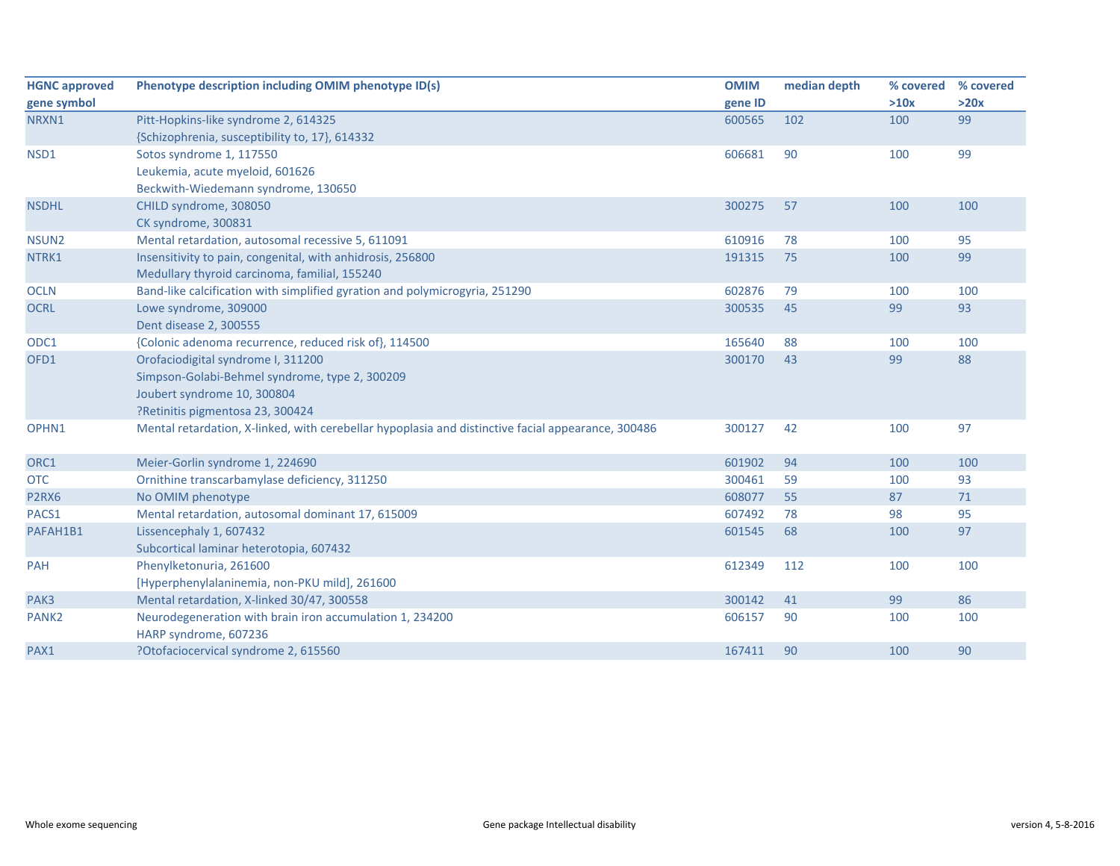| <b>HGNC approved</b> | Phenotype description including OMIM phenotype ID(s)                                               | <b>OMIM</b> | median depth | % covered | % covered |
|----------------------|----------------------------------------------------------------------------------------------------|-------------|--------------|-----------|-----------|
| gene symbol          |                                                                                                    | gene ID     |              | >10x      | >20x      |
| NRXN1                | Pitt-Hopkins-like syndrome 2, 614325                                                               | 600565      | 102          | 100       | 99        |
|                      | {Schizophrenia, susceptibility to, 17}, 614332                                                     |             |              |           |           |
| NSD1                 | Sotos syndrome 1, 117550                                                                           | 606681      | 90           | 100       | 99        |
|                      | Leukemia, acute myeloid, 601626                                                                    |             |              |           |           |
|                      | Beckwith-Wiedemann syndrome, 130650                                                                |             |              |           |           |
| <b>NSDHL</b>         | CHILD syndrome, 308050                                                                             | 300275      | 57           | 100       | 100       |
|                      | CK syndrome, 300831                                                                                |             |              |           |           |
| NSUN <sub>2</sub>    | Mental retardation, autosomal recessive 5, 611091                                                  | 610916      | 78           | 100       | 95        |
| NTRK1                | Insensitivity to pain, congenital, with anhidrosis, 256800                                         | 191315      | 75           | 100       | 99        |
|                      | Medullary thyroid carcinoma, familial, 155240                                                      |             |              |           |           |
| <b>OCLN</b>          | Band-like calcification with simplified gyration and polymicrogyria, 251290                        | 602876      | 79           | 100       | 100       |
| <b>OCRL</b>          | Lowe syndrome, 309000                                                                              | 300535      | 45           | 99        | 93        |
|                      | Dent disease 2, 300555                                                                             |             |              |           |           |
| ODC1                 | {Colonic adenoma recurrence, reduced risk of}, 114500                                              | 165640      | 88           | 100       | 100       |
| OFD1                 | Orofaciodigital syndrome I, 311200                                                                 | 300170      | 43           | 99        | 88        |
|                      | Simpson-Golabi-Behmel syndrome, type 2, 300209                                                     |             |              |           |           |
|                      | Joubert syndrome 10, 300804                                                                        |             |              |           |           |
|                      | ?Retinitis pigmentosa 23, 300424                                                                   |             |              |           |           |
| OPHN1                | Mental retardation, X-linked, with cerebellar hypoplasia and distinctive facial appearance, 300486 | 300127      | 42           | 100       | 97        |
|                      |                                                                                                    |             |              |           |           |
| ORC1                 | Meier-Gorlin syndrome 1, 224690                                                                    | 601902      | 94           | 100       | 100       |
| <b>OTC</b>           | Ornithine transcarbamylase deficiency, 311250                                                      | 300461      | 59           | 100       | 93        |
| P2RX6                | No OMIM phenotype                                                                                  | 608077      | 55           | 87        | 71        |
| PACS1                | Mental retardation, autosomal dominant 17, 615009                                                  | 607492      | 78           | 98        | 95        |
| PAFAH1B1             | Lissencephaly 1, 607432                                                                            | 601545      | 68           | 100       | 97        |
|                      | Subcortical laminar heterotopia, 607432                                                            |             |              |           |           |
| PAH                  | Phenylketonuria, 261600                                                                            | 612349      | 112          | 100       | 100       |
|                      | [Hyperphenylalaninemia, non-PKU mild], 261600                                                      |             |              |           |           |
| PAK3                 | Mental retardation, X-linked 30/47, 300558                                                         | 300142      | 41           | 99        | 86        |
| PANK <sub>2</sub>    | Neurodegeneration with brain iron accumulation 1, 234200                                           | 606157      | 90           | 100       | 100       |
|                      | HARP syndrome, 607236                                                                              |             |              |           |           |
| PAX1                 | ?Otofaciocervical syndrome 2, 615560                                                               | 167411      | 90           | 100       | 90        |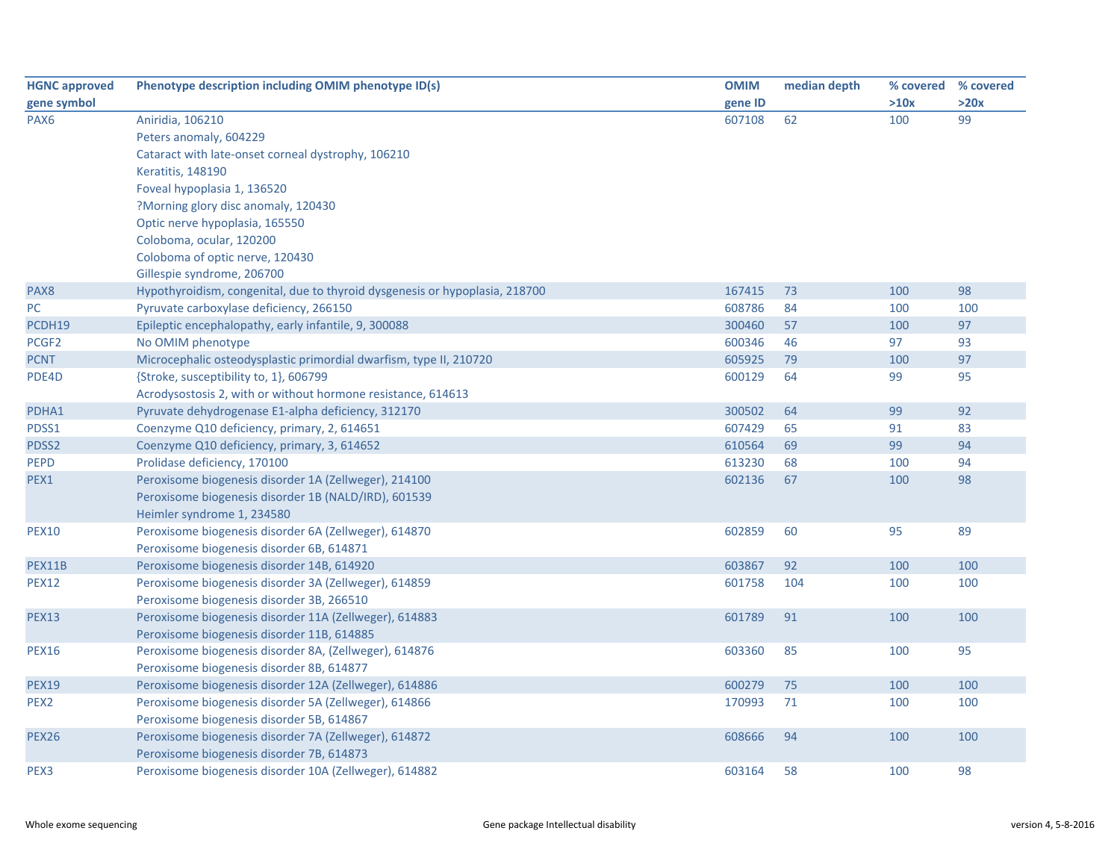| <b>HGNC approved</b> | Phenotype description including OMIM phenotype ID(s)                        | <b>OMIM</b> | median depth | % covered % covered |      |
|----------------------|-----------------------------------------------------------------------------|-------------|--------------|---------------------|------|
| gene symbol          |                                                                             | gene ID     |              | >10x                | >20x |
| PAX <sub>6</sub>     | Aniridia, 106210                                                            | 607108      | 62           | 100                 | 99   |
|                      | Peters anomaly, 604229                                                      |             |              |                     |      |
|                      | Cataract with late-onset corneal dystrophy, 106210                          |             |              |                     |      |
|                      | <b>Keratitis, 148190</b>                                                    |             |              |                     |      |
|                      | Foveal hypoplasia 1, 136520                                                 |             |              |                     |      |
|                      | ?Morning glory disc anomaly, 120430                                         |             |              |                     |      |
|                      | Optic nerve hypoplasia, 165550                                              |             |              |                     |      |
|                      | Coloboma, ocular, 120200                                                    |             |              |                     |      |
|                      | Coloboma of optic nerve, 120430                                             |             |              |                     |      |
|                      | Gillespie syndrome, 206700                                                  |             |              |                     |      |
| PAX8                 | Hypothyroidism, congenital, due to thyroid dysgenesis or hypoplasia, 218700 | 167415      | 73           | 100                 | 98   |
| PC                   | Pyruvate carboxylase deficiency, 266150                                     | 608786      | 84           | 100                 | 100  |
| PCDH19               | Epileptic encephalopathy, early infantile, 9, 300088                        | 300460      | 57           | 100                 | 97   |
| PCGF <sub>2</sub>    | No OMIM phenotype                                                           | 600346      | 46           | 97                  | 93   |
| <b>PCNT</b>          | Microcephalic osteodysplastic primordial dwarfism, type II, 210720          | 605925      | 79           | 100                 | 97   |
| PDE4D                | {Stroke, susceptibility to, 1}, 606799                                      | 600129      | 64           | 99                  | 95   |
|                      | Acrodysostosis 2, with or without hormone resistance, 614613                |             |              |                     |      |
| PDHA1                | Pyruvate dehydrogenase E1-alpha deficiency, 312170                          | 300502      | 64           | 99                  | 92   |
| PDSS1                | Coenzyme Q10 deficiency, primary, 2, 614651                                 | 607429      | 65           | 91                  | 83   |
| PDSS2                | Coenzyme Q10 deficiency, primary, 3, 614652                                 | 610564      | 69           | 99                  | 94   |
| <b>PEPD</b>          | Prolidase deficiency, 170100                                                | 613230      | 68           | 100                 | 94   |
| PEX1                 | Peroxisome biogenesis disorder 1A (Zellweger), 214100                       | 602136      | 67           | 100                 | 98   |
|                      | Peroxisome biogenesis disorder 1B (NALD/IRD), 601539                        |             |              |                     |      |
|                      | Heimler syndrome 1, 234580                                                  |             |              |                     |      |
| <b>PEX10</b>         | Peroxisome biogenesis disorder 6A (Zellweger), 614870                       | 602859      | 60           | 95                  | 89   |
|                      | Peroxisome biogenesis disorder 6B, 614871                                   |             |              |                     |      |
| PEX11B               | Peroxisome biogenesis disorder 14B, 614920                                  | 603867      | 92           | 100                 | 100  |
| <b>PEX12</b>         | Peroxisome biogenesis disorder 3A (Zellweger), 614859                       | 601758      | 104          | 100                 | 100  |
|                      | Peroxisome biogenesis disorder 3B, 266510                                   |             |              |                     |      |
| <b>PEX13</b>         | Peroxisome biogenesis disorder 11A (Zellweger), 614883                      | 601789      | 91           | 100                 | 100  |
|                      | Peroxisome biogenesis disorder 11B, 614885                                  |             |              |                     |      |
| <b>PEX16</b>         | Peroxisome biogenesis disorder 8A, (Zellweger), 614876                      | 603360      | 85           | 100                 | 95   |
|                      | Peroxisome biogenesis disorder 8B, 614877                                   |             |              |                     |      |
| <b>PEX19</b>         | Peroxisome biogenesis disorder 12A (Zellweger), 614886                      | 600279      | 75           | 100                 | 100  |
| PEX <sub>2</sub>     | Peroxisome biogenesis disorder 5A (Zellweger), 614866                       | 170993      | 71           | 100                 | 100  |
|                      | Peroxisome biogenesis disorder 5B, 614867                                   |             |              |                     |      |
| <b>PEX26</b>         | Peroxisome biogenesis disorder 7A (Zellweger), 614872                       | 608666      | 94           | 100                 | 100  |
|                      | Peroxisome biogenesis disorder 7B, 614873                                   |             |              |                     |      |
| PEX3                 | Peroxisome biogenesis disorder 10A (Zellweger), 614882                      | 603164      | 58           | 100                 | 98   |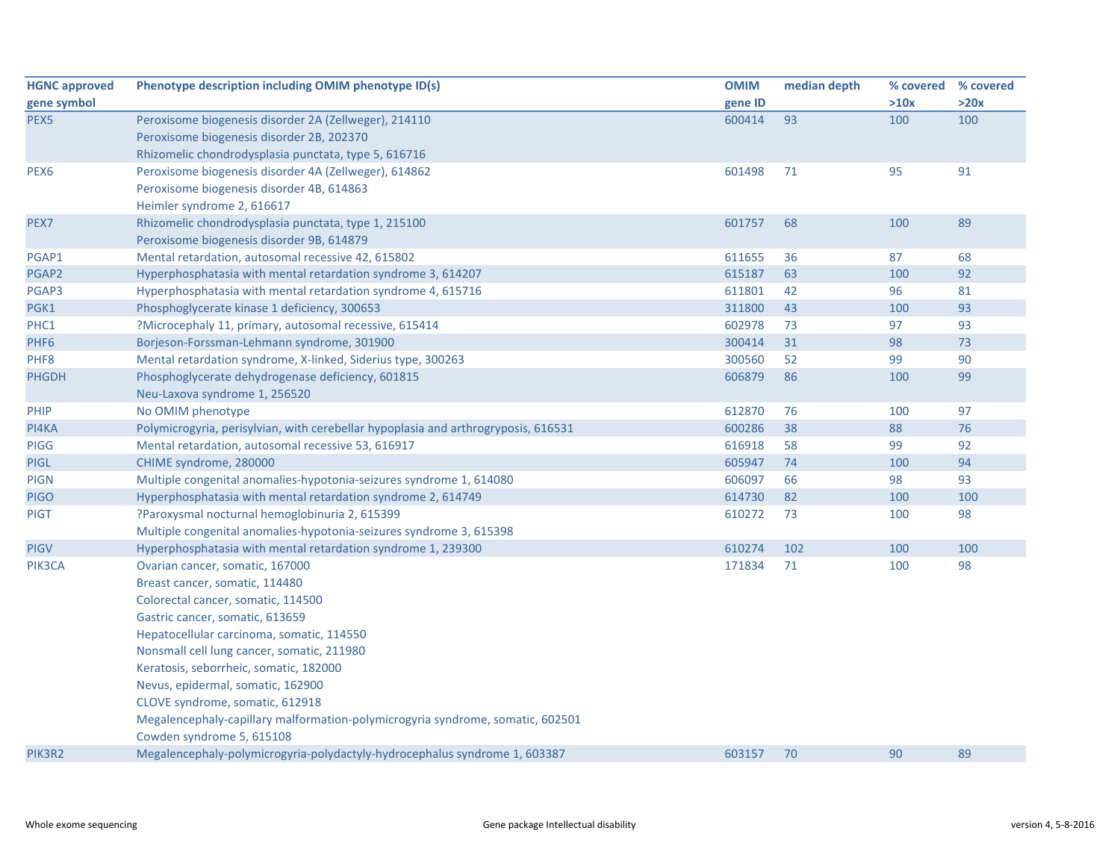| <b>HGNC approved</b> | Phenotype description including OMIM phenotype ID(s)                               | <b>OMIM</b> | median depth | % covered % covered |      |
|----------------------|------------------------------------------------------------------------------------|-------------|--------------|---------------------|------|
| gene symbol          |                                                                                    | gene ID     |              | >10x                | >20x |
| PEX <sub>5</sub>     | Peroxisome biogenesis disorder 2A (Zellweger), 214110                              | 600414      | 93           | 100                 | 100  |
|                      | Peroxisome biogenesis disorder 2B, 202370                                          |             |              |                     |      |
|                      | Rhizomelic chondrodysplasia punctata, type 5, 616716                               |             |              |                     |      |
| PEX6                 | Peroxisome biogenesis disorder 4A (Zellweger), 614862                              | 601498      | 71           | 95                  | 91   |
|                      | Peroxisome biogenesis disorder 4B, 614863                                          |             |              |                     |      |
|                      | Heimler syndrome 2, 616617                                                         |             |              |                     |      |
| PEX7                 | Rhizomelic chondrodysplasia punctata, type 1, 215100                               | 601757      | 68           | 100                 | 89   |
|                      | Peroxisome biogenesis disorder 9B, 614879                                          |             |              |                     |      |
| PGAP1                | Mental retardation, autosomal recessive 42, 615802                                 | 611655      | 36           | 87                  | 68   |
| PGAP2                | Hyperphosphatasia with mental retardation syndrome 3, 614207                       | 615187      | 63           | 100                 | 92   |
| PGAP3                | Hyperphosphatasia with mental retardation syndrome 4, 615716                       | 611801      | 42           | 96                  | 81   |
| PGK1                 | Phosphoglycerate kinase 1 deficiency, 300653                                       | 311800      | 43           | 100                 | 93   |
| PHC1                 | ?Microcephaly 11, primary, autosomal recessive, 615414                             | 602978      | 73           | 97                  | 93   |
| PHF <sub>6</sub>     | Borjeson-Forssman-Lehmann syndrome, 301900                                         | 300414      | 31           | 98                  | 73   |
| PHF8                 | Mental retardation syndrome, X-linked, Siderius type, 300263                       | 300560      | 52           | 99                  | 90   |
| <b>PHGDH</b>         | Phosphoglycerate dehydrogenase deficiency, 601815                                  | 606879      | 86           | 100                 | 99   |
|                      | Neu-Laxova syndrome 1, 256520                                                      |             |              |                     |      |
| PHIP                 | No OMIM phenotype                                                                  | 612870      | 76           | 100                 | 97   |
| PI4KA                | Polymicrogyria, perisylvian, with cerebellar hypoplasia and arthrogryposis, 616531 | 600286      | 38           | 88                  | 76   |
| <b>PIGG</b>          | Mental retardation, autosomal recessive 53, 616917                                 | 616918      | 58           | 99                  | 92   |
| <b>PIGL</b>          | CHIME syndrome, 280000                                                             | 605947      | 74           | 100                 | 94   |
| <b>PIGN</b>          | Multiple congenital anomalies-hypotonia-seizures syndrome 1, 614080                | 606097      | 66           | 98                  | 93   |
| <b>PIGO</b>          | Hyperphosphatasia with mental retardation syndrome 2, 614749                       | 614730      | 82           | 100                 | 100  |
| <b>PIGT</b>          | ?Paroxysmal nocturnal hemoglobinuria 2, 615399                                     | 610272      | 73           | 100                 | 98   |
|                      | Multiple congenital anomalies-hypotonia-seizures syndrome 3, 615398                |             |              |                     |      |
| <b>PIGV</b>          | Hyperphosphatasia with mental retardation syndrome 1, 239300                       | 610274      | 102          | 100                 | 100  |
| PIK3CA               | Ovarian cancer, somatic, 167000                                                    | 171834      | 71           | 100                 | 98   |
|                      | Breast cancer, somatic, 114480                                                     |             |              |                     |      |
|                      | Colorectal cancer, somatic, 114500                                                 |             |              |                     |      |
|                      | Gastric cancer, somatic, 613659                                                    |             |              |                     |      |
|                      | Hepatocellular carcinoma, somatic, 114550                                          |             |              |                     |      |
|                      | Nonsmall cell lung cancer, somatic, 211980                                         |             |              |                     |      |
|                      | Keratosis, seborrheic, somatic, 182000                                             |             |              |                     |      |
|                      | Nevus, epidermal, somatic, 162900                                                  |             |              |                     |      |
|                      | CLOVE syndrome, somatic, 612918                                                    |             |              |                     |      |
|                      | Megalencephaly-capillary malformation-polymicrogyria syndrome, somatic, 602501     |             |              |                     |      |
|                      | Cowden syndrome 5, 615108                                                          |             |              |                     |      |
| PIK3R2               | Megalencephaly-polymicrogyria-polydactyly-hydrocephalus syndrome 1, 603387         | 603157      | 70           | 90                  | 89   |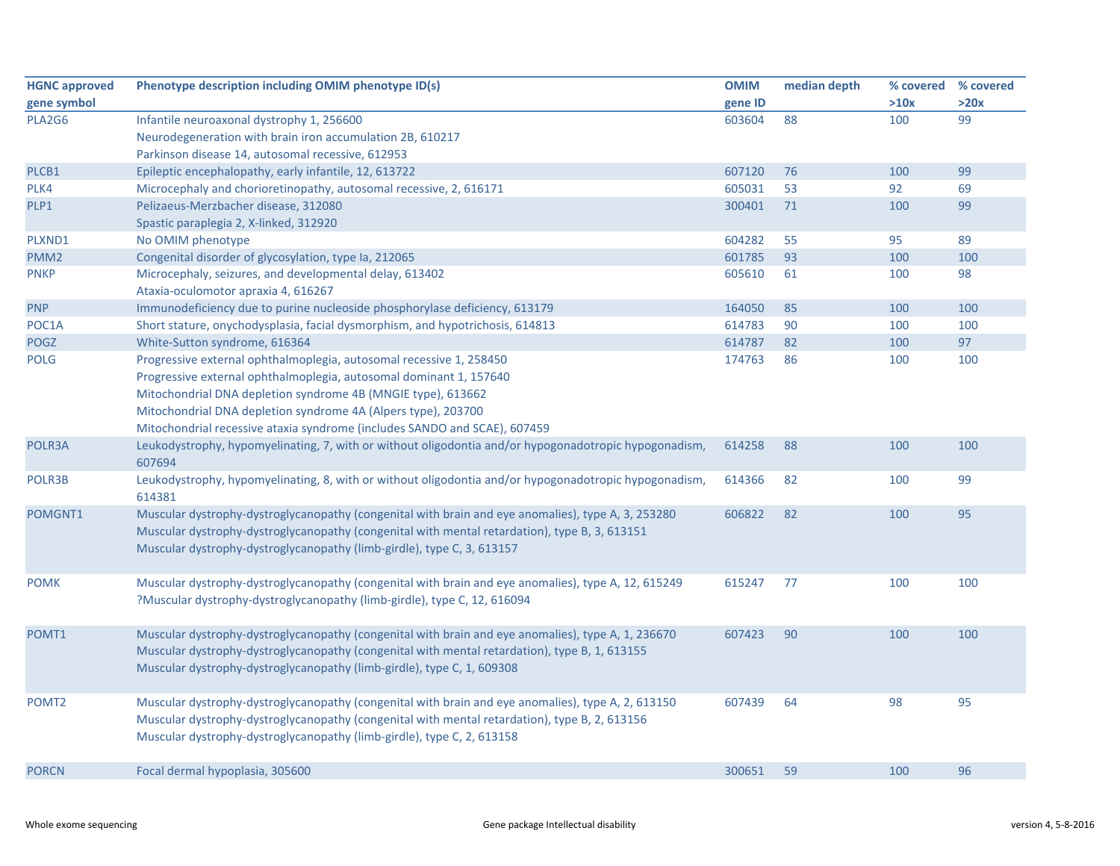| <b>HGNC approved</b> | Phenotype description including OMIM phenotype ID(s)                                                            | <b>OMIM</b> | median depth | % covered | % covered |
|----------------------|-----------------------------------------------------------------------------------------------------------------|-------------|--------------|-----------|-----------|
| gene symbol          |                                                                                                                 | gene ID     |              | >10x      | >20x      |
| PLA2G6               | Infantile neuroaxonal dystrophy 1, 256600                                                                       | 603604      | 88           | 100       | 99        |
|                      | Neurodegeneration with brain iron accumulation 2B, 610217                                                       |             |              |           |           |
|                      | Parkinson disease 14, autosomal recessive, 612953                                                               |             |              |           |           |
| PLCB1                | Epileptic encephalopathy, early infantile, 12, 613722                                                           | 607120      | 76           | 100       | 99        |
| PLK4                 | Microcephaly and chorioretinopathy, autosomal recessive, 2, 616171                                              | 605031      | 53           | 92        | 69        |
| PLP1                 | Pelizaeus-Merzbacher disease, 312080                                                                            | 300401      | 71           | 100       | 99        |
|                      | Spastic paraplegia 2, X-linked, 312920                                                                          |             |              |           |           |
| PLXND1               | No OMIM phenotype                                                                                               | 604282      | 55           | 95        | 89        |
| PMM <sub>2</sub>     | Congenital disorder of glycosylation, type Ia, 212065                                                           | 601785      | 93           | 100       | 100       |
| <b>PNKP</b>          | Microcephaly, seizures, and developmental delay, 613402<br>Ataxia-oculomotor apraxia 4, 616267                  | 605610      | 61           | 100       | 98        |
| <b>PNP</b>           | Immunodeficiency due to purine nucleoside phosphorylase deficiency, 613179                                      | 164050      | 85           | 100       | 100       |
| POC1A                | Short stature, onychodysplasia, facial dysmorphism, and hypotrichosis, 614813                                   | 614783      | 90           | 100       | 100       |
| POGZ                 | White-Sutton syndrome, 616364                                                                                   | 614787      | 82           | 100       | 97        |
| <b>POLG</b>          | Progressive external ophthalmoplegia, autosomal recessive 1, 258450                                             | 174763      | 86           | 100       | 100       |
|                      | Progressive external ophthalmoplegia, autosomal dominant 1, 157640                                              |             |              |           |           |
|                      | Mitochondrial DNA depletion syndrome 4B (MNGIE type), 613662                                                    |             |              |           |           |
|                      | Mitochondrial DNA depletion syndrome 4A (Alpers type), 203700                                                   |             |              |           |           |
|                      | Mitochondrial recessive ataxia syndrome (includes SANDO and SCAE), 607459                                       |             |              |           |           |
| POLR3A               | Leukodystrophy, hypomyelinating, 7, with or without oligodontia and/or hypogonadotropic hypogonadism,           | 614258      | 88           | 100       | 100       |
|                      | 607694                                                                                                          |             |              |           |           |
| POLR3B               | Leukodystrophy, hypomyelinating, 8, with or without oligodontia and/or hypogonadotropic hypogonadism,<br>614381 | 614366      | 82           | 100       | 99        |
| POMGNT1              | Muscular dystrophy-dystroglycanopathy (congenital with brain and eye anomalies), type A, 3, 253280              | 606822      | 82           | 100       | 95        |
|                      | Muscular dystrophy-dystroglycanopathy (congenital with mental retardation), type B, 3, 613151                   |             |              |           |           |
|                      | Muscular dystrophy-dystroglycanopathy (limb-girdle), type C, 3, 613157                                          |             |              |           |           |
|                      |                                                                                                                 |             |              |           |           |
| <b>POMK</b>          | Muscular dystrophy-dystroglycanopathy (congenital with brain and eye anomalies), type A, 12, 615249             | 615247      | 77           | 100       | 100       |
|                      | ?Muscular dystrophy-dystroglycanopathy (limb-girdle), type C, 12, 616094                                        |             |              |           |           |
|                      |                                                                                                                 |             |              |           |           |
| POMT1                | Muscular dystrophy-dystroglycanopathy (congenital with brain and eye anomalies), type A, 1, 236670              | 607423      | 90           | 100       | 100       |
|                      | Muscular dystrophy-dystroglycanopathy (congenital with mental retardation), type B, 1, 613155                   |             |              |           |           |
|                      | Muscular dystrophy-dystroglycanopathy (limb-girdle), type C, 1, 609308                                          |             |              |           |           |
|                      |                                                                                                                 |             |              |           |           |
| POMT <sub>2</sub>    | Muscular dystrophy-dystroglycanopathy (congenital with brain and eye anomalies), type A, 2, 613150              | 607439      | 64           | 98        | 95        |
|                      | Muscular dystrophy-dystroglycanopathy (congenital with mental retardation), type B, 2, 613156                   |             |              |           |           |
|                      | Muscular dystrophy-dystroglycanopathy (limb-girdle), type C, 2, 613158                                          |             |              |           |           |
|                      |                                                                                                                 |             |              |           |           |
| <b>PORCN</b>         | Focal dermal hypoplasia, 305600                                                                                 | 300651      | 59           | 100       | 96        |
|                      |                                                                                                                 |             |              |           |           |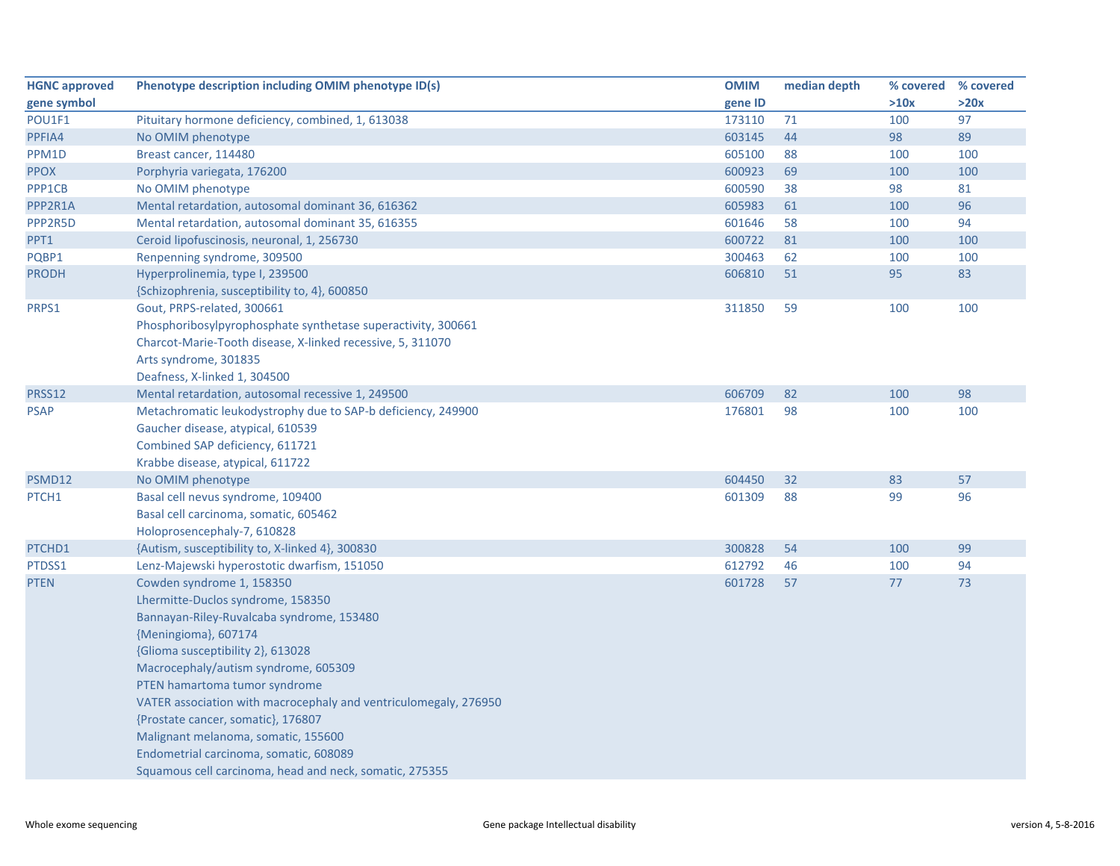| <b>HGNC approved</b> | Phenotype description including OMIM phenotype ID(s)             | <b>OMIM</b> | median depth | % covered | % covered |
|----------------------|------------------------------------------------------------------|-------------|--------------|-----------|-----------|
| gene symbol          |                                                                  | gene ID     |              | >10x      | >20x      |
| POU1F1               | Pituitary hormone deficiency, combined, 1, 613038                | 173110      | 71           | 100       | 97        |
| PPFIA4               | No OMIM phenotype                                                | 603145      | 44           | 98        | 89        |
| PPM1D                | Breast cancer, 114480                                            | 605100      | 88           | 100       | 100       |
| <b>PPOX</b>          | Porphyria variegata, 176200                                      | 600923      | 69           | 100       | 100       |
| PPP1CB               | No OMIM phenotype                                                | 600590      | 38           | 98        | 81        |
| PPP2R1A              | Mental retardation, autosomal dominant 36, 616362                | 605983      | 61           | 100       | 96        |
| PPP2R5D              | Mental retardation, autosomal dominant 35, 616355                | 601646      | 58           | 100       | 94        |
| PPT1                 | Ceroid lipofuscinosis, neuronal, 1, 256730                       | 600722      | 81           | 100       | 100       |
| PQBP1                | Renpenning syndrome, 309500                                      | 300463      | 62           | 100       | 100       |
| <b>PRODH</b>         | Hyperprolinemia, type I, 239500                                  | 606810      | 51           | 95        | 83        |
|                      | {Schizophrenia, susceptibility to, 4}, 600850                    |             |              |           |           |
| PRPS1                | Gout, PRPS-related, 300661                                       | 311850      | 59           | 100       | 100       |
|                      | Phosphoribosylpyrophosphate synthetase superactivity, 300661     |             |              |           |           |
|                      | Charcot-Marie-Tooth disease, X-linked recessive, 5, 311070       |             |              |           |           |
|                      | Arts syndrome, 301835                                            |             |              |           |           |
|                      | Deafness, X-linked 1, 304500                                     |             |              |           |           |
| PRSS12               | Mental retardation, autosomal recessive 1, 249500                | 606709      | 82           | 100       | 98        |
| <b>PSAP</b>          | Metachromatic leukodystrophy due to SAP-b deficiency, 249900     | 176801      | 98           | 100       | 100       |
|                      | Gaucher disease, atypical, 610539                                |             |              |           |           |
|                      | Combined SAP deficiency, 611721                                  |             |              |           |           |
|                      | Krabbe disease, atypical, 611722                                 |             |              |           |           |
| PSMD12               | No OMIM phenotype                                                | 604450      | 32           | 83        | 57        |
| PTCH <sub>1</sub>    | Basal cell nevus syndrome, 109400                                | 601309      | 88           | 99        | 96        |
|                      | Basal cell carcinoma, somatic, 605462                            |             |              |           |           |
|                      | Holoprosencephaly-7, 610828                                      |             |              |           |           |
| PTCHD1               | {Autism, susceptibility to, X-linked 4}, 300830                  | 300828      | 54           | 100       | 99        |
| PTDSS1               | Lenz-Majewski hyperostotic dwarfism, 151050                      | 612792      | 46           | 100       | 94        |
| <b>PTEN</b>          | Cowden syndrome 1, 158350                                        | 601728      | 57           | 77        | 73        |
|                      | Lhermitte-Duclos syndrome, 158350                                |             |              |           |           |
|                      | Bannayan-Riley-Ruvalcaba syndrome, 153480                        |             |              |           |           |
|                      | {Meningioma}, 607174                                             |             |              |           |           |
|                      | {Glioma susceptibility 2}, 613028                                |             |              |           |           |
|                      | Macrocephaly/autism syndrome, 605309                             |             |              |           |           |
|                      | PTEN hamartoma tumor syndrome                                    |             |              |           |           |
|                      | VATER association with macrocephaly and ventriculomegaly, 276950 |             |              |           |           |
|                      | {Prostate cancer, somatic}, 176807                               |             |              |           |           |
|                      | Malignant melanoma, somatic, 155600                              |             |              |           |           |
|                      | Endometrial carcinoma, somatic, 608089                           |             |              |           |           |
|                      | Squamous cell carcinoma, head and neck, somatic, 275355          |             |              |           |           |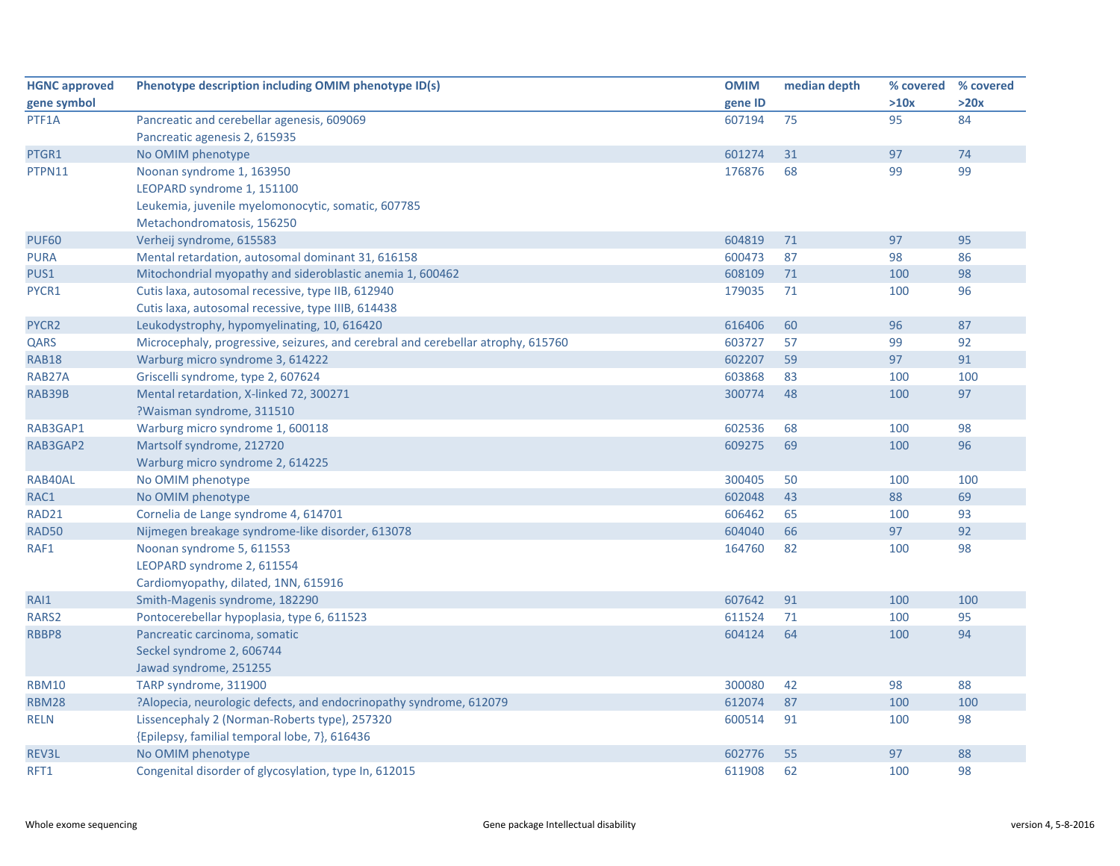| <b>HGNC approved</b> | Phenotype description including OMIM phenotype ID(s)                             | <b>OMIM</b> | median depth | % covered | % covered |
|----------------------|----------------------------------------------------------------------------------|-------------|--------------|-----------|-----------|
| gene symbol          |                                                                                  | gene ID     |              | >10x      | >20x      |
| PTF1A                | Pancreatic and cerebellar agenesis, 609069                                       | 607194      | 75           | 95        | 84        |
|                      | Pancreatic agenesis 2, 615935                                                    |             |              |           |           |
| PTGR1                | No OMIM phenotype                                                                | 601274      | 31           | 97        | 74        |
| PTPN11               | Noonan syndrome 1, 163950                                                        | 176876      | 68           | 99        | 99        |
|                      | LEOPARD syndrome 1, 151100                                                       |             |              |           |           |
|                      | Leukemia, juvenile myelomonocytic, somatic, 607785                               |             |              |           |           |
|                      | Metachondromatosis, 156250                                                       |             |              |           |           |
| <b>PUF60</b>         | Verheij syndrome, 615583                                                         | 604819      | 71           | 97        | 95        |
| <b>PURA</b>          | Mental retardation, autosomal dominant 31, 616158                                | 600473      | 87           | 98        | 86        |
| PUS1                 | Mitochondrial myopathy and sideroblastic anemia 1, 600462                        | 608109      | 71           | 100       | 98        |
| PYCR1                | Cutis laxa, autosomal recessive, type IIB, 612940                                | 179035      | 71           | 100       | 96        |
|                      | Cutis laxa, autosomal recessive, type IIIB, 614438                               |             |              |           |           |
| PYCR2                | Leukodystrophy, hypomyelinating, 10, 616420                                      | 616406      | 60           | 96        | 87        |
| QARS                 | Microcephaly, progressive, seizures, and cerebral and cerebellar atrophy, 615760 | 603727      | 57           | 99        | 92        |
| <b>RAB18</b>         | Warburg micro syndrome 3, 614222                                                 | 602207      | 59           | 97        | 91        |
| RAB27A               | Griscelli syndrome, type 2, 607624                                               | 603868      | 83           | 100       | 100       |
| RAB39B               | Mental retardation, X-linked 72, 300271                                          | 300774      | 48           | 100       | 97        |
|                      | ?Waisman syndrome, 311510                                                        |             |              |           |           |
| RAB3GAP1             | Warburg micro syndrome 1, 600118                                                 | 602536      | 68           | 100       | 98        |
| RAB3GAP2             | Martsolf syndrome, 212720                                                        | 609275      | 69           | 100       | 96        |
|                      | Warburg micro syndrome 2, 614225                                                 |             |              |           |           |
| RAB40AL              | No OMIM phenotype                                                                | 300405      | 50           | 100       | 100       |
| RAC1                 | No OMIM phenotype                                                                | 602048      | 43           | 88        | 69        |
| RAD21                | Cornelia de Lange syndrome 4, 614701                                             | 606462      | 65           | 100       | 93        |
| <b>RAD50</b>         | Nijmegen breakage syndrome-like disorder, 613078                                 | 604040      | 66           | 97        | 92        |
| RAF1                 | Noonan syndrome 5, 611553                                                        | 164760      | 82           | 100       | 98        |
|                      | LEOPARD syndrome 2, 611554                                                       |             |              |           |           |
|                      | Cardiomyopathy, dilated, 1NN, 615916                                             |             |              |           |           |
| RAI1                 | Smith-Magenis syndrome, 182290                                                   | 607642      | 91           | 100       | 100       |
| RARS2                | Pontocerebellar hypoplasia, type 6, 611523                                       | 611524      | 71           | 100       | 95        |
| RBBP8                | Pancreatic carcinoma, somatic                                                    | 604124      | 64           | 100       | 94        |
|                      | Seckel syndrome 2, 606744                                                        |             |              |           |           |
|                      | Jawad syndrome, 251255                                                           |             |              |           |           |
| <b>RBM10</b>         | TARP syndrome, 311900                                                            | 300080      | 42           | 98        | 88        |
| <b>RBM28</b>         | ?Alopecia, neurologic defects, and endocrinopathy syndrome, 612079               | 612074      | 87           | 100       | 100       |
| <b>RELN</b>          | Lissencephaly 2 (Norman-Roberts type), 257320                                    | 600514      | 91           | 100       | 98        |
|                      | {Epilepsy, familial temporal lobe, 7}, 616436                                    |             |              |           |           |
| REV3L                | No OMIM phenotype                                                                | 602776      | 55           | 97        | 88        |
| RFT1                 | Congenital disorder of glycosylation, type In, 612015                            | 611908      | 62           | 100       | 98        |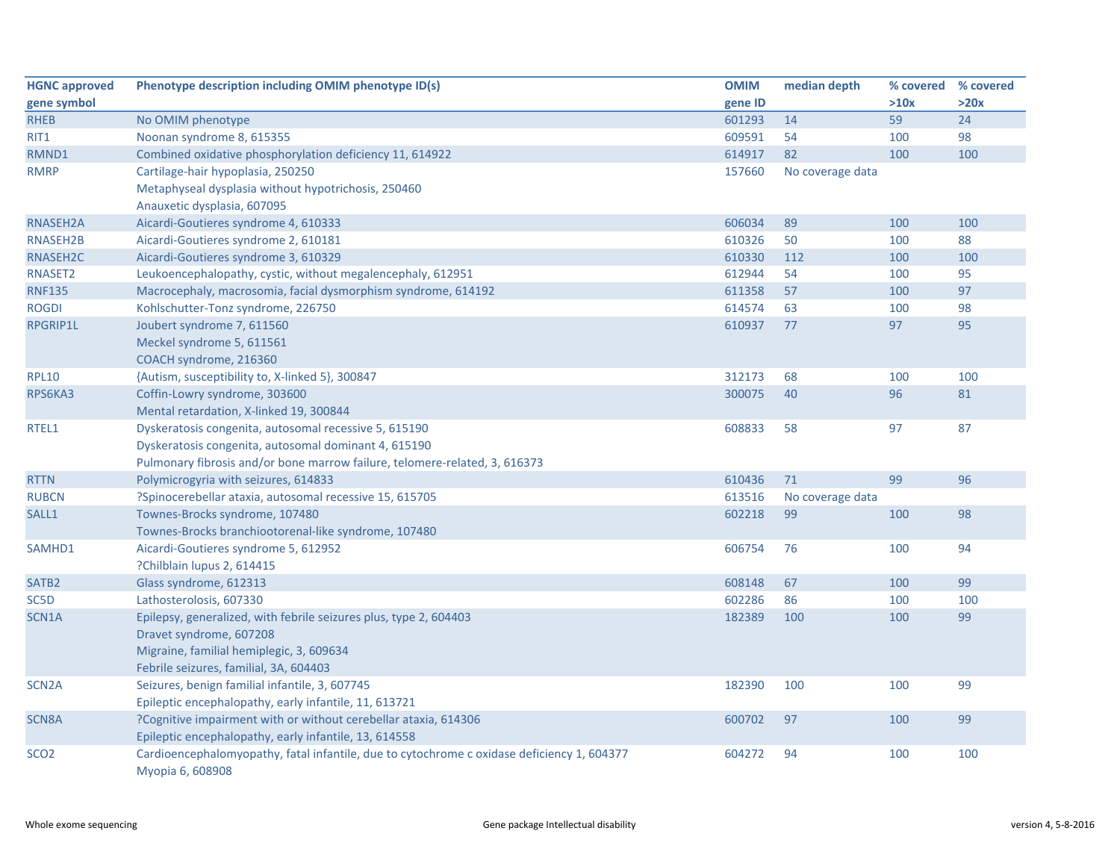| <b>HGNC</b> approved | Phenotype description including OMIM phenotype ID(s)                                                           | <b>OMIM</b> | median depth     | % covered % covered |      |
|----------------------|----------------------------------------------------------------------------------------------------------------|-------------|------------------|---------------------|------|
| gene symbol          |                                                                                                                | gene ID     |                  | >10x                | >20x |
| <b>RHEB</b>          | No OMIM phenotype                                                                                              | 601293      | 14               | 59                  | 24   |
| RIT1                 | Noonan syndrome 8, 615355                                                                                      | 609591      | 54               | 100                 | 98   |
| RMND1                | Combined oxidative phosphorylation deficiency 11, 614922                                                       | 614917      | 82               | 100                 | 100  |
| <b>RMRP</b>          | Cartilage-hair hypoplasia, 250250                                                                              | 157660      | No coverage data |                     |      |
|                      | Metaphyseal dysplasia without hypotrichosis, 250460                                                            |             |                  |                     |      |
|                      | Anauxetic dysplasia, 607095                                                                                    |             |                  |                     |      |
| RNASEH2A             | Aicardi-Goutieres syndrome 4, 610333                                                                           | 606034      | 89               | 100                 | 100  |
| RNASEH2B             | Aicardi-Goutieres syndrome 2, 610181                                                                           | 610326      | 50               | 100                 | 88   |
| RNASEH2C             | Aicardi-Goutieres syndrome 3, 610329                                                                           | 610330      | 112              | 100                 | 100  |
| RNASET2              | Leukoencephalopathy, cystic, without megalencephaly, 612951                                                    | 612944      | 54               | 100                 | 95   |
| <b>RNF135</b>        | Macrocephaly, macrosomia, facial dysmorphism syndrome, 614192                                                  | 611358      | 57               | 100                 | 97   |
| <b>ROGDI</b>         | Kohlschutter-Tonz syndrome, 226750                                                                             | 614574      | 63               | 100                 | 98   |
| RPGRIP1L             | Joubert syndrome 7, 611560                                                                                     | 610937      | 77               | 97                  | 95   |
|                      | Meckel syndrome 5, 611561                                                                                      |             |                  |                     |      |
|                      | COACH syndrome, 216360                                                                                         |             |                  |                     |      |
| <b>RPL10</b>         | {Autism, susceptibility to, X-linked 5}, 300847                                                                | 312173      | 68               | 100                 | 100  |
| RPS6KA3              | Coffin-Lowry syndrome, 303600                                                                                  | 300075      | 40               | 96                  | 81   |
|                      | Mental retardation, X-linked 19, 300844                                                                        |             |                  |                     |      |
| RTEL1                | Dyskeratosis congenita, autosomal recessive 5, 615190                                                          | 608833      | 58               | 97                  | 87   |
|                      | Dyskeratosis congenita, autosomal dominant 4, 615190                                                           |             |                  |                     |      |
|                      | Pulmonary fibrosis and/or bone marrow failure, telomere-related, 3, 616373                                     |             |                  |                     |      |
| <b>RTTN</b>          | Polymicrogyria with seizures, 614833                                                                           | 610436      | 71               | 99                  | 96   |
| <b>RUBCN</b>         | ?Spinocerebellar ataxia, autosomal recessive 15, 615705                                                        | 613516      | No coverage data |                     |      |
| SALL1                | Townes-Brocks syndrome, 107480                                                                                 | 602218      | 99               | 100                 | 98   |
|                      | Townes-Brocks branchiootorenal-like syndrome, 107480                                                           |             |                  |                     |      |
| SAMHD1               | Aicardi-Goutieres syndrome 5, 612952                                                                           | 606754      | 76               | 100                 | 94   |
|                      | ?Chilblain lupus 2, 614415                                                                                     |             |                  |                     |      |
| SATB <sub>2</sub>    | Glass syndrome, 612313                                                                                         | 608148      | 67               | 100                 | 99   |
| SC5D                 | Lathosterolosis, 607330                                                                                        | 602286      | 86               | 100                 | 100  |
| SCN1A                | Epilepsy, generalized, with febrile seizures plus, type 2, 604403                                              | 182389      | 100              | 100                 | 99   |
|                      | Dravet syndrome, 607208                                                                                        |             |                  |                     |      |
|                      | Migraine, familial hemiplegic, 3, 609634                                                                       |             |                  |                     |      |
|                      | Febrile seizures, familial, 3A, 604403                                                                         |             |                  |                     |      |
| SCN <sub>2</sub> A   | Seizures, benign familial infantile, 3, 607745                                                                 | 182390      | 100              | 100                 | 99   |
|                      | Epileptic encephalopathy, early infantile, 11, 613721                                                          |             |                  |                     |      |
| <b>SCN8A</b>         | ?Cognitive impairment with or without cerebellar ataxia, 614306                                                | 600702      | 97               | 100                 | 99   |
|                      | Epileptic encephalopathy, early infantile, 13, 614558                                                          |             |                  |                     |      |
| SCO <sub>2</sub>     | Cardioencephalomyopathy, fatal infantile, due to cytochrome c oxidase deficiency 1, 604377<br>Myopia 6, 608908 | 604272      | 94               | 100                 | 100  |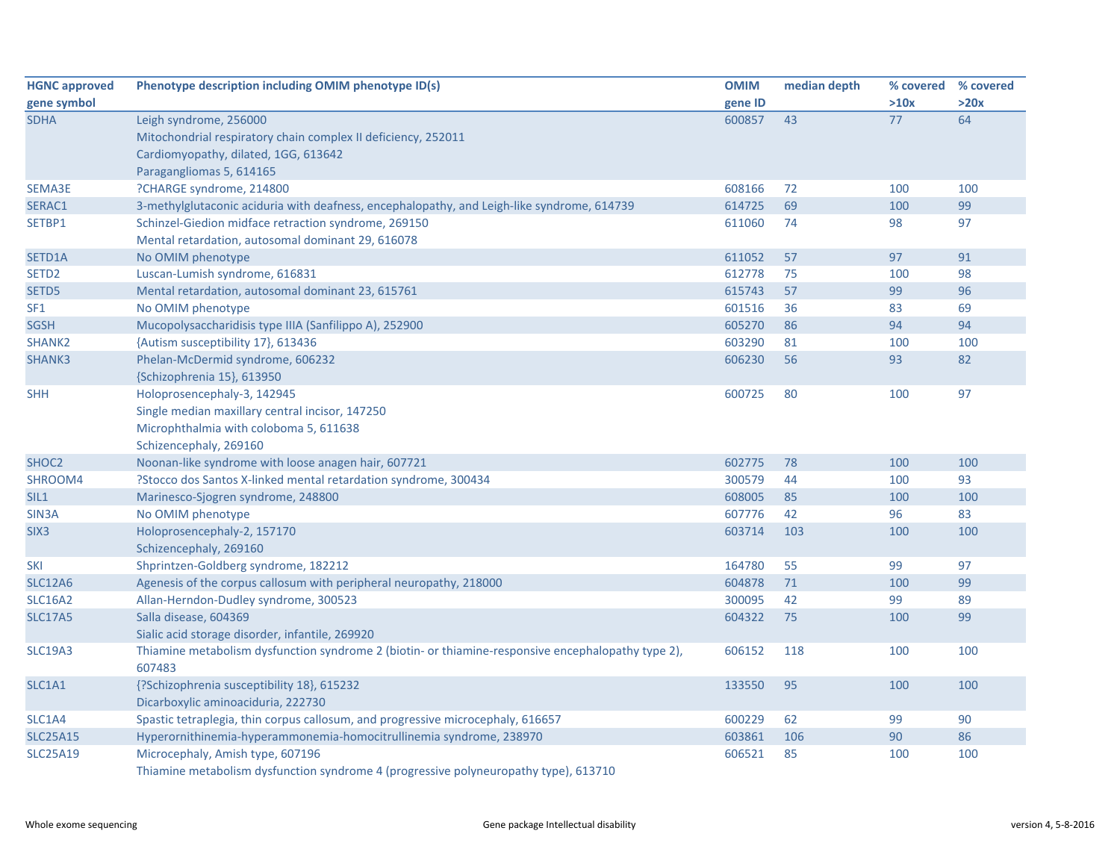| <b>HGNC approved</b> | Phenotype description including OMIM phenotype ID(s)                                               | <b>OMIM</b> | median depth |      | % covered % covered |
|----------------------|----------------------------------------------------------------------------------------------------|-------------|--------------|------|---------------------|
| gene symbol          |                                                                                                    | gene ID     |              | >10x | >20x                |
| <b>SDHA</b>          | Leigh syndrome, 256000                                                                             | 600857      | 43           | 77   | 64                  |
|                      | Mitochondrial respiratory chain complex II deficiency, 252011                                      |             |              |      |                     |
|                      | Cardiomyopathy, dilated, 1GG, 613642                                                               |             |              |      |                     |
|                      | Paragangliomas 5, 614165                                                                           |             |              |      |                     |
| <b>SEMA3E</b>        | ?CHARGE syndrome, 214800                                                                           | 608166      | 72           | 100  | 100                 |
| SERAC1               | 3-methylglutaconic aciduria with deafness, encephalopathy, and Leigh-like syndrome, 614739         | 614725      | 69           | 100  | 99                  |
| SETBP1               | Schinzel-Giedion midface retraction syndrome, 269150                                               | 611060      | 74           | 98   | 97                  |
|                      | Mental retardation, autosomal dominant 29, 616078                                                  |             |              |      |                     |
| SETD1A               | No OMIM phenotype                                                                                  | 611052      | 57           | 97   | 91                  |
| SETD <sub>2</sub>    | Luscan-Lumish syndrome, 616831                                                                     | 612778      | 75           | 100  | 98                  |
| SETD5                | Mental retardation, autosomal dominant 23, 615761                                                  | 615743      | 57           | 99   | 96                  |
| SF <sub>1</sub>      | No OMIM phenotype                                                                                  | 601516      | 36           | 83   | 69                  |
| <b>SGSH</b>          | Mucopolysaccharidisis type IIIA (Sanfilippo A), 252900                                             | 605270      | 86           | 94   | 94                  |
| SHANK <sub>2</sub>   | {Autism susceptibility 17}, 613436                                                                 | 603290      | 81           | 100  | 100                 |
| <b>SHANK3</b>        | Phelan-McDermid syndrome, 606232                                                                   | 606230      | 56           | 93   | 82                  |
|                      | {Schizophrenia 15}, 613950                                                                         |             |              |      |                     |
| <b>SHH</b>           | Holoprosencephaly-3, 142945                                                                        | 600725      | 80           | 100  | 97                  |
|                      | Single median maxillary central incisor, 147250                                                    |             |              |      |                     |
|                      | Microphthalmia with coloboma 5, 611638                                                             |             |              |      |                     |
|                      | Schizencephaly, 269160                                                                             |             |              |      |                     |
| SHOC <sub>2</sub>    | Noonan-like syndrome with loose anagen hair, 607721                                                | 602775      | 78           | 100  | 100                 |
| SHROOM4              | ?Stocco dos Santos X-linked mental retardation syndrome, 300434                                    | 300579      | 44           | 100  | 93                  |
| SIL1                 | Marinesco-Sjogren syndrome, 248800                                                                 | 608005      | 85           | 100  | 100                 |
| SIN <sub>3</sub> A   | No OMIM phenotype                                                                                  | 607776      | 42           | 96   | 83                  |
| SIX <sub>3</sub>     | Holoprosencephaly-2, 157170                                                                        | 603714      | 103          | 100  | 100                 |
|                      | Schizencephaly, 269160                                                                             |             |              |      |                     |
| <b>SKI</b>           | Shprintzen-Goldberg syndrome, 182212                                                               | 164780      | 55           | 99   | 97                  |
| <b>SLC12A6</b>       | Agenesis of the corpus callosum with peripheral neuropathy, 218000                                 | 604878      | 71           | 100  | 99                  |
| <b>SLC16A2</b>       | Allan-Herndon-Dudley syndrome, 300523                                                              | 300095      | 42           | 99   | 89                  |
| <b>SLC17A5</b>       | Salla disease, 604369                                                                              | 604322      | 75           | 100  | 99                  |
|                      | Sialic acid storage disorder, infantile, 269920                                                    |             |              |      |                     |
| <b>SLC19A3</b>       | Thiamine metabolism dysfunction syndrome 2 (biotin- or thiamine-responsive encephalopathy type 2), | 606152      | 118          | 100  | 100                 |
|                      | 607483                                                                                             |             |              |      |                     |
| SLC1A1               | {?Schizophrenia susceptibility 18}, 615232                                                         | 133550      | 95           | 100  | 100                 |
|                      | Dicarboxylic aminoaciduria, 222730                                                                 |             |              |      |                     |
| SLC1A4               | Spastic tetraplegia, thin corpus callosum, and progressive microcephaly, 616657                    | 600229      | 62           | 99   | 90                  |
| <b>SLC25A15</b>      | Hyperornithinemia-hyperammonemia-homocitrullinemia syndrome, 238970                                | 603861      | 106          | 90   | 86                  |
| <b>SLC25A19</b>      | Microcephaly, Amish type, 607196                                                                   | 606521      | 85           | 100  | 100                 |
|                      | Thiamine metabolism dysfunction syndrome 4 (progressive polyneuropathy type), 613710               |             |              |      |                     |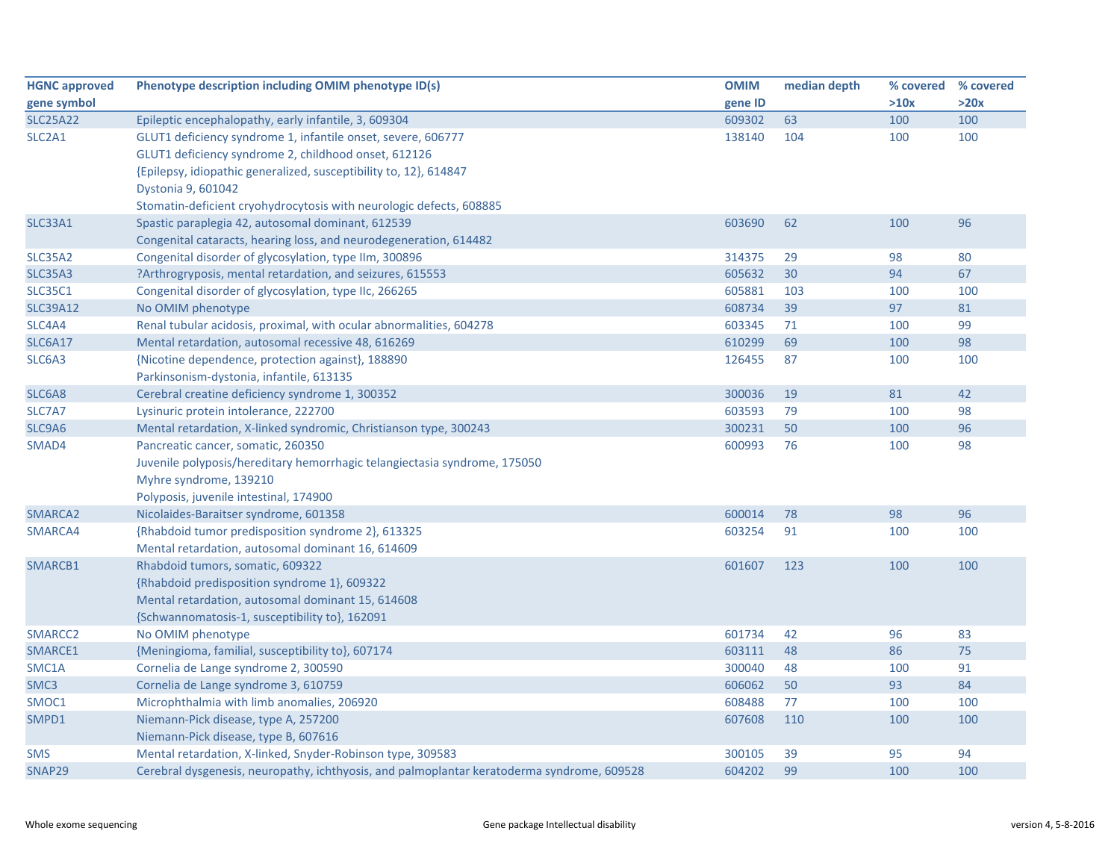| <b>HGNC approved</b>            | Phenotype description including OMIM phenotype ID(s)                                       | <b>OMIM</b> | median depth | % covered % covered |      |
|---------------------------------|--------------------------------------------------------------------------------------------|-------------|--------------|---------------------|------|
| gene symbol                     |                                                                                            | gene ID     |              | >10x                | >20x |
| <b>SLC25A22</b>                 | Epileptic encephalopathy, early infantile, 3, 609304                                       | 609302      | 63           | 100                 | 100  |
| SLC <sub>2</sub> A <sub>1</sub> | GLUT1 deficiency syndrome 1, infantile onset, severe, 606777                               | 138140      | 104          | 100                 | 100  |
|                                 | GLUT1 deficiency syndrome 2, childhood onset, 612126                                       |             |              |                     |      |
|                                 | {Epilepsy, idiopathic generalized, susceptibility to, 12}, 614847                          |             |              |                     |      |
|                                 | Dystonia 9, 601042                                                                         |             |              |                     |      |
|                                 | Stomatin-deficient cryohydrocytosis with neurologic defects, 608885                        |             |              |                     |      |
| SLC33A1                         | Spastic paraplegia 42, autosomal dominant, 612539                                          | 603690      | 62           | 100                 | 96   |
|                                 | Congenital cataracts, hearing loss, and neurodegeneration, 614482                          |             |              |                     |      |
| SLC35A2                         | Congenital disorder of glycosylation, type IIm, 300896                                     | 314375      | 29           | 98                  | 80   |
| <b>SLC35A3</b>                  | ?Arthrogryposis, mental retardation, and seizures, 615553                                  | 605632      | 30           | 94                  | 67   |
| <b>SLC35C1</b>                  | Congenital disorder of glycosylation, type IIc, 266265                                     | 605881      | 103          | 100                 | 100  |
| <b>SLC39A12</b>                 | No OMIM phenotype                                                                          | 608734      | 39           | 97                  | 81   |
| SLC4A4                          | Renal tubular acidosis, proximal, with ocular abnormalities, 604278                        | 603345      | 71           | 100                 | 99   |
| SLC6A17                         | Mental retardation, autosomal recessive 48, 616269                                         | 610299      | 69           | 100                 | 98   |
| SLC6A3                          | {Nicotine dependence, protection against}, 188890                                          | 126455      | 87           | 100                 | 100  |
|                                 | Parkinsonism-dystonia, infantile, 613135                                                   |             |              |                     |      |
| SLC6A8                          | Cerebral creatine deficiency syndrome 1, 300352                                            | 300036      | 19           | 81                  | 42   |
| SLC7A7                          | Lysinuric protein intolerance, 222700                                                      | 603593      | 79           | 100                 | 98   |
| SLC9A6                          | Mental retardation, X-linked syndromic, Christianson type, 300243                          | 300231      | 50           | 100                 | 96   |
| SMAD4                           | Pancreatic cancer, somatic, 260350                                                         | 600993      | 76           | 100                 | 98   |
|                                 | Juvenile polyposis/hereditary hemorrhagic telangiectasia syndrome, 175050                  |             |              |                     |      |
|                                 | Myhre syndrome, 139210                                                                     |             |              |                     |      |
|                                 | Polyposis, juvenile intestinal, 174900                                                     |             |              |                     |      |
| SMARCA2                         | Nicolaides-Baraitser syndrome, 601358                                                      | 600014      | 78           | 98                  | 96   |
| SMARCA4                         | {Rhabdoid tumor predisposition syndrome 2}, 613325                                         | 603254      | 91           | 100                 | 100  |
|                                 | Mental retardation, autosomal dominant 16, 614609                                          |             |              |                     |      |
| SMARCB1                         | Rhabdoid tumors, somatic, 609322                                                           | 601607      | 123          | 100                 | 100  |
|                                 | {Rhabdoid predisposition syndrome 1}, 609322                                               |             |              |                     |      |
|                                 | Mental retardation, autosomal dominant 15, 614608                                          |             |              |                     |      |
|                                 | {Schwannomatosis-1, susceptibility to}, 162091                                             |             |              |                     |      |
| SMARCC <sub>2</sub>             | No OMIM phenotype                                                                          | 601734      | 42           | 96                  | 83   |
| SMARCE1                         | {Meningioma, familial, susceptibility to}, 607174                                          | 603111      | 48           | 86                  | 75   |
| SMC1A                           | Cornelia de Lange syndrome 2, 300590                                                       | 300040      | 48           | 100                 | 91   |
| SMC <sub>3</sub>                | Cornelia de Lange syndrome 3, 610759                                                       | 606062      | 50           | 93                  | 84   |
| SMOC1                           | Microphthalmia with limb anomalies, 206920                                                 | 608488      | 77           | 100                 | 100  |
| SMPD1                           | Niemann-Pick disease, type A, 257200                                                       | 607608      | 110          | 100                 | 100  |
|                                 | Niemann-Pick disease, type B, 607616                                                       |             |              |                     |      |
| <b>SMS</b>                      | Mental retardation, X-linked, Snyder-Robinson type, 309583                                 | 300105      | 39           | 95                  | 94   |
| SNAP29                          | Cerebral dysgenesis, neuropathy, ichthyosis, and palmoplantar keratoderma syndrome, 609528 | 604202      | 99           | 100                 | 100  |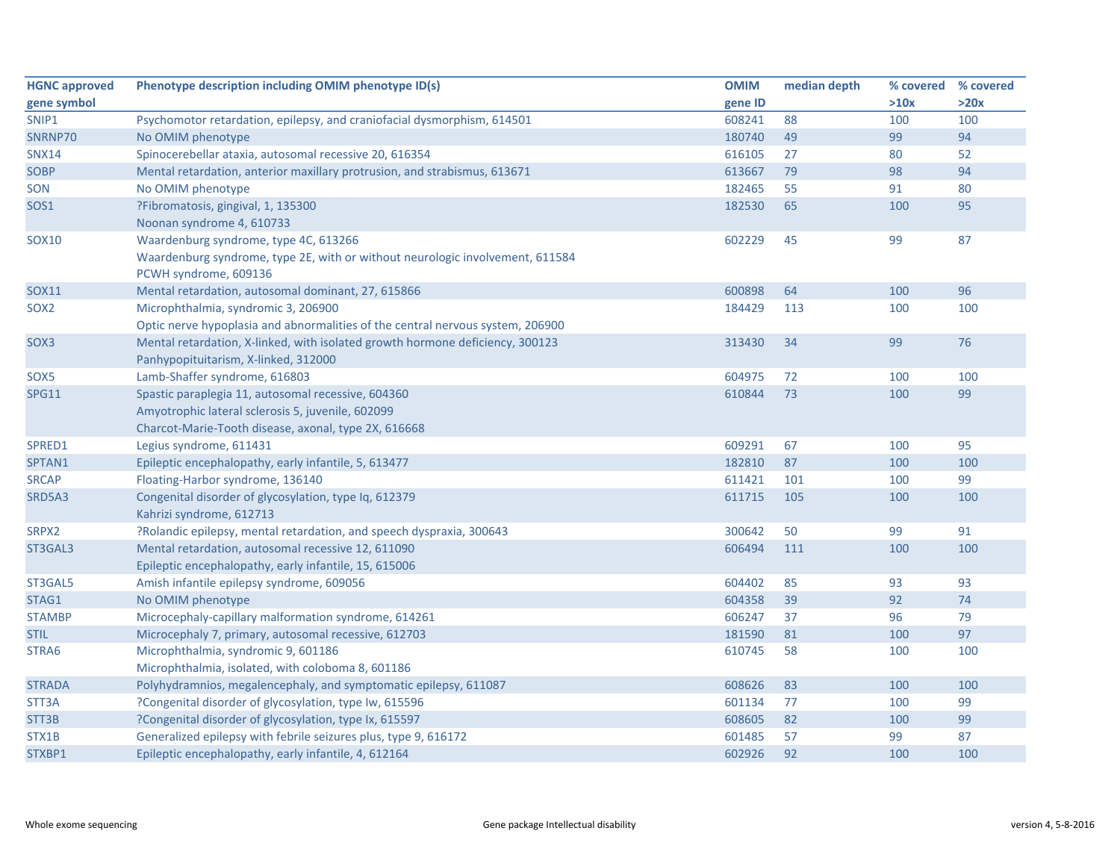| <b>HGNC approved</b> | Phenotype description including OMIM phenotype ID(s)                           | <b>OMIM</b> | median depth | % covered % covered |      |
|----------------------|--------------------------------------------------------------------------------|-------------|--------------|---------------------|------|
| gene symbol          |                                                                                | gene ID     |              | >10x                | >20x |
| SNIP1                | Psychomotor retardation, epilepsy, and craniofacial dysmorphism, 614501        | 608241      | 88           | 100                 | 100  |
| SNRNP70              | No OMIM phenotype                                                              | 180740      | 49           | 99                  | 94   |
| <b>SNX14</b>         | Spinocerebellar ataxia, autosomal recessive 20, 616354                         | 616105      | 27           | 80                  | 52   |
| <b>SOBP</b>          | Mental retardation, anterior maxillary protrusion, and strabismus, 613671      | 613667      | 79           | 98                  | 94   |
| SON                  | No OMIM phenotype                                                              | 182465      | 55           | 91                  | 80   |
| <b>SOS1</b>          | ?Fibromatosis, gingival, 1, 135300                                             | 182530      | 65           | 100                 | 95   |
|                      | Noonan syndrome 4, 610733                                                      |             |              |                     |      |
| SOX10                | Waardenburg syndrome, type 4C, 613266                                          | 602229      | 45           | 99                  | 87   |
|                      | Waardenburg syndrome, type 2E, with or without neurologic involvement, 611584  |             |              |                     |      |
|                      | PCWH syndrome, 609136                                                          |             |              |                     |      |
| <b>SOX11</b>         | Mental retardation, autosomal dominant, 27, 615866                             | 600898      | 64           | 100                 | 96   |
| SOX <sub>2</sub>     | Microphthalmia, syndromic 3, 206900                                            | 184429      | 113          | 100                 | 100  |
|                      | Optic nerve hypoplasia and abnormalities of the central nervous system, 206900 |             |              |                     |      |
| SOX3                 | Mental retardation, X-linked, with isolated growth hormone deficiency, 300123  | 313430      | 34           | 99                  | 76   |
|                      | Panhypopituitarism, X-linked, 312000                                           |             |              |                     |      |
| SOX5                 | Lamb-Shaffer syndrome, 616803                                                  | 604975      | 72           | 100                 | 100  |
| <b>SPG11</b>         | Spastic paraplegia 11, autosomal recessive, 604360                             | 610844      | 73           | 100                 | 99   |
|                      | Amyotrophic lateral sclerosis 5, juvenile, 602099                              |             |              |                     |      |
|                      | Charcot-Marie-Tooth disease, axonal, type 2X, 616668                           |             |              |                     |      |
| SPRED1               | Legius syndrome, 611431                                                        | 609291      | 67           | 100                 | 95   |
| SPTAN1               | Epileptic encephalopathy, early infantile, 5, 613477                           | 182810      | 87           | 100                 | 100  |
| <b>SRCAP</b>         | Floating-Harbor syndrome, 136140                                               | 611421      | 101          | 100                 | 99   |
| SRD5A3               | Congenital disorder of glycosylation, type Iq, 612379                          | 611715      | 105          | 100                 | 100  |
|                      | Kahrizi syndrome, 612713                                                       |             |              |                     |      |
| SRPX2                | ?Rolandic epilepsy, mental retardation, and speech dyspraxia, 300643           | 300642      | 50           | 99                  | 91   |
| ST3GAL3              | Mental retardation, autosomal recessive 12, 611090                             | 606494      | 111          | 100                 | 100  |
|                      | Epileptic encephalopathy, early infantile, 15, 615006                          |             |              |                     |      |
| ST3GAL5              | Amish infantile epilepsy syndrome, 609056                                      | 604402      | 85           | 93                  | 93   |
| STAG1                | No OMIM phenotype                                                              | 604358      | 39           | 92                  | 74   |
| <b>STAMBP</b>        | Microcephaly-capillary malformation syndrome, 614261                           | 606247      | 37           | 96                  | 79   |
| <b>STIL</b>          | Microcephaly 7, primary, autosomal recessive, 612703                           | 181590      | 81           | 100                 | 97   |
| STRA6                | Microphthalmia, syndromic 9, 601186                                            | 610745      | 58           | 100                 | 100  |
|                      | Microphthalmia, isolated, with coloboma 8, 601186                              |             |              |                     |      |
| <b>STRADA</b>        | Polyhydramnios, megalencephaly, and symptomatic epilepsy, 611087               | 608626      | 83           | 100                 | 100  |
| STT3A                | ?Congenital disorder of glycosylation, type Iw, 615596                         | 601134      | 77           | 100                 | 99   |
| STT3B                | ?Congenital disorder of glycosylation, type Ix, 615597                         | 608605      | 82           | 100                 | 99   |
| STX1B                | Generalized epilepsy with febrile seizures plus, type 9, 616172                | 601485      | 57           | 99                  | 87   |
| STXBP1               | Epileptic encephalopathy, early infantile, 4, 612164                           | 602926      | 92           | 100                 | 100  |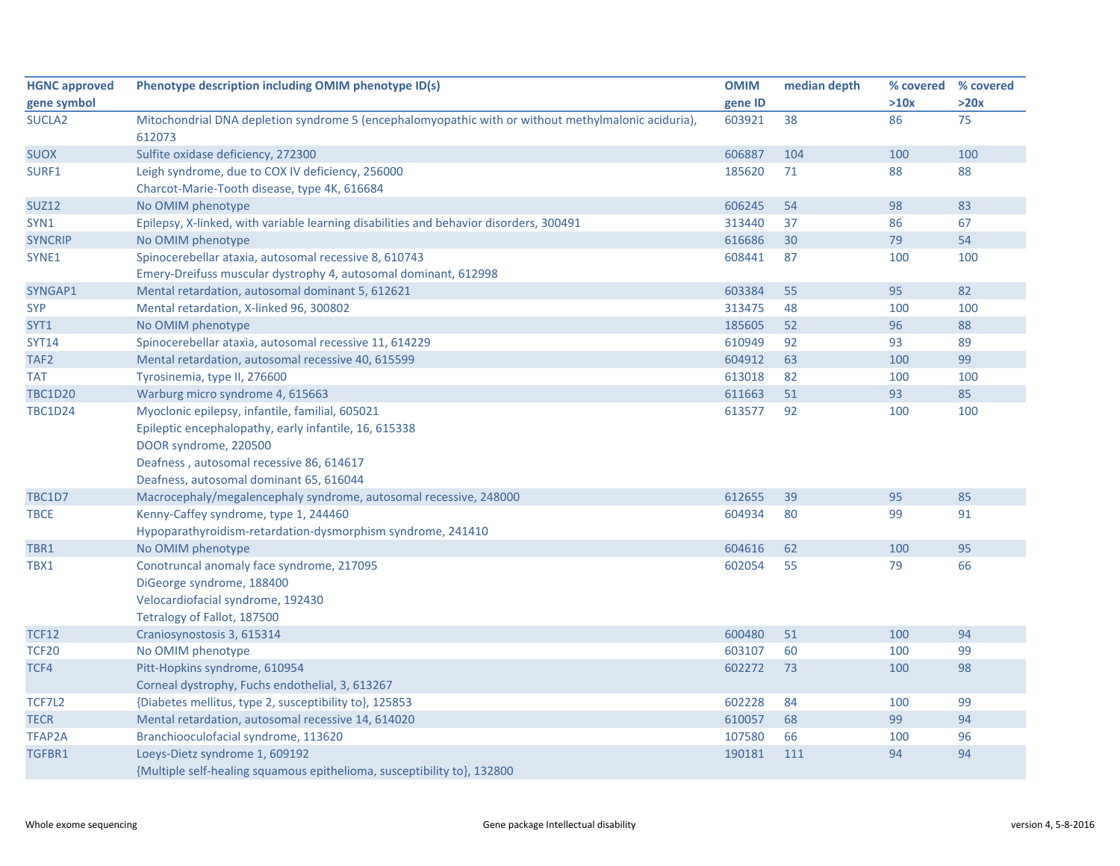| <b>HGNC approved</b> | Phenotype description including OMIM phenotype ID(s)                                                | <b>OMIM</b> | median depth | % covered % covered |      |
|----------------------|-----------------------------------------------------------------------------------------------------|-------------|--------------|---------------------|------|
| gene symbol          |                                                                                                     | gene ID     |              | >10x                | >20x |
| <b>SUCLA2</b>        | Mitochondrial DNA depletion syndrome 5 (encephalomyopathic with or without methylmalonic aciduria), | 603921      | 38           | 86                  | 75   |
|                      | 612073                                                                                              |             |              |                     |      |
| <b>SUOX</b>          | Sulfite oxidase deficiency, 272300                                                                  | 606887      | 104          | 100                 | 100  |
| SURF1                | Leigh syndrome, due to COX IV deficiency, 256000                                                    | 185620      | 71           | 88                  | 88   |
|                      | Charcot-Marie-Tooth disease, type 4K, 616684                                                        |             |              |                     |      |
| <b>SUZ12</b>         | No OMIM phenotype                                                                                   | 606245      | 54           | 98                  | 83   |
| SYN1                 | Epilepsy, X-linked, with variable learning disabilities and behavior disorders, 300491              | 313440      | 37           | 86                  | 67   |
| <b>SYNCRIP</b>       | No OMIM phenotype                                                                                   | 616686      | 30           | 79                  | 54   |
| SYNE1                | Spinocerebellar ataxia, autosomal recessive 8, 610743                                               | 608441      | 87           | 100                 | 100  |
|                      | Emery-Dreifuss muscular dystrophy 4, autosomal dominant, 612998                                     |             |              |                     |      |
| SYNGAP1              | Mental retardation, autosomal dominant 5, 612621                                                    | 603384      | 55           | 95                  | 82   |
| <b>SYP</b>           | Mental retardation, X-linked 96, 300802                                                             | 313475      | 48           | 100                 | 100  |
| SYT1                 | No OMIM phenotype                                                                                   | 185605      | 52           | 96                  | 88   |
| <b>SYT14</b>         | Spinocerebellar ataxia, autosomal recessive 11, 614229                                              | 610949      | 92           | 93                  | 89   |
| TAF <sub>2</sub>     | Mental retardation, autosomal recessive 40, 615599                                                  | 604912      | 63           | 100                 | 99   |
| <b>TAT</b>           | Tyrosinemia, type II, 276600                                                                        | 613018      | 82           | 100                 | 100  |
| <b>TBC1D20</b>       | Warburg micro syndrome 4, 615663                                                                    | 611663      | 51           | 93                  | 85   |
| <b>TBC1D24</b>       | Myoclonic epilepsy, infantile, familial, 605021                                                     | 613577      | 92           | 100                 | 100  |
|                      | Epileptic encephalopathy, early infantile, 16, 615338                                               |             |              |                     |      |
|                      | DOOR syndrome, 220500                                                                               |             |              |                     |      |
|                      | Deafness, autosomal recessive 86, 614617                                                            |             |              |                     |      |
|                      | Deafness, autosomal dominant 65, 616044                                                             |             |              |                     |      |
| <b>TBC1D7</b>        | Macrocephaly/megalencephaly syndrome, autosomal recessive, 248000                                   | 612655      | 39           | 95                  | 85   |
| <b>TBCE</b>          | Kenny-Caffey syndrome, type 1, 244460                                                               | 604934      | 80           | 99                  | 91   |
|                      | Hypoparathyroidism-retardation-dysmorphism syndrome, 241410                                         |             |              |                     |      |
| TBR1                 | No OMIM phenotype                                                                                   | 604616      | 62           | 100                 | 95   |
| TBX1                 | Conotruncal anomaly face syndrome, 217095                                                           | 602054      | 55           | 79                  | 66   |
|                      | DiGeorge syndrome, 188400                                                                           |             |              |                     |      |
|                      | Velocardiofacial syndrome, 192430                                                                   |             |              |                     |      |
|                      | Tetralogy of Fallot, 187500                                                                         |             |              |                     |      |
| <b>TCF12</b>         | Craniosynostosis 3, 615314                                                                          | 600480      | 51           | 100                 | 94   |
| <b>TCF20</b>         | No OMIM phenotype                                                                                   | 603107      | 60           | 100                 | 99   |
| TCF4                 | Pitt-Hopkins syndrome, 610954                                                                       | 602272      | 73           | 100                 | 98   |
|                      | Corneal dystrophy, Fuchs endothelial, 3, 613267                                                     |             |              |                     |      |
| TCF7L2               | {Diabetes mellitus, type 2, susceptibility to}, 125853                                              | 602228      | 84           | 100                 | 99   |
| <b>TECR</b>          | Mental retardation, autosomal recessive 14, 614020                                                  | 610057      | 68           | 99                  | 94   |
| TFAP2A               | Branchiooculofacial syndrome, 113620                                                                | 107580      | 66           | 100                 | 96   |
| TGFBR1               | Loeys-Dietz syndrome 1, 609192                                                                      | 190181      | 111          | 94                  | 94   |
|                      | {Multiple self-healing squamous epithelioma, susceptibility to}, 132800                             |             |              |                     |      |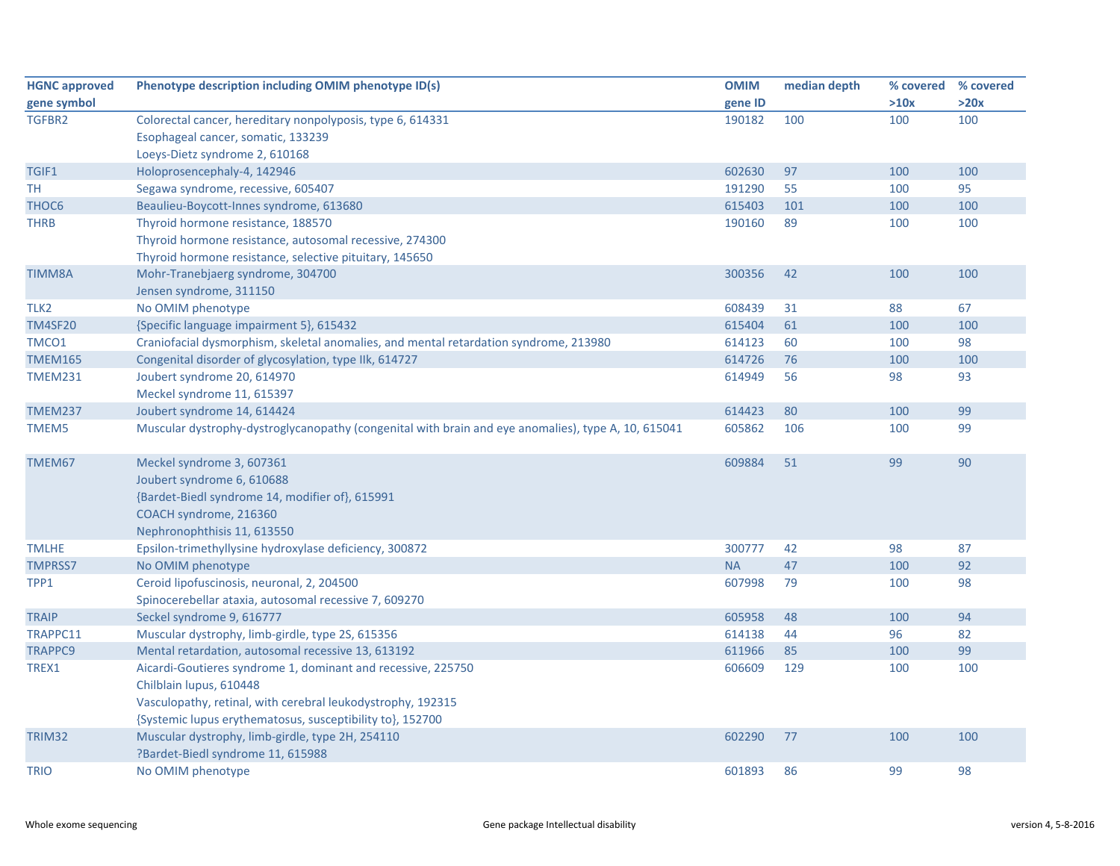| <b>HGNC approved</b> | Phenotype description including OMIM phenotype ID(s)                                                | <b>OMIM</b> | median depth | % covered | % covered |
|----------------------|-----------------------------------------------------------------------------------------------------|-------------|--------------|-----------|-----------|
| gene symbol          |                                                                                                     | gene ID     |              | >10x      | >20x      |
| TGFBR2               | Colorectal cancer, hereditary nonpolyposis, type 6, 614331                                          | 190182      | 100          | 100       | 100       |
|                      | Esophageal cancer, somatic, 133239                                                                  |             |              |           |           |
|                      | Loeys-Dietz syndrome 2, 610168                                                                      |             |              |           |           |
| TGIF1                | Holoprosencephaly-4, 142946                                                                         | 602630      | 97           | 100       | 100       |
| TH                   | Segawa syndrome, recessive, 605407                                                                  | 191290      | 55           | 100       | 95        |
| THOC <sub>6</sub>    | Beaulieu-Boycott-Innes syndrome, 613680                                                             | 615403      | 101          | 100       | 100       |
| <b>THRB</b>          | Thyroid hormone resistance, 188570                                                                  | 190160      | 89           | 100       | 100       |
|                      | Thyroid hormone resistance, autosomal recessive, 274300                                             |             |              |           |           |
|                      | Thyroid hormone resistance, selective pituitary, 145650                                             |             |              |           |           |
| <b>TIMM8A</b>        | Mohr-Tranebjaerg syndrome, 304700                                                                   | 300356      | 42           | 100       | 100       |
|                      | Jensen syndrome, 311150                                                                             |             |              |           |           |
| TLK <sub>2</sub>     | No OMIM phenotype                                                                                   | 608439      | 31           | 88        | 67        |
| <b>TM4SF20</b>       | {Specific language impairment 5}, 615432                                                            | 615404      | 61           | 100       | 100       |
| TMCO1                | Craniofacial dysmorphism, skeletal anomalies, and mental retardation syndrome, 213980               | 614123      | 60           | 100       | 98        |
| <b>TMEM165</b>       | Congenital disorder of glycosylation, type IIk, 614727                                              | 614726      | 76           | 100       | 100       |
| <b>TMEM231</b>       | Joubert syndrome 20, 614970                                                                         | 614949      | 56           | 98        | 93        |
|                      | Meckel syndrome 11, 615397                                                                          |             |              |           |           |
| <b>TMEM237</b>       | Joubert syndrome 14, 614424                                                                         | 614423      | 80           | 100       | 99        |
| TMEM5                | Muscular dystrophy-dystroglycanopathy (congenital with brain and eye anomalies), type A, 10, 615041 | 605862      | 106          | 100       | 99        |
| TMEM67               | Meckel syndrome 3, 607361                                                                           | 609884      | 51           | 99        | 90        |
|                      | Joubert syndrome 6, 610688                                                                          |             |              |           |           |
|                      | {Bardet-Biedl syndrome 14, modifier of}, 615991                                                     |             |              |           |           |
|                      | COACH syndrome, 216360                                                                              |             |              |           |           |
|                      | Nephronophthisis 11, 613550                                                                         |             |              |           |           |
| <b>TMLHE</b>         | Epsilon-trimethyllysine hydroxylase deficiency, 300872                                              | 300777      | 42           | 98        | 87        |
| <b>TMPRSS7</b>       | No OMIM phenotype                                                                                   | <b>NA</b>   | 47           | 100       | 92        |
| TPP1                 | Ceroid lipofuscinosis, neuronal, 2, 204500                                                          | 607998      | 79           | 100       | 98        |
|                      | Spinocerebellar ataxia, autosomal recessive 7, 609270                                               |             |              |           |           |
| <b>TRAIP</b>         | Seckel syndrome 9, 616777                                                                           | 605958      | 48           | 100       | 94        |
| TRAPPC11             | Muscular dystrophy, limb-girdle, type 2S, 615356                                                    | 614138      | 44           | 96        | 82        |
| TRAPPC9              | Mental retardation, autosomal recessive 13, 613192                                                  | 611966      | 85           | 100       | 99        |
| TREX1                | Aicardi-Goutieres syndrome 1, dominant and recessive, 225750                                        | 606609      | 129          | 100       | 100       |
|                      | Chilblain lupus, 610448                                                                             |             |              |           |           |
|                      | Vasculopathy, retinal, with cerebral leukodystrophy, 192315                                         |             |              |           |           |
|                      | {Systemic lupus erythematosus, susceptibility to}, 152700                                           |             |              |           |           |
| TRIM32               | Muscular dystrophy, limb-girdle, type 2H, 254110                                                    | 602290      | 77           | 100       | 100       |
|                      | ?Bardet-Biedl syndrome 11, 615988                                                                   |             |              |           |           |
| <b>TRIO</b>          | No OMIM phenotype                                                                                   | 601893      | 86           | 99        | 98        |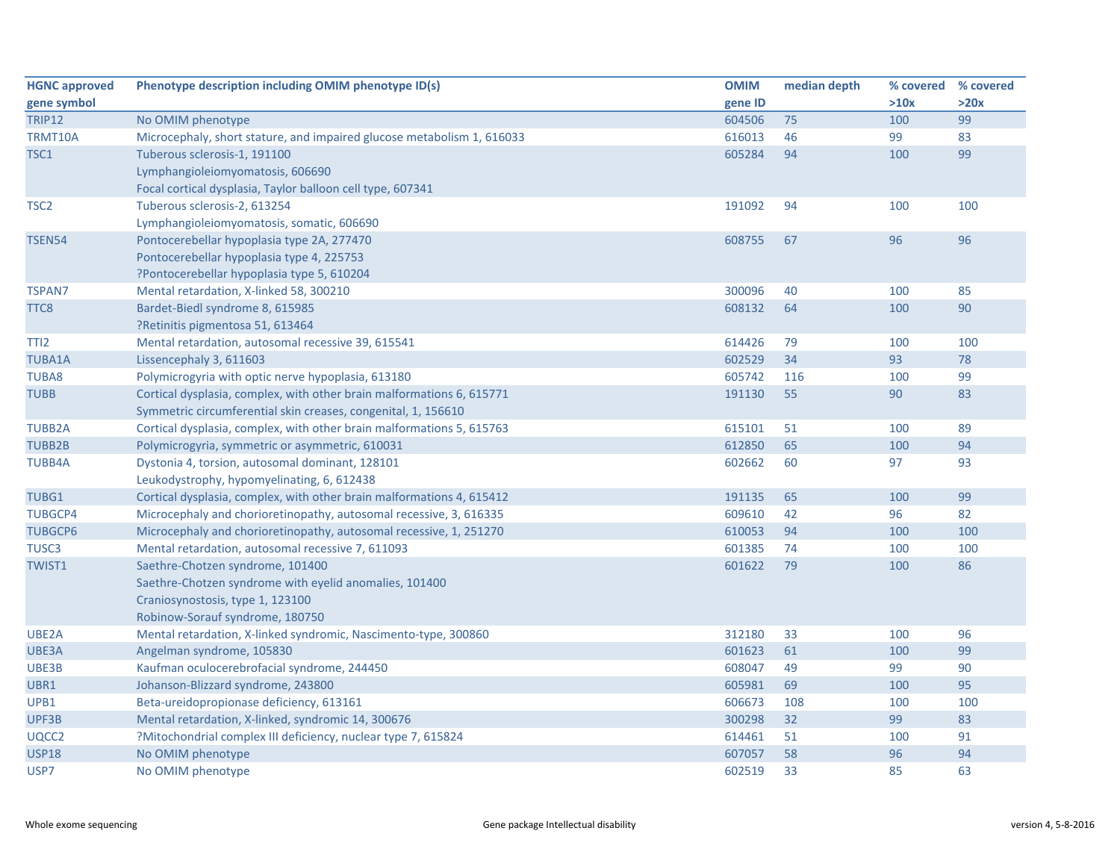| <b>HGNC approved</b> | Phenotype description including OMIM phenotype ID(s)                   | <b>OMIM</b> | median depth | % covered % covered |      |
|----------------------|------------------------------------------------------------------------|-------------|--------------|---------------------|------|
| gene symbol          |                                                                        | gene ID     |              | >10x                | >20x |
| <b>TRIP12</b>        | No OMIM phenotype                                                      | 604506      | 75           | 100                 | 99   |
| TRMT10A              | Microcephaly, short stature, and impaired glucose metabolism 1, 616033 | 616013      | 46           | 99                  | 83   |
| TSC1                 | Tuberous sclerosis-1, 191100                                           | 605284      | 94           | 100                 | 99   |
|                      | Lymphangioleiomyomatosis, 606690                                       |             |              |                     |      |
|                      | Focal cortical dysplasia, Taylor balloon cell type, 607341             |             |              |                     |      |
| TSC <sub>2</sub>     | Tuberous sclerosis-2, 613254                                           | 191092      | 94           | 100                 | 100  |
|                      | Lymphangioleiomyomatosis, somatic, 606690                              |             |              |                     |      |
| <b>TSEN54</b>        | Pontocerebellar hypoplasia type 2A, 277470                             | 608755      | 67           | 96                  | 96   |
|                      | Pontocerebellar hypoplasia type 4, 225753                              |             |              |                     |      |
|                      | ?Pontocerebellar hypoplasia type 5, 610204                             |             |              |                     |      |
| <b>TSPAN7</b>        | Mental retardation, X-linked 58, 300210                                | 300096      | 40           | 100                 | 85   |
| TTC8                 | Bardet-Biedl syndrome 8, 615985                                        | 608132      | 64           | 100                 | 90   |
|                      | ?Retinitis pigmentosa 51, 613464                                       |             |              |                     |      |
| TTI <sub>2</sub>     | Mental retardation, autosomal recessive 39, 615541                     | 614426      | 79           | 100                 | 100  |
| <b>TUBA1A</b>        | Lissencephaly 3, 611603                                                | 602529      | 34           | 93                  | 78   |
| TUBA8                | Polymicrogyria with optic nerve hypoplasia, 613180                     | 605742      | 116          | 100                 | 99   |
| <b>TUBB</b>          | Cortical dysplasia, complex, with other brain malformations 6, 615771  | 191130      | 55           | 90                  | 83   |
|                      | Symmetric circumferential skin creases, congenital, 1, 156610          |             |              |                     |      |
| <b>TUBB2A</b>        | Cortical dysplasia, complex, with other brain malformations 5, 615763  | 615101      | 51           | 100                 | 89   |
| <b>TUBB2B</b>        | Polymicrogyria, symmetric or asymmetric, 610031                        | 612850      | 65           | 100                 | 94   |
| <b>TUBB4A</b>        | Dystonia 4, torsion, autosomal dominant, 128101                        | 602662      | 60           | 97                  | 93   |
|                      | Leukodystrophy, hypomyelinating, 6, 612438                             |             |              |                     |      |
| TUBG1                | Cortical dysplasia, complex, with other brain malformations 4, 615412  | 191135      | 65           | 100                 | 99   |
| <b>TUBGCP4</b>       | Microcephaly and chorioretinopathy, autosomal recessive, 3, 616335     | 609610      | 42           | 96                  | 82   |
| <b>TUBGCP6</b>       | Microcephaly and chorioretinopathy, autosomal recessive, 1, 251270     | 610053      | 94           | 100                 | 100  |
| TUSC <sub>3</sub>    | Mental retardation, autosomal recessive 7, 611093                      | 601385      | 74           | 100                 | 100  |
| <b>TWIST1</b>        | Saethre-Chotzen syndrome, 101400                                       | 601622      | 79           | 100                 | 86   |
|                      | Saethre-Chotzen syndrome with eyelid anomalies, 101400                 |             |              |                     |      |
|                      | Craniosynostosis, type 1, 123100                                       |             |              |                     |      |
|                      | Robinow-Sorauf syndrome, 180750                                        |             |              |                     |      |
| UBE2A                | Mental retardation, X-linked syndromic, Nascimento-type, 300860        | 312180      | 33           | 100                 | 96   |
| UBE3A                | Angelman syndrome, 105830                                              | 601623      | 61           | 100                 | 99   |
| UBE3B                | Kaufman oculocerebrofacial syndrome, 244450                            | 608047      | 49           | 99                  | 90   |
| UBR1                 | Johanson-Blizzard syndrome, 243800                                     | 605981      | 69           | 100                 | 95   |
| UPB1                 | Beta-ureidopropionase deficiency, 613161                               | 606673      | 108          | 100                 | 100  |
| UPF3B                | Mental retardation, X-linked, syndromic 14, 300676                     | 300298      | 32           | 99                  | 83   |
| UQCC2                | ?Mitochondrial complex III deficiency, nuclear type 7, 615824          | 614461      | 51           | 100                 | 91   |
| <b>USP18</b>         | No OMIM phenotype                                                      | 607057      | 58           | 96                  | 94   |
| USP7                 | No OMIM phenotype                                                      | 602519      | 33           | 85                  | 63   |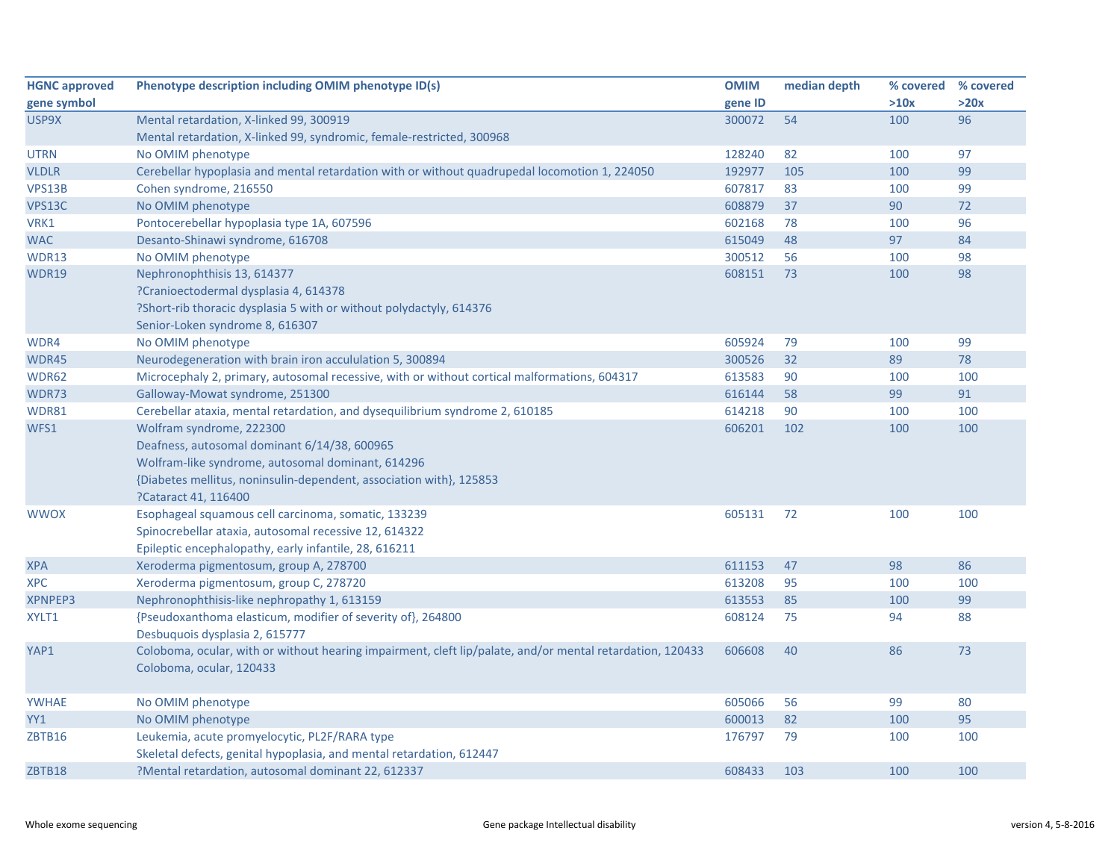| <b>HGNC approved</b> | Phenotype description including OMIM phenotype ID(s)                                                      | <b>OMIM</b> | median depth | % covered % covered |      |
|----------------------|-----------------------------------------------------------------------------------------------------------|-------------|--------------|---------------------|------|
| gene symbol          |                                                                                                           | gene ID     |              | >10x                | >20x |
| USP9X                | Mental retardation, X-linked 99, 300919                                                                   | 300072      | 54           | 100                 | 96   |
|                      | Mental retardation, X-linked 99, syndromic, female-restricted, 300968                                     |             |              |                     |      |
| <b>UTRN</b>          | No OMIM phenotype                                                                                         | 128240      | 82           | 100                 | 97   |
| <b>VLDLR</b>         | Cerebellar hypoplasia and mental retardation with or without quadrupedal locomotion 1, 224050             | 192977      | 105          | 100                 | 99   |
| VPS13B               | Cohen syndrome, 216550                                                                                    | 607817      | 83           | 100                 | 99   |
| VPS13C               | No OMIM phenotype                                                                                         | 608879      | 37           | 90                  | 72   |
| VRK1                 | Pontocerebellar hypoplasia type 1A, 607596                                                                | 602168      | 78           | 100                 | 96   |
| <b>WAC</b>           | Desanto-Shinawi syndrome, 616708                                                                          | 615049      | 48           | 97                  | 84   |
| WDR13                | No OMIM phenotype                                                                                         | 300512      | 56           | 100                 | 98   |
| WDR19                | Nephronophthisis 13, 614377                                                                               | 608151      | 73           | 100                 | 98   |
|                      | ?Cranioectodermal dysplasia 4, 614378                                                                     |             |              |                     |      |
|                      | ?Short-rib thoracic dysplasia 5 with or without polydactyly, 614376                                       |             |              |                     |      |
|                      | Senior-Loken syndrome 8, 616307                                                                           |             |              |                     |      |
| WDR4                 | No OMIM phenotype                                                                                         | 605924      | 79           | 100                 | 99   |
| WDR45                | Neurodegeneration with brain iron accululation 5, 300894                                                  | 300526      | 32           | 89                  | 78   |
| WDR62                | Microcephaly 2, primary, autosomal recessive, with or without cortical malformations, 604317              | 613583      | 90           | 100                 | 100  |
| WDR73                | Galloway-Mowat syndrome, 251300                                                                           | 616144      | 58           | 99                  | 91   |
| WDR81                | Cerebellar ataxia, mental retardation, and dysequilibrium syndrome 2, 610185                              | 614218      | 90           | 100                 | 100  |
| WFS1                 | Wolfram syndrome, 222300                                                                                  | 606201      | 102          | 100                 | 100  |
|                      | Deafness, autosomal dominant 6/14/38, 600965                                                              |             |              |                     |      |
|                      | Wolfram-like syndrome, autosomal dominant, 614296                                                         |             |              |                     |      |
|                      | {Diabetes mellitus, noninsulin-dependent, association with}, 125853                                       |             |              |                     |      |
|                      | ?Cataract 41, 116400                                                                                      |             |              |                     |      |
| <b>WWOX</b>          | Esophageal squamous cell carcinoma, somatic, 133239                                                       | 605131      | 72           | 100                 | 100  |
|                      | Spinocrebellar ataxia, autosomal recessive 12, 614322                                                     |             |              |                     |      |
|                      | Epileptic encephalopathy, early infantile, 28, 616211                                                     |             |              |                     |      |
| <b>XPA</b>           | Xeroderma pigmentosum, group A, 278700                                                                    | 611153      | 47           | 98                  | 86   |
| <b>XPC</b>           | Xeroderma pigmentosum, group C, 278720                                                                    | 613208      | 95           | 100                 | 100  |
| <b>XPNPEP3</b>       | Nephronophthisis-like nephropathy 1, 613159                                                               | 613553      | 85           | 100                 | 99   |
| XYLT1                | {Pseudoxanthoma elasticum, modifier of severity of}, 264800                                               | 608124      | 75           | 94                  | 88   |
|                      | Desbuquois dysplasia 2, 615777                                                                            |             |              |                     |      |
| YAP1                 | Coloboma, ocular, with or without hearing impairment, cleft lip/palate, and/or mental retardation, 120433 | 606608      | 40           | 86                  | 73   |
|                      | Coloboma, ocular, 120433                                                                                  |             |              |                     |      |
|                      |                                                                                                           |             |              |                     |      |
| <b>YWHAE</b>         | No OMIM phenotype                                                                                         | 605066      | 56           | 99                  | 80   |
| YY1                  | No OMIM phenotype                                                                                         | 600013      | 82           | 100                 | 95   |
| ZBTB16               | Leukemia, acute promyelocytic, PL2F/RARA type                                                             | 176797      | 79           | 100                 | 100  |
|                      | Skeletal defects, genital hypoplasia, and mental retardation, 612447                                      |             |              |                     |      |
| ZBTB18               | ?Mental retardation, autosomal dominant 22, 612337                                                        | 608433      | 103          | 100                 | 100  |